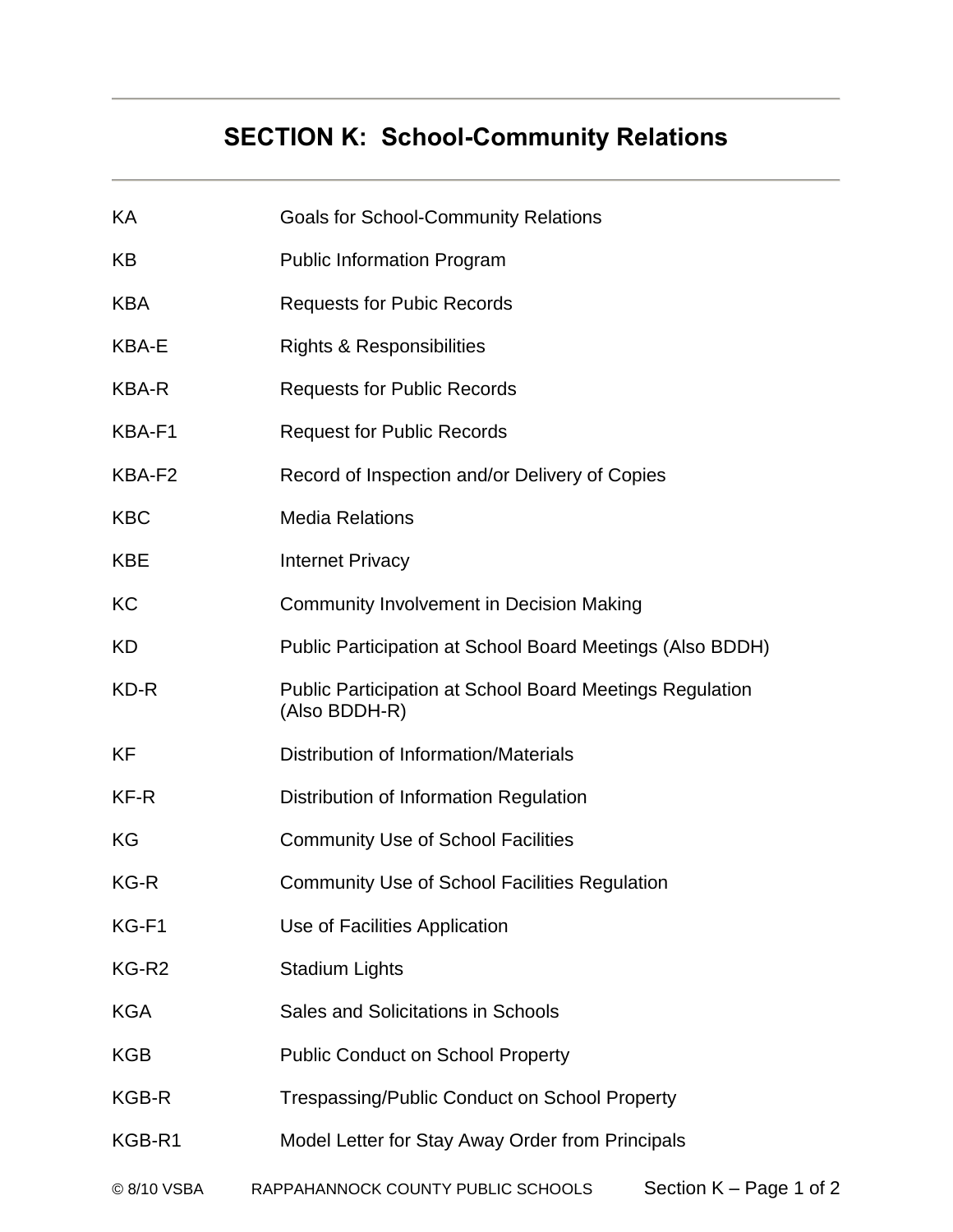# **SECTION K: School-Community Relations**

| KА                | <b>Goals for School-Community Relations</b>                                      |                           |  |  |  |
|-------------------|----------------------------------------------------------------------------------|---------------------------|--|--|--|
| KB                | <b>Public Information Program</b>                                                |                           |  |  |  |
| <b>KBA</b>        | <b>Requests for Pubic Records</b>                                                |                           |  |  |  |
| <b>KBA-E</b>      | <b>Rights &amp; Responsibilities</b>                                             |                           |  |  |  |
| <b>KBA-R</b>      | <b>Requests for Public Records</b>                                               |                           |  |  |  |
| KBA-F1            | <b>Request for Public Records</b>                                                |                           |  |  |  |
| KBA-F2            | Record of Inspection and/or Delivery of Copies                                   |                           |  |  |  |
| <b>KBC</b>        | <b>Media Relations</b>                                                           |                           |  |  |  |
| <b>KBE</b>        | <b>Internet Privacy</b>                                                          |                           |  |  |  |
| KC                | <b>Community Involvement in Decision Making</b>                                  |                           |  |  |  |
| <b>KD</b>         | Public Participation at School Board Meetings (Also BDDH)                        |                           |  |  |  |
| KD-R              | <b>Public Participation at School Board Meetings Regulation</b><br>(Also BDDH-R) |                           |  |  |  |
| <b>KF</b>         | Distribution of Information/Materials                                            |                           |  |  |  |
| KF-R              | Distribution of Information Regulation                                           |                           |  |  |  |
| KG                | <b>Community Use of School Facilities</b>                                        |                           |  |  |  |
| KG-R              | <b>Community Use of School Facilities Regulation</b>                             |                           |  |  |  |
| KG-F1             | Use of Facilities Application                                                    |                           |  |  |  |
| KG-R <sub>2</sub> | <b>Stadium Lights</b>                                                            |                           |  |  |  |
| <b>KGA</b>        | Sales and Solicitations in Schools                                               |                           |  |  |  |
| KGB               | <b>Public Conduct on School Property</b>                                         |                           |  |  |  |
| KGB-R             | <b>Trespassing/Public Conduct on School Property</b>                             |                           |  |  |  |
| KGB-R1            | Model Letter for Stay Away Order from Principals                                 |                           |  |  |  |
| © 8/10 VSBA       | RAPPAHANNOCK COUNTY PUBLIC SCHOOLS                                               | Section $K - Page 1$ of 2 |  |  |  |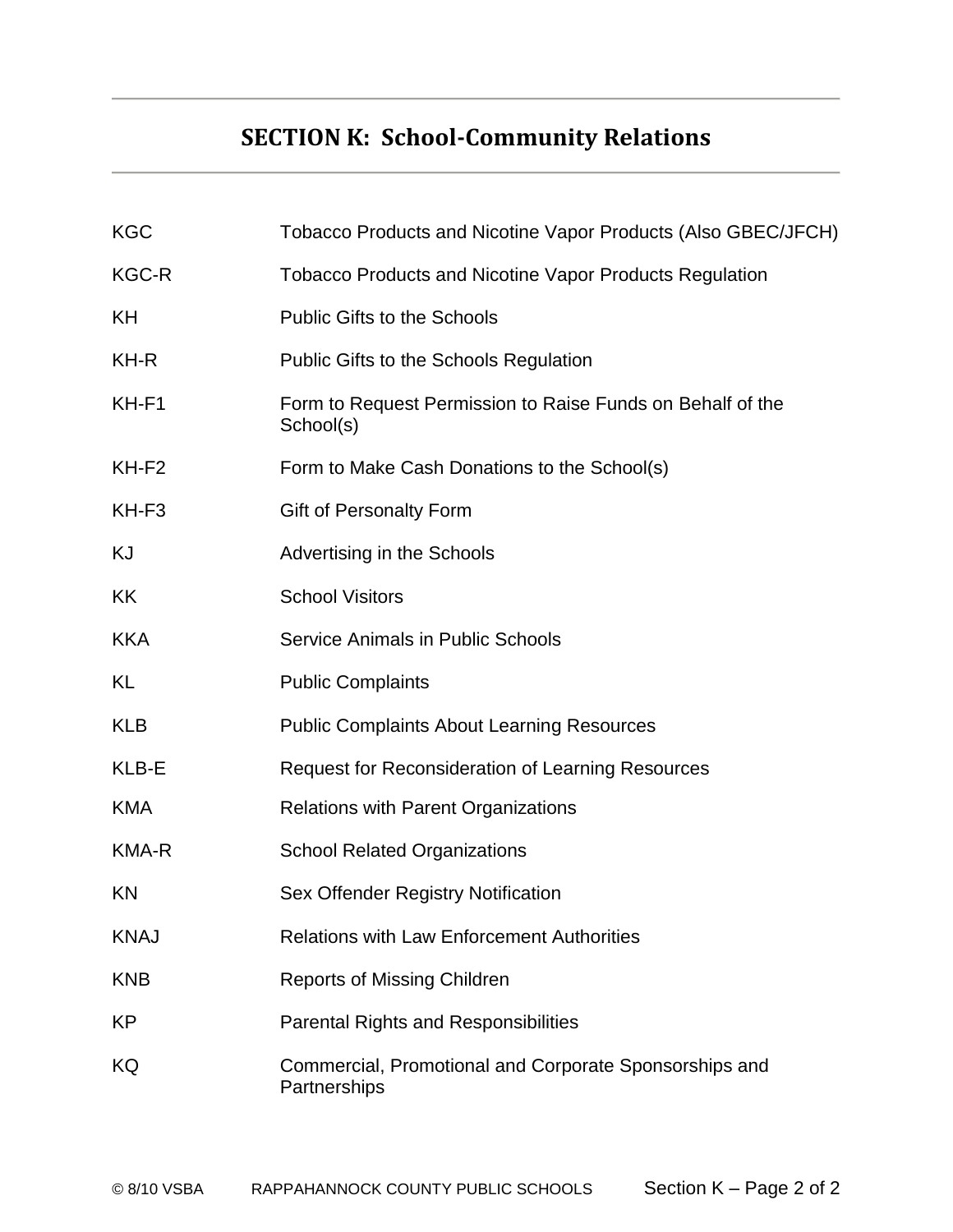# **SECTION K: School-Community Relations**

| <b>KGC</b>        | Tobacco Products and Nicotine Vapor Products (Also GBEC/JFCH)           |  |  |  |
|-------------------|-------------------------------------------------------------------------|--|--|--|
| KGC-R             | <b>Tobacco Products and Nicotine Vapor Products Regulation</b>          |  |  |  |
| ΚH                | <b>Public Gifts to the Schools</b>                                      |  |  |  |
| KH-R              | Public Gifts to the Schools Regulation                                  |  |  |  |
| KH-F1             | Form to Request Permission to Raise Funds on Behalf of the<br>School(s) |  |  |  |
| KH-F <sub>2</sub> | Form to Make Cash Donations to the School(s)                            |  |  |  |
| KH-F <sub>3</sub> | <b>Gift of Personalty Form</b>                                          |  |  |  |
| KJ                | Advertising in the Schools                                              |  |  |  |
| KK                | <b>School Visitors</b>                                                  |  |  |  |
| <b>KKA</b>        | <b>Service Animals in Public Schools</b>                                |  |  |  |
| KL                | <b>Public Complaints</b>                                                |  |  |  |
| <b>KLB</b>        | <b>Public Complaints About Learning Resources</b>                       |  |  |  |
| KLB-E             | <b>Request for Reconsideration of Learning Resources</b>                |  |  |  |
| <b>KMA</b>        | <b>Relations with Parent Organizations</b>                              |  |  |  |
| KMA-R             | <b>School Related Organizations</b>                                     |  |  |  |
| KN                | Sex Offender Registry Notification                                      |  |  |  |
| <b>KNAJ</b>       | <b>Relations with Law Enforcement Authorities</b>                       |  |  |  |
| <b>KNB</b>        | <b>Reports of Missing Children</b>                                      |  |  |  |
| KP                | <b>Parental Rights and Responsibilities</b>                             |  |  |  |
| KQ                | Commercial, Promotional and Corporate Sponsorships and<br>Partnerships  |  |  |  |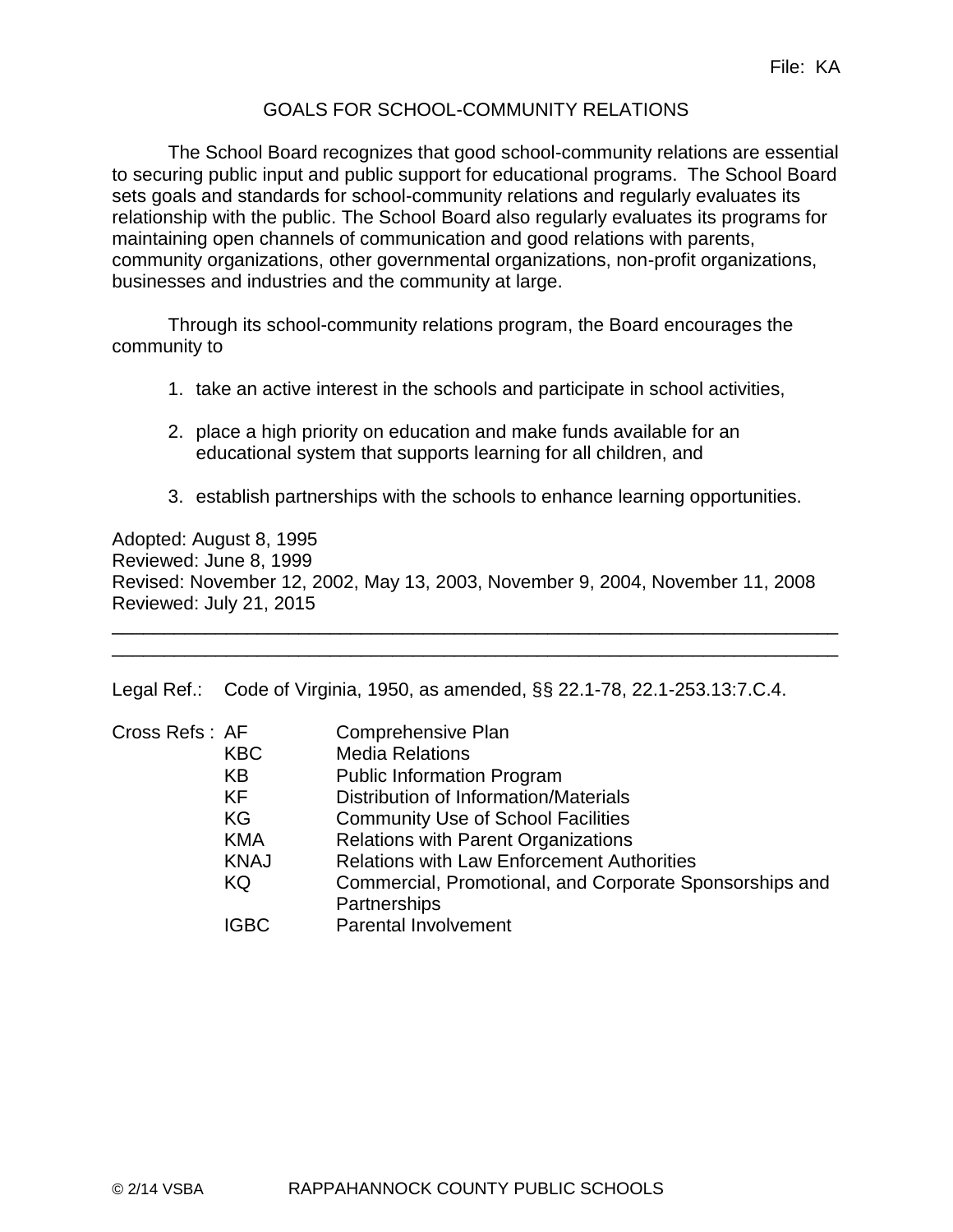# GOALS FOR SCHOOL-COMMUNITY RELATIONS

The School Board recognizes that good school-community relations are essential to securing public input and public support for educational programs. The School Board sets goals and standards for school-community relations and regularly evaluates its relationship with the public. The School Board also regularly evaluates its programs for maintaining open channels of communication and good relations with parents, community organizations, other governmental organizations, non-profit organizations, businesses and industries and the community at large.

Through its school-community relations program, the Board encourages the community to

- 1. take an active interest in the schools and participate in school activities,
- 2. place a high priority on education and make funds available for an educational system that supports learning for all children, and
- 3. establish partnerships with the schools to enhance learning opportunities.

Adopted: August 8, 1995 Reviewed: June 8, 1999 Revised: November 12, 2002, May 13, 2003, November 9, 2004, November 11, 2008 Reviewed: July 21, 2015

\_\_\_\_\_\_\_\_\_\_\_\_\_\_\_\_\_\_\_\_\_\_\_\_\_\_\_\_\_\_\_\_\_\_\_\_\_\_\_\_\_\_\_\_\_\_\_\_\_\_\_\_\_\_\_\_\_\_\_\_\_\_\_\_\_\_\_\_\_\_ \_\_\_\_\_\_\_\_\_\_\_\_\_\_\_\_\_\_\_\_\_\_\_\_\_\_\_\_\_\_\_\_\_\_\_\_\_\_\_\_\_\_\_\_\_\_\_\_\_\_\_\_\_\_\_\_\_\_\_\_\_\_\_\_\_\_\_\_\_\_

Legal Ref.: Code of Virginia, 1950, as amended, §§ 22.1-78, 22.1-253.13:7.C.4.

| Cross Refs: AF |             | Comprehensive Plan                                      |
|----------------|-------------|---------------------------------------------------------|
|                | <b>KBC</b>  | <b>Media Relations</b>                                  |
|                | KB          | <b>Public Information Program</b>                       |
|                | <b>KF</b>   | Distribution of Information/Materials                   |
|                | KG          | <b>Community Use of School Facilities</b>               |
|                | <b>KMA</b>  | <b>Relations with Parent Organizations</b>              |
|                | <b>KNAJ</b> | <b>Relations with Law Enforcement Authorities</b>       |
|                | KQ          | Commercial, Promotional, and Corporate Sponsorships and |
|                |             | Partnerships                                            |
|                | <b>IGBC</b> | <b>Parental Involvement</b>                             |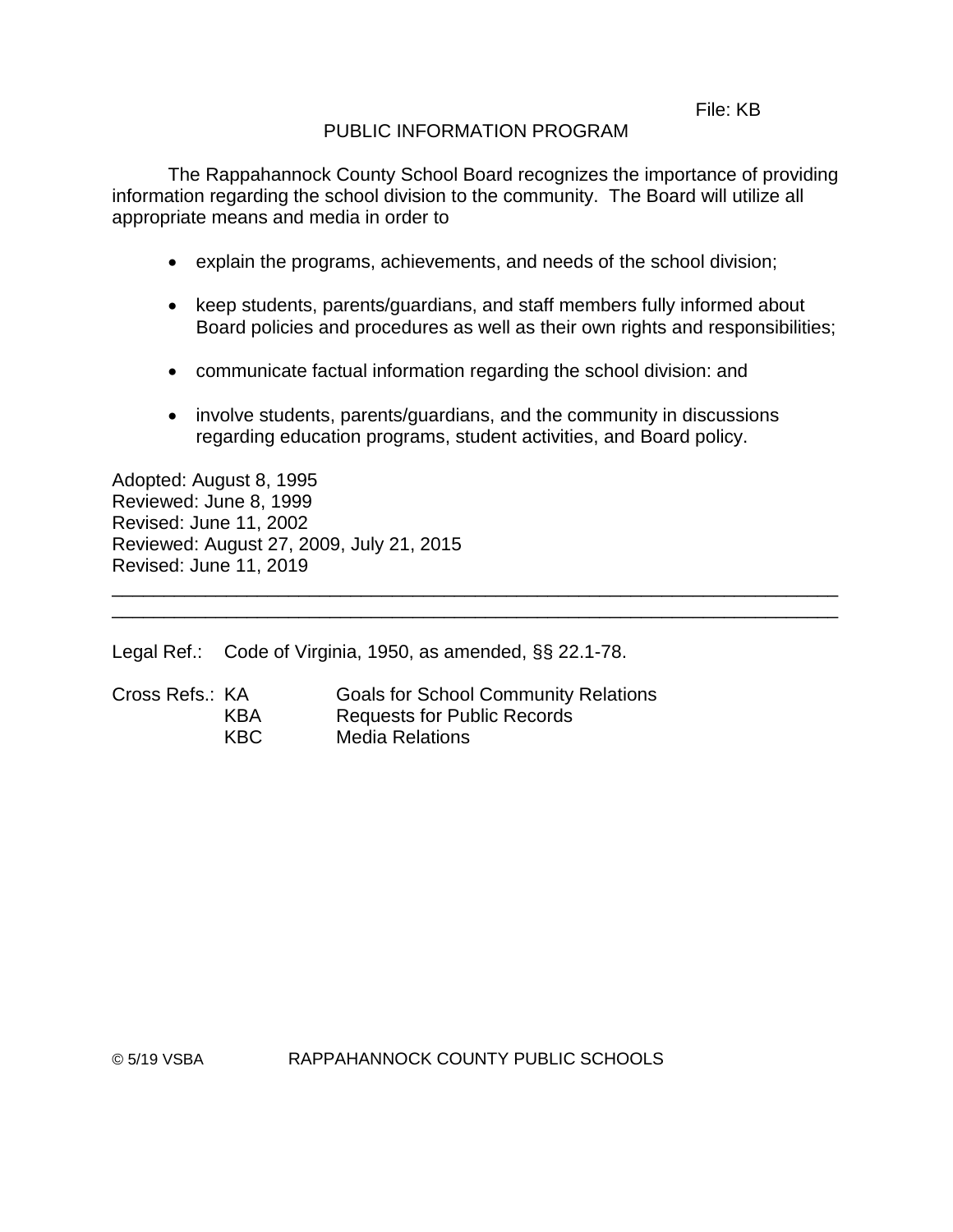#### File: KB

# PUBLIC INFORMATION PROGRAM

The Rappahannock County School Board recognizes the importance of providing information regarding the school division to the community. The Board will utilize all appropriate means and media in order to

- explain the programs, achievements, and needs of the school division;
- keep students, parents/guardians, and staff members fully informed about Board policies and procedures as well as their own rights and responsibilities;
- communicate factual information regarding the school division: and
- involve students, parents/guardians, and the community in discussions regarding education programs, student activities, and Board policy.

\_\_\_\_\_\_\_\_\_\_\_\_\_\_\_\_\_\_\_\_\_\_\_\_\_\_\_\_\_\_\_\_\_\_\_\_\_\_\_\_\_\_\_\_\_\_\_\_\_\_\_\_\_\_\_\_\_\_\_\_\_\_\_\_\_\_\_\_\_\_ \_\_\_\_\_\_\_\_\_\_\_\_\_\_\_\_\_\_\_\_\_\_\_\_\_\_\_\_\_\_\_\_\_\_\_\_\_\_\_\_\_\_\_\_\_\_\_\_\_\_\_\_\_\_\_\_\_\_\_\_\_\_\_\_\_\_\_\_\_\_

Adopted: August 8, 1995 Reviewed: June 8, 1999 Revised: June 11, 2002 Reviewed: August 27, 2009, July 21, 2015 Revised: June 11, 2019

Legal Ref.: Code of Virginia, 1950, as amended, §§ 22.1-78.

| Cross Refs.: KA |      | <b>Goals for School Community Relations</b> |
|-----------------|------|---------------------------------------------|
|                 | KBA  | <b>Requests for Public Records</b>          |
|                 | KBC. | <b>Media Relations</b>                      |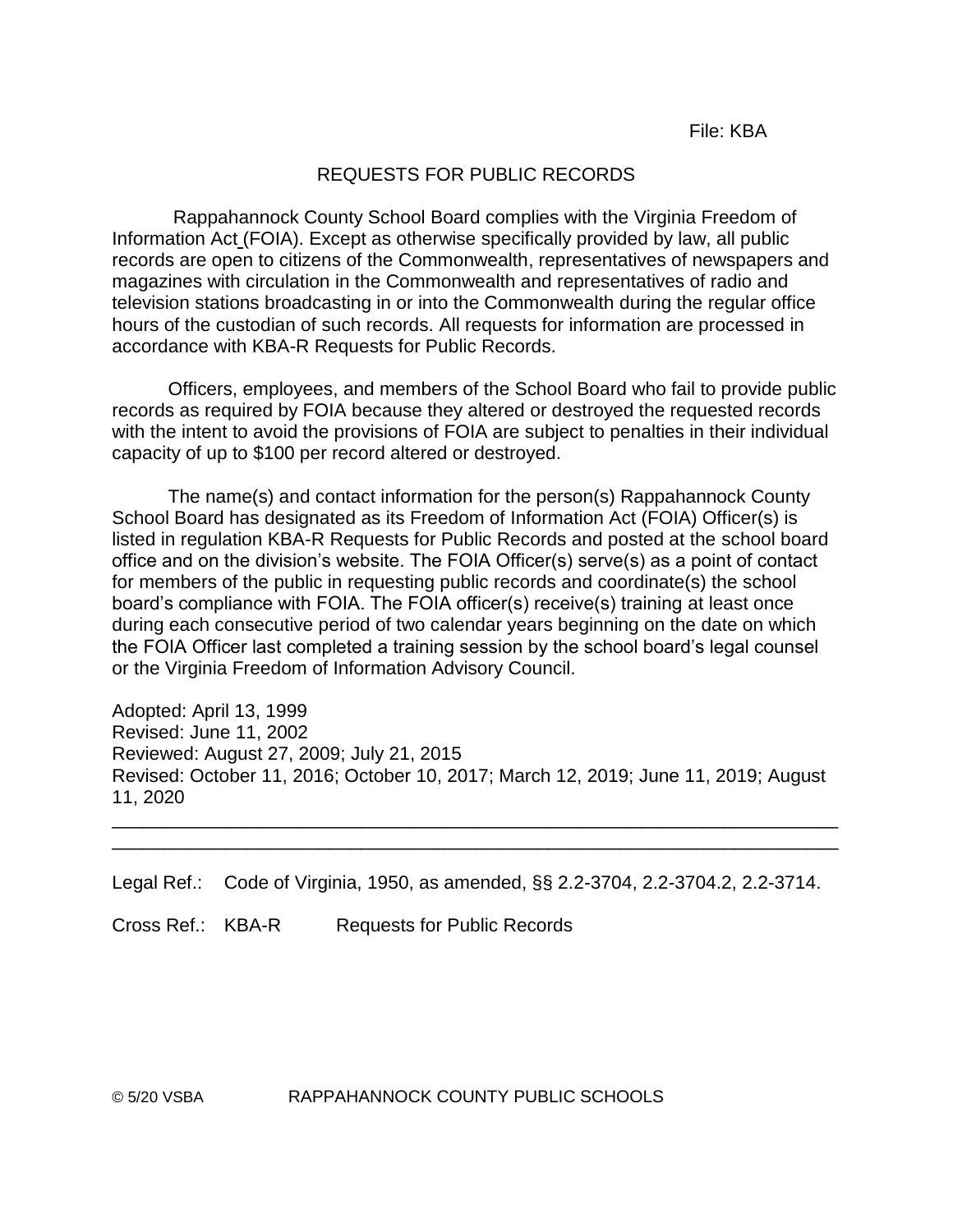#### REQUESTS FOR PUBLIC RECORDS

Rappahannock County School Board complies with the Virginia Freedom of Information Act (FOIA). Except as otherwise specifically provided by law, all public records are open to citizens of the Commonwealth, representatives of newspapers and magazines with circulation in the Commonwealth and representatives of radio and television stations broadcasting in or into the Commonwealth during the regular office hours of the custodian of such records. All requests for information are processed in accordance with KBA-R Requests for Public Records.

Officers, employees, and members of the School Board who fail to provide public records as required by FOIA because they altered or destroyed the requested records with the intent to avoid the provisions of FOIA are subject to penalties in their individual capacity of up to \$100 per record altered or destroyed.

The name(s) and contact information for the person(s) Rappahannock County School Board has designated as its Freedom of Information Act (FOIA) Officer(s) is listed in regulation KBA-R Requests for Public Records and posted at the school board office and on the division's website. The FOIA Officer(s) serve(s) as a point of contact for members of the public in requesting public records and coordinate(s) the school board's compliance with FOIA. The FOIA officer(s) receive(s) training at least once during each consecutive period of two calendar years beginning on the date on which the FOIA Officer last completed a training session by the school board's legal counsel or the Virginia Freedom of Information Advisory Council.

Adopted: April 13, 1999 Revised: June 11, 2002 Reviewed: August 27, 2009; July 21, 2015 Revised: October 11, 2016; October 10, 2017; March 12, 2019; June 11, 2019; August 11, 2020

\_\_\_\_\_\_\_\_\_\_\_\_\_\_\_\_\_\_\_\_\_\_\_\_\_\_\_\_\_\_\_\_\_\_\_\_\_\_\_\_\_\_\_\_\_\_\_\_\_\_\_\_\_\_\_\_\_\_\_\_\_\_\_\_\_\_\_\_\_\_ \_\_\_\_\_\_\_\_\_\_\_\_\_\_\_\_\_\_\_\_\_\_\_\_\_\_\_\_\_\_\_\_\_\_\_\_\_\_\_\_\_\_\_\_\_\_\_\_\_\_\_\_\_\_\_\_\_\_\_\_\_\_\_\_\_\_\_\_\_\_

Legal Ref.: Code of Virginia, 1950, as amended, §§ 2.2-3704, 2.2-3704.2, 2.2-3714.

Cross Ref.: KBA-R Requests for Public Records

© 5/20 VSBA RAPPAHANNOCK COUNTY PUBLIC SCHOOLS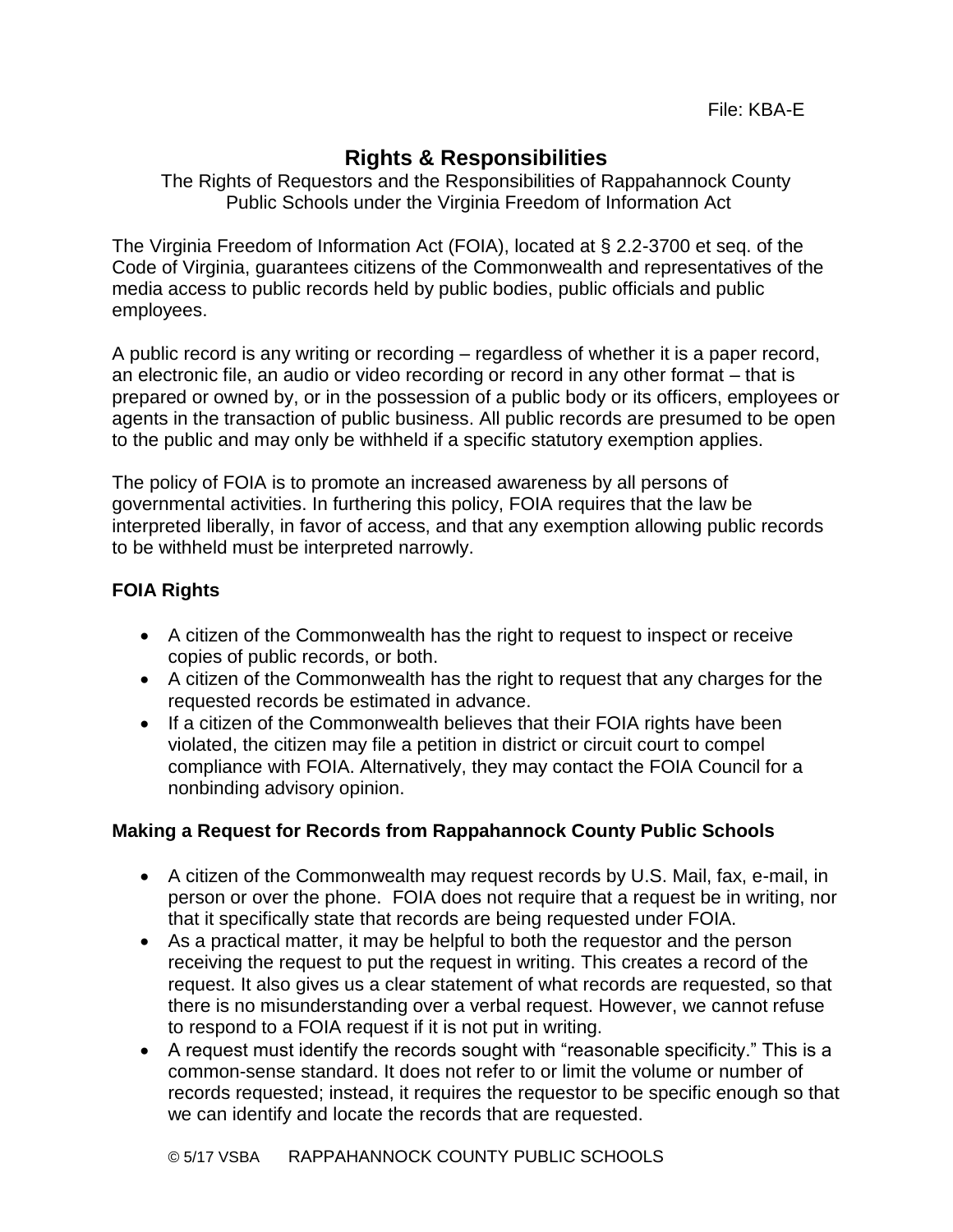# **Rights & Responsibilities**

The Rights of Requestors and the Responsibilities of Rappahannock County Public Schools under the Virginia Freedom of Information Act

The Virginia Freedom of Information Act (FOIA), located at § 2.2-3700 et seq. of the Code of Virginia, guarantees citizens of the Commonwealth and representatives of the media access to public records held by public bodies, public officials and public employees.

A public record is any writing or recording – regardless of whether it is a paper record, an electronic file, an audio or video recording or record in any other format – that is prepared or owned by, or in the possession of a public body or its officers, employees or agents in the transaction of public business. All public records are presumed to be open to the public and may only be withheld if a specific statutory exemption applies.

The policy of FOIA is to promote an increased awareness by all persons of governmental activities. In furthering this policy, FOIA requires that the law be interpreted liberally, in favor of access, and that any exemption allowing public records to be withheld must be interpreted narrowly.

# **FOIA Rights**

- A citizen of the Commonwealth has the right to request to inspect or receive copies of public records, or both.
- A citizen of the Commonwealth has the right to request that any charges for the requested records be estimated in advance.
- If a citizen of the Commonwealth believes that their FOIA rights have been violated, the citizen may file a petition in district or circuit court to compel compliance with FOIA. Alternatively, they may contact the FOIA Council for a nonbinding advisory opinion.

# **Making a Request for Records from Rappahannock County Public Schools**

- A citizen of the Commonwealth may request records by U.S. Mail, fax, e-mail, in person or over the phone. FOIA does not require that a request be in writing, nor that it specifically state that records are being requested under FOIA.
- As a practical matter, it may be helpful to both the requestor and the person receiving the request to put the request in writing. This creates a record of the request. It also gives us a clear statement of what records are requested, so that there is no misunderstanding over a verbal request. However, we cannot refuse to respond to a FOIA request if it is not put in writing.
- A request must identify the records sought with "reasonable specificity." This is a common-sense standard. It does not refer to or limit the volume or number of records requested; instead, it requires the requestor to be specific enough so that we can identify and locate the records that are requested.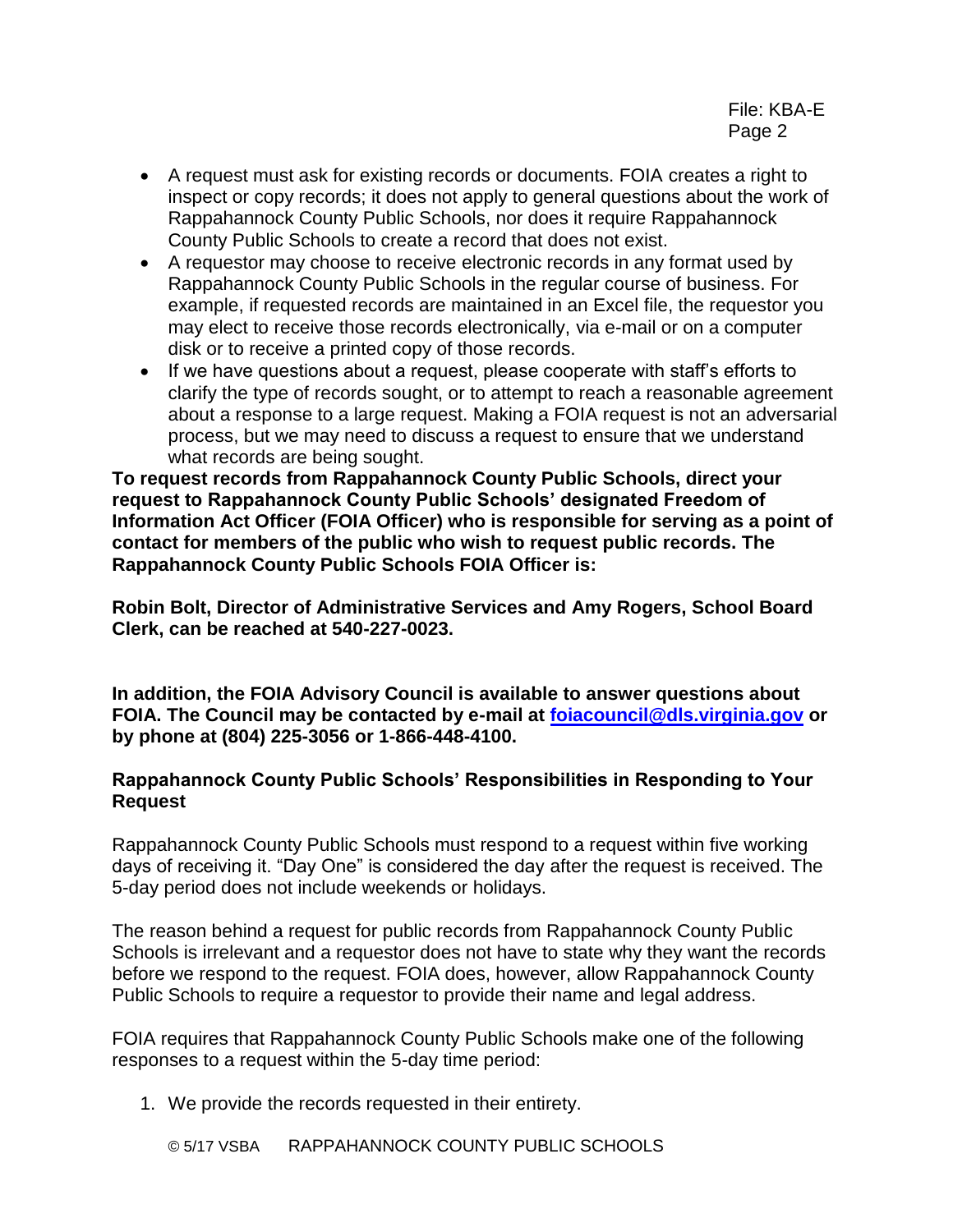- A request must ask for existing records or documents. FOIA creates a right to inspect or copy records; it does not apply to general questions about the work of Rappahannock County Public Schools, nor does it require Rappahannock County Public Schools to create a record that does not exist.
- A requestor may choose to receive electronic records in any format used by Rappahannock County Public Schools in the regular course of business. For example, if requested records are maintained in an Excel file, the requestor you may elect to receive those records electronically, via e-mail or on a computer disk or to receive a printed copy of those records.
- If we have questions about a request, please cooperate with staff's efforts to clarify the type of records sought, or to attempt to reach a reasonable agreement about a response to a large request. Making a FOIA request is not an adversarial process, but we may need to discuss a request to ensure that we understand what records are being sought.

**To request records from Rappahannock County Public Schools, direct your request to Rappahannock County Public Schools' designated Freedom of Information Act Officer (FOIA Officer) who is responsible for serving as a point of contact for members of the public who wish to request public records. The Rappahannock County Public Schools FOIA Officer is:**

**Robin Bolt, Director of Administrative Services and Amy Rogers, School Board Clerk, can be reached at 540-227-0023.**

**In addition, the FOIA Advisory Council is available to answer questions about FOIA. The Council may be contacted by e-mail at [foiacouncil@dls.virginia.gov](mailto:foiacouncil@dls.virginia.gov) or by phone at (804) 225-3056 or 1-866-448-4100.**

# **Rappahannock County Public Schools' Responsibilities in Responding to Your Request**

Rappahannock County Public Schools must respond to a request within five working days of receiving it. "Day One" is considered the day after the request is received. The 5-day period does not include weekends or holidays.

The reason behind a request for public records from Rappahannock County Public Schools is irrelevant and a requestor does not have to state why they want the records before we respond to the request. FOIA does, however, allow Rappahannock County Public Schools to require a requestor to provide their name and legal address.

FOIA requires that Rappahannock County Public Schools make one of the following responses to a request within the 5-day time period:

1. We provide the records requested in their entirety.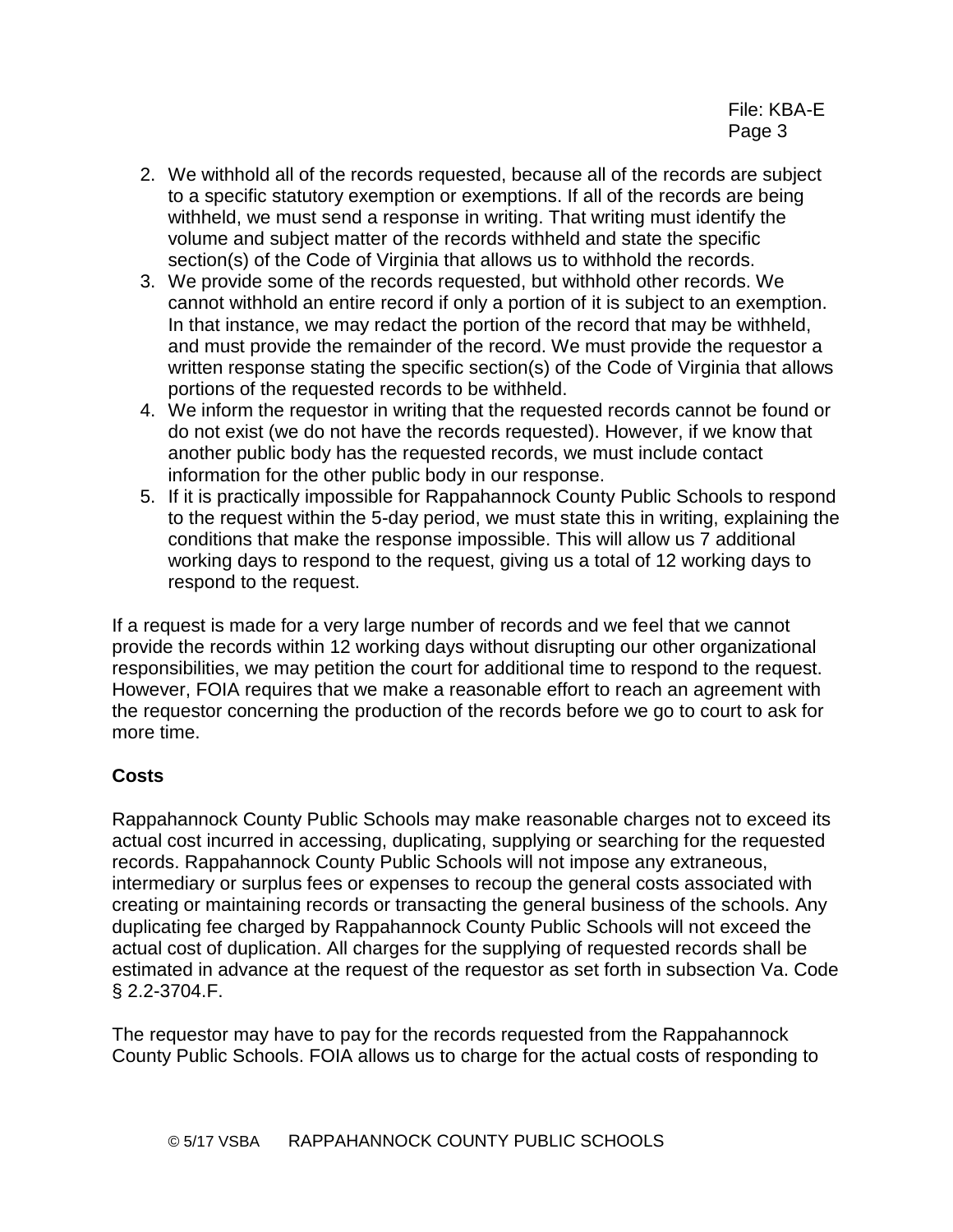- 2. We withhold all of the records requested, because all of the records are subject to a specific statutory exemption or exemptions. If all of the records are being withheld, we must send a response in writing. That writing must identify the volume and subject matter of the records withheld and state the specific section(s) of the Code of Virginia that allows us to withhold the records.
- 3. We provide some of the records requested, but withhold other records. We cannot withhold an entire record if only a portion of it is subject to an exemption. In that instance, we may redact the portion of the record that may be withheld, and must provide the remainder of the record. We must provide the requestor a written response stating the specific section(s) of the Code of Virginia that allows portions of the requested records to be withheld.
- 4. We inform the requestor in writing that the requested records cannot be found or do not exist (we do not have the records requested). However, if we know that another public body has the requested records, we must include contact information for the other public body in our response.
- 5. If it is practically impossible for Rappahannock County Public Schools to respond to the request within the 5-day period, we must state this in writing, explaining the conditions that make the response impossible. This will allow us 7 additional working days to respond to the request, giving us a total of 12 working days to respond to the request.

If a request is made for a very large number of records and we feel that we cannot provide the records within 12 working days without disrupting our other organizational responsibilities, we may petition the court for additional time to respond to the request. However, FOIA requires that we make a reasonable effort to reach an agreement with the requestor concerning the production of the records before we go to court to ask for more time.

# **Costs**

Rappahannock County Public Schools may make reasonable charges not to exceed its actual cost incurred in accessing, duplicating, supplying or searching for the requested records. Rappahannock County Public Schools will not impose any extraneous, intermediary or surplus fees or expenses to recoup the general costs associated with creating or maintaining records or transacting the general business of the schools. Any duplicating fee charged by Rappahannock County Public Schools will not exceed the actual cost of duplication. All charges for the supplying of requested records shall be estimated in advance at the request of the requestor as set forth in subsection Va. Code § 2.2-3704.F.

The requestor may have to pay for the records requested from the Rappahannock County Public Schools. FOIA allows us to charge for the actual costs of responding to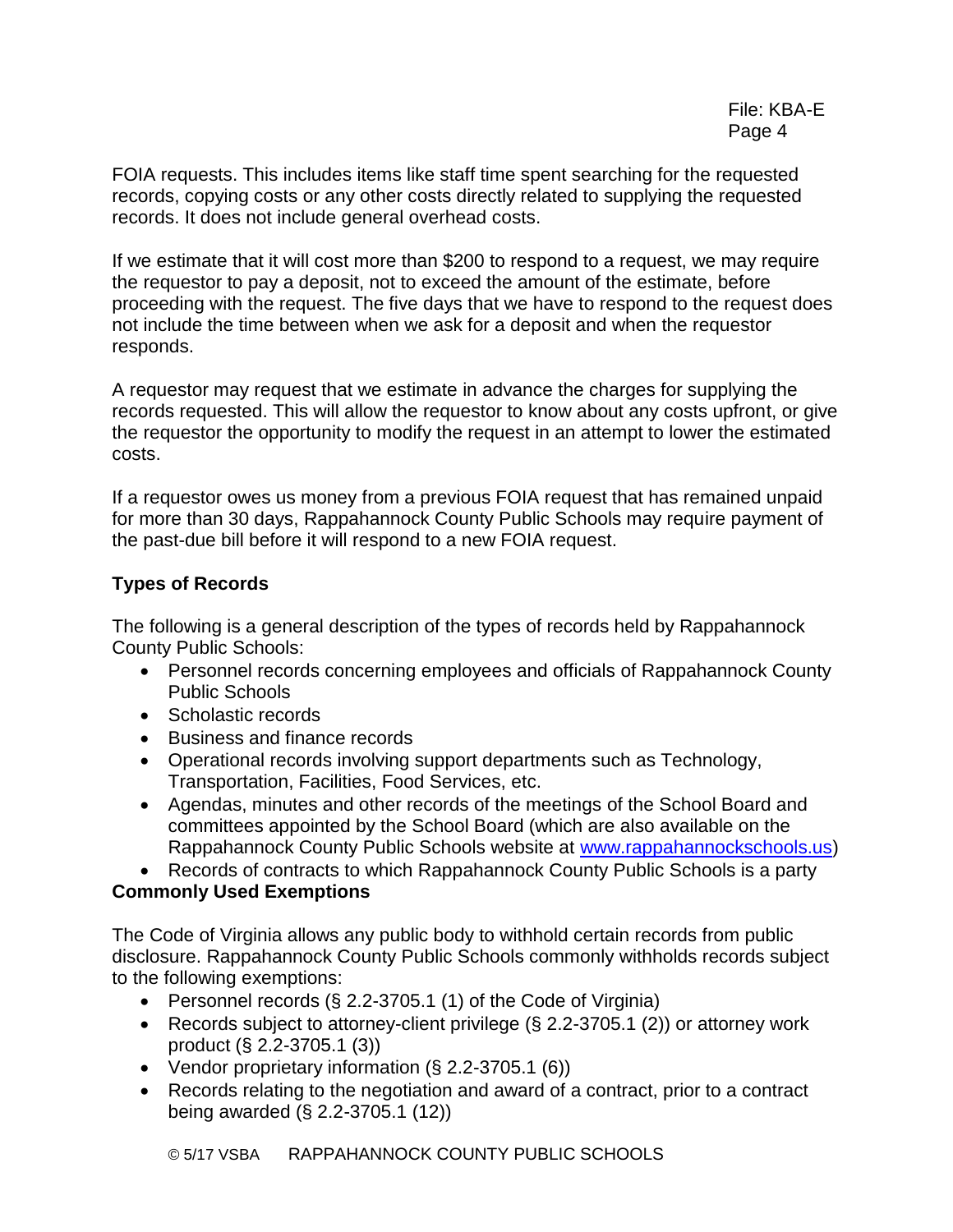FOIA requests. This includes items like staff time spent searching for the requested records, copying costs or any other costs directly related to supplying the requested records. It does not include general overhead costs.

If we estimate that it will cost more than \$200 to respond to a request, we may require the requestor to pay a deposit, not to exceed the amount of the estimate, before proceeding with the request. The five days that we have to respond to the request does not include the time between when we ask for a deposit and when the requestor responds.

A requestor may request that we estimate in advance the charges for supplying the records requested. This will allow the requestor to know about any costs upfront, or give the requestor the opportunity to modify the request in an attempt to lower the estimated costs.

If a requestor owes us money from a previous FOIA request that has remained unpaid for more than 30 days, Rappahannock County Public Schools may require payment of the past-due bill before it will respond to a new FOIA request.

# **Types of Records**

The following is a general description of the types of records held by Rappahannock County Public Schools:

- Personnel records concerning employees and officials of Rappahannock County Public Schools
- Scholastic records
- Business and finance records
- Operational records involving support departments such as Technology, Transportation, Facilities, Food Services, etc.
- Agendas, minutes and other records of the meetings of the School Board and committees appointed by the School Board (which are also available on the Rappahannock County Public Schools website at [www.rappahannockschools.us\)](http://www.rappahannockschools.us/)
- Records of contracts to which Rappahannock County Public Schools is a party

# **Commonly Used Exemptions**

The Code of Virginia allows any public body to withhold certain records from public disclosure. Rappahannock County Public Schools commonly withholds records subject to the following exemptions:

- Personnel records  $(\S$  2.2-3705.1 (1) of the Code of Virginia)
- Records subject to attorney-client privilege (§ 2.2-3705.1 (2)) or attorney work product (§ 2.2-3705.1 (3))
- Vendor proprietary information (§ 2.2-3705.1 (6))
- Records relating to the negotiation and award of a contract, prior to a contract being awarded (§ 2.2-3705.1 (12))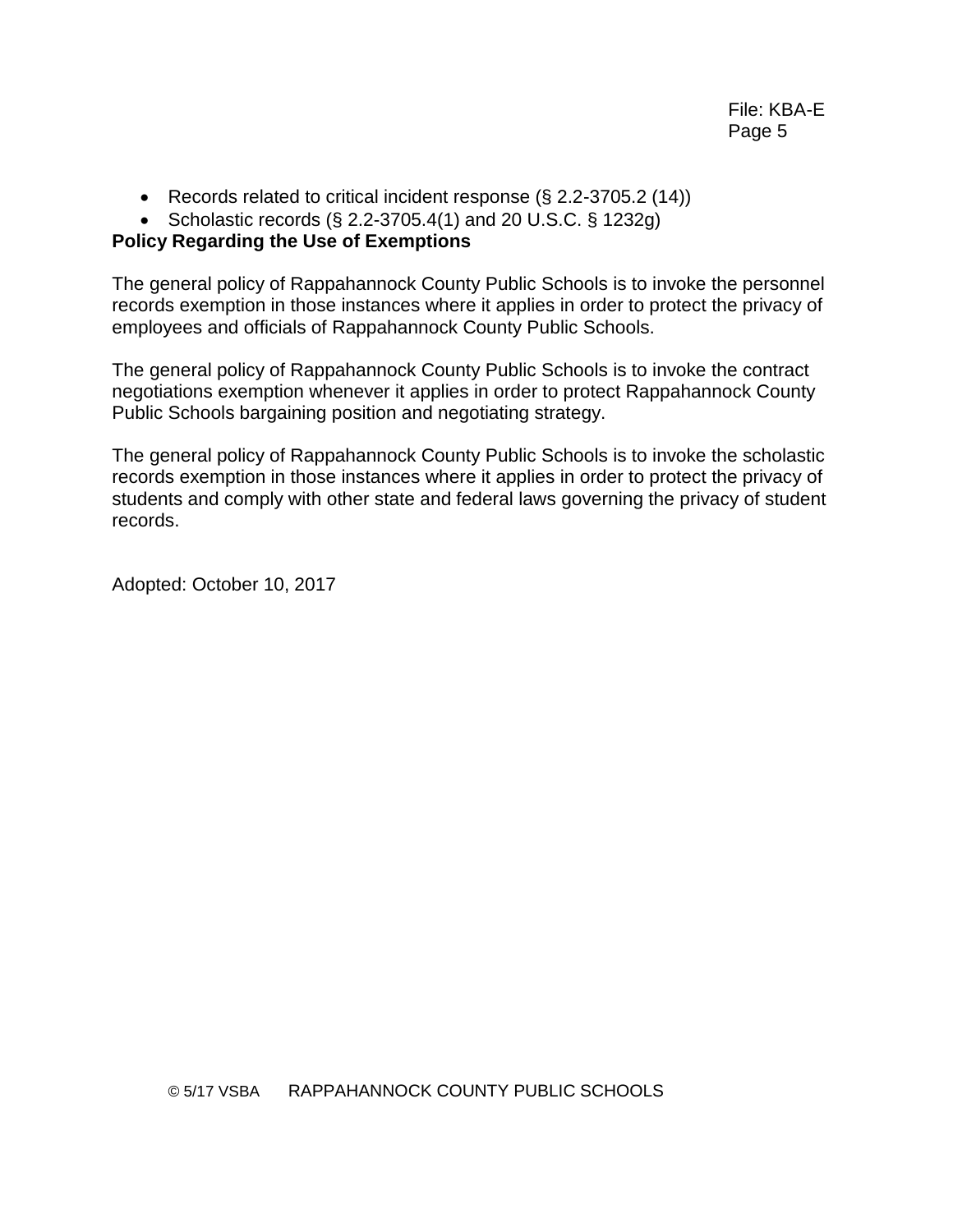- Records related to critical incident response (§ 2.2-3705.2 (14))
- Scholastic records  $(\S$  2.2-3705.4(1) and 20 U.S.C.  $\S$  1232g)

# **Policy Regarding the Use of Exemptions**

The general policy of Rappahannock County Public Schools is to invoke the personnel records exemption in those instances where it applies in order to protect the privacy of employees and officials of Rappahannock County Public Schools.

The general policy of Rappahannock County Public Schools is to invoke the contract negotiations exemption whenever it applies in order to protect Rappahannock County Public Schools bargaining position and negotiating strategy.

The general policy of Rappahannock County Public Schools is to invoke the scholastic records exemption in those instances where it applies in order to protect the privacy of students and comply with other state and federal laws governing the privacy of student records.

Adopted: October 10, 2017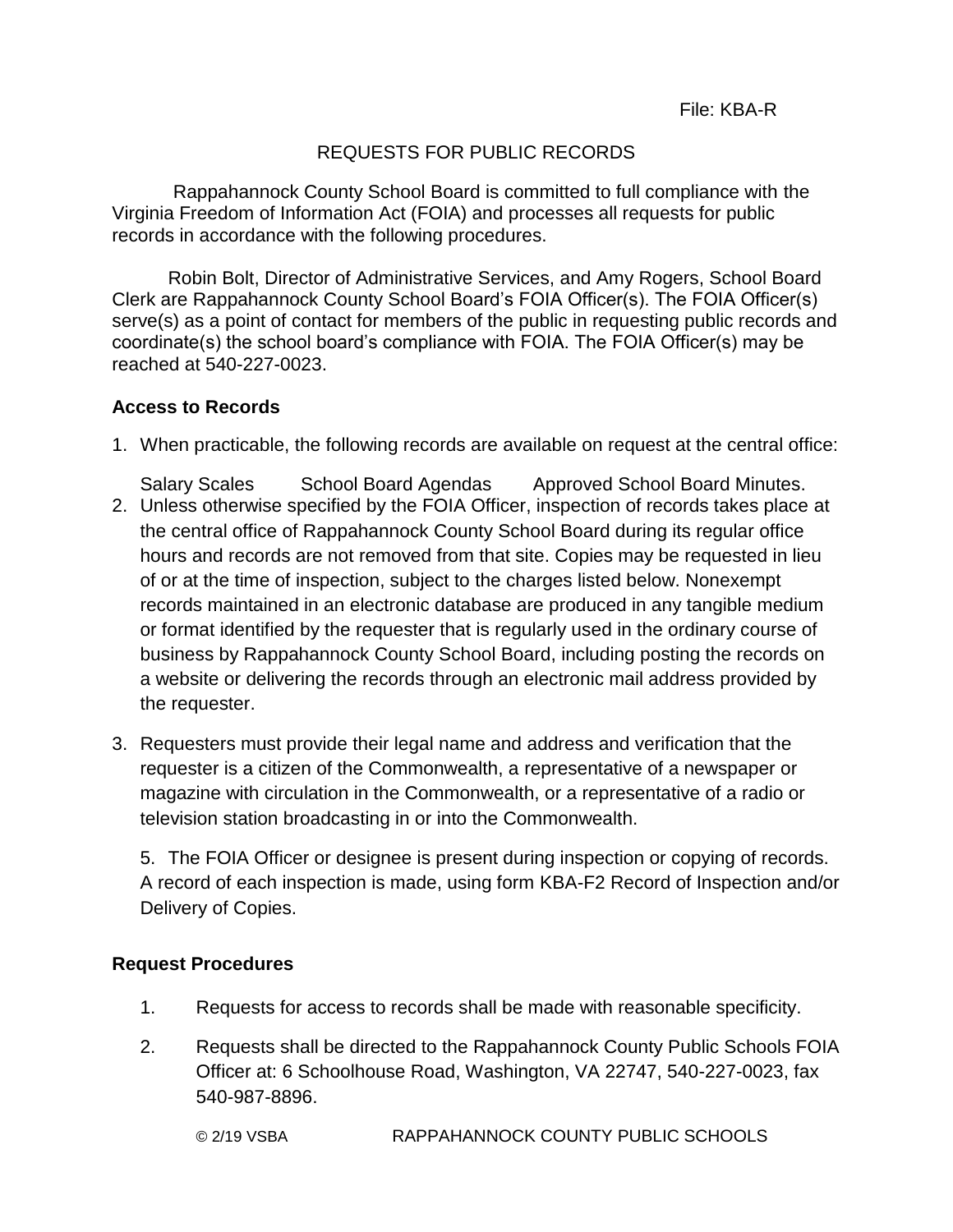# REQUESTS FOR PUBLIC RECORDS

Rappahannock County School Board is committed to full compliance with the Virginia Freedom of Information Act (FOIA) and processes all requests for public records in accordance with the following procedures.

Robin Bolt, Director of Administrative Services, and Amy Rogers, School Board Clerk are Rappahannock County School Board's FOIA Officer(s). The FOIA Officer(s) serve(s) as a point of contact for members of the public in requesting public records and coordinate(s) the school board's compliance with FOIA. The FOIA Officer(s) may be reached at 540-227-0023.

# **Access to Records**

- 1. When practicable, the following records are available on request at the central office:
- Salary Scales School Board Agendas Approved School Board Minutes. 2. Unless otherwise specified by the FOIA Officer, inspection of records takes place at the central office of Rappahannock County School Board during its regular office hours and records are not removed from that site. Copies may be requested in lieu of or at the time of inspection, subject to the charges listed below. Nonexempt records maintained in an electronic database are produced in any tangible medium or format identified by the requester that is regularly used in the ordinary course of business by Rappahannock County School Board, including posting the records on a website or delivering the records through an electronic mail address provided by the requester.
- 3. Requesters must provide their legal name and address and verification that the requester is a citizen of the Commonwealth, a representative of a newspaper or magazine with circulation in the Commonwealth, or a representative of a radio or television station broadcasting in or into the Commonwealth.

5. The FOIA Officer or designee is present during inspection or copying of records. A record of each inspection is made, using form KBA-F2 Record of Inspection and/or Delivery of Copies.

# **Request Procedures**

- 1. Requests for access to records shall be made with reasonable specificity.
- 2. Requests shall be directed to the Rappahannock County Public Schools FOIA Officer at: 6 Schoolhouse Road, Washington, VA 22747, 540-227-0023, fax 540-987-8896.

© 2/19 VSBA RAPPAHANNOCK COUNTY PUBLIC SCHOOLS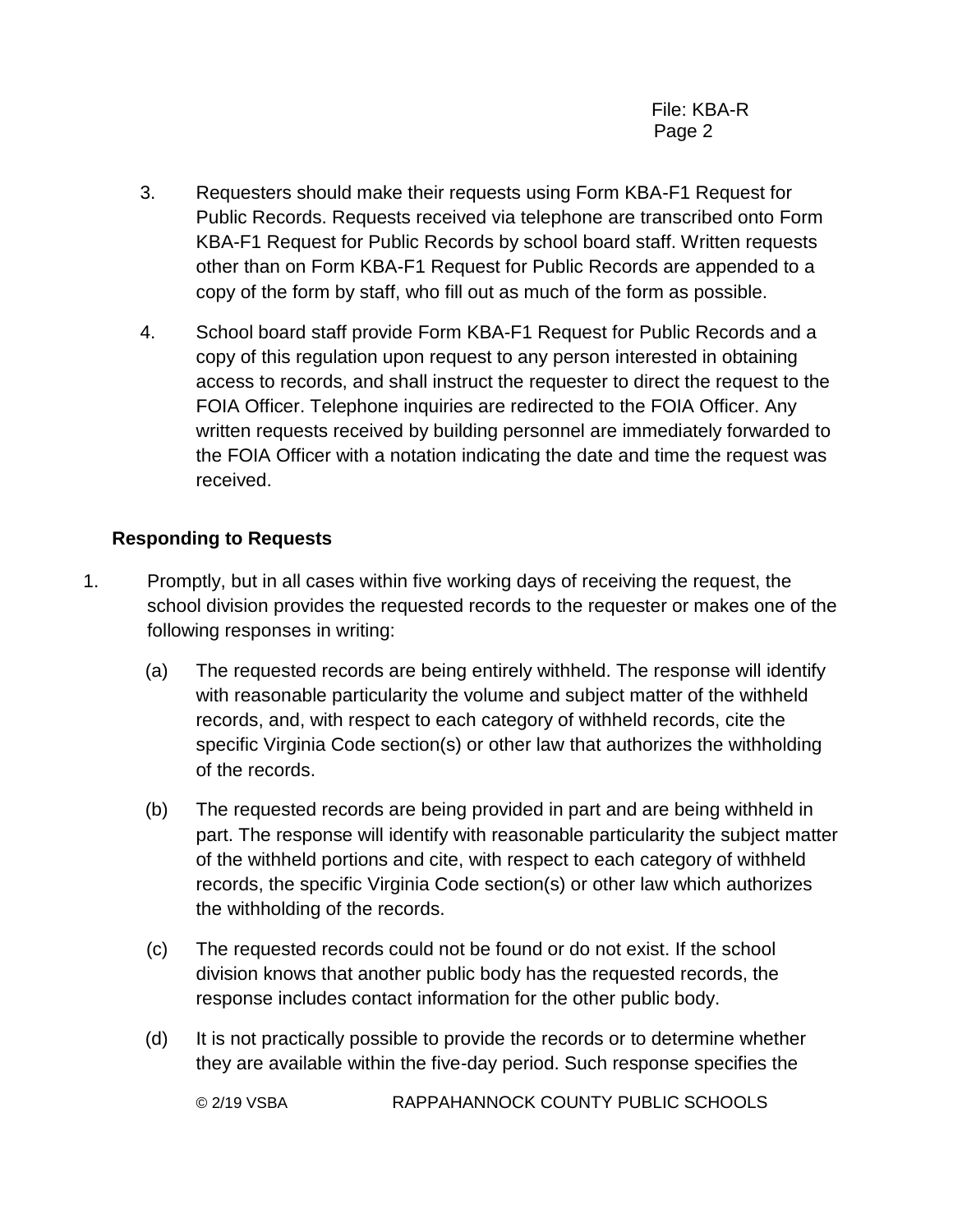- 3. Requesters should make their requests using Form KBA-F1 Request for Public Records. Requests received via telephone are transcribed onto Form KBA-F1 Request for Public Records by school board staff. Written requests other than on Form KBA-F1 Request for Public Records are appended to a copy of the form by staff, who fill out as much of the form as possible.
- 4. School board staff provide Form KBA-F1 Request for Public Records and a copy of this regulation upon request to any person interested in obtaining access to records, and shall instruct the requester to direct the request to the FOIA Officer. Telephone inquiries are redirected to the FOIA Officer. Any written requests received by building personnel are immediately forwarded to the FOIA Officer with a notation indicating the date and time the request was received.

# **Responding to Requests**

- 1. Promptly, but in all cases within five working days of receiving the request, the school division provides the requested records to the requester or makes one of the following responses in writing:
	- (a) The requested records are being entirely withheld. The response will identify with reasonable particularity the volume and subject matter of the withheld records, and, with respect to each category of withheld records, cite the specific Virginia Code section(s) or other law that authorizes the withholding of the records.
	- (b) The requested records are being provided in part and are being withheld in part. The response will identify with reasonable particularity the subject matter of the withheld portions and cite, with respect to each category of withheld records, the specific Virginia Code section(s) or other law which authorizes the withholding of the records.
	- (c) The requested records could not be found or do not exist. If the school division knows that another public body has the requested records, the response includes contact information for the other public body.
	- (d) It is not practically possible to provide the records or to determine whether they are available within the five-day period. Such response specifies the

© 2/19 VSBA RAPPAHANNOCK COUNTY PUBLIC SCHOOLS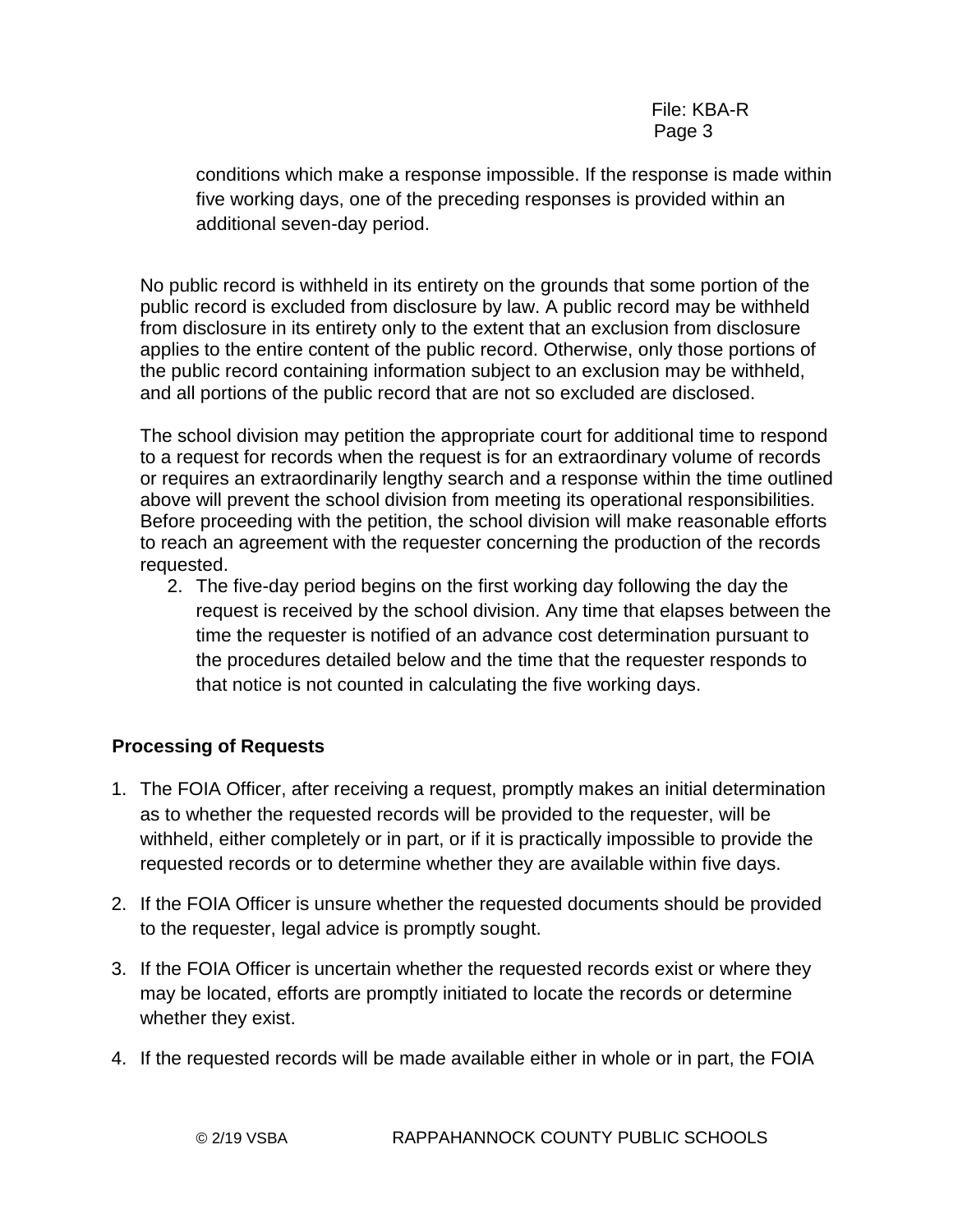# File: KBA-R Page 3

conditions which make a response impossible. If the response is made within five working days, one of the preceding responses is provided within an additional seven-day period.

No public record is withheld in its entirety on the grounds that some portion of the public record is excluded from disclosure by law. A public record may be withheld from disclosure in its entirety only to the extent that an exclusion from disclosure applies to the entire content of the public record. Otherwise, only those portions of the public record containing information subject to an exclusion may be withheld, and all portions of the public record that are not so excluded are disclosed.

The school division may petition the appropriate court for additional time to respond to a request for records when the request is for an extraordinary volume of records or requires an extraordinarily lengthy search and a response within the time outlined above will prevent the school division from meeting its operational responsibilities. Before proceeding with the petition, the school division will make reasonable efforts to reach an agreement with the requester concerning the production of the records requested.

2. The five-day period begins on the first working day following the day the request is received by the school division. Any time that elapses between the time the requester is notified of an advance cost determination pursuant to the procedures detailed below and the time that the requester responds to that notice is not counted in calculating the five working days.

# **Processing of Requests**

- 1. The FOIA Officer, after receiving a request, promptly makes an initial determination as to whether the requested records will be provided to the requester, will be withheld, either completely or in part, or if it is practically impossible to provide the requested records or to determine whether they are available within five days.
- 2. If the FOIA Officer is unsure whether the requested documents should be provided to the requester, legal advice is promptly sought.
- 3. If the FOIA Officer is uncertain whether the requested records exist or where they may be located, efforts are promptly initiated to locate the records or determine whether they exist.
- 4. If the requested records will be made available either in whole or in part, the FOIA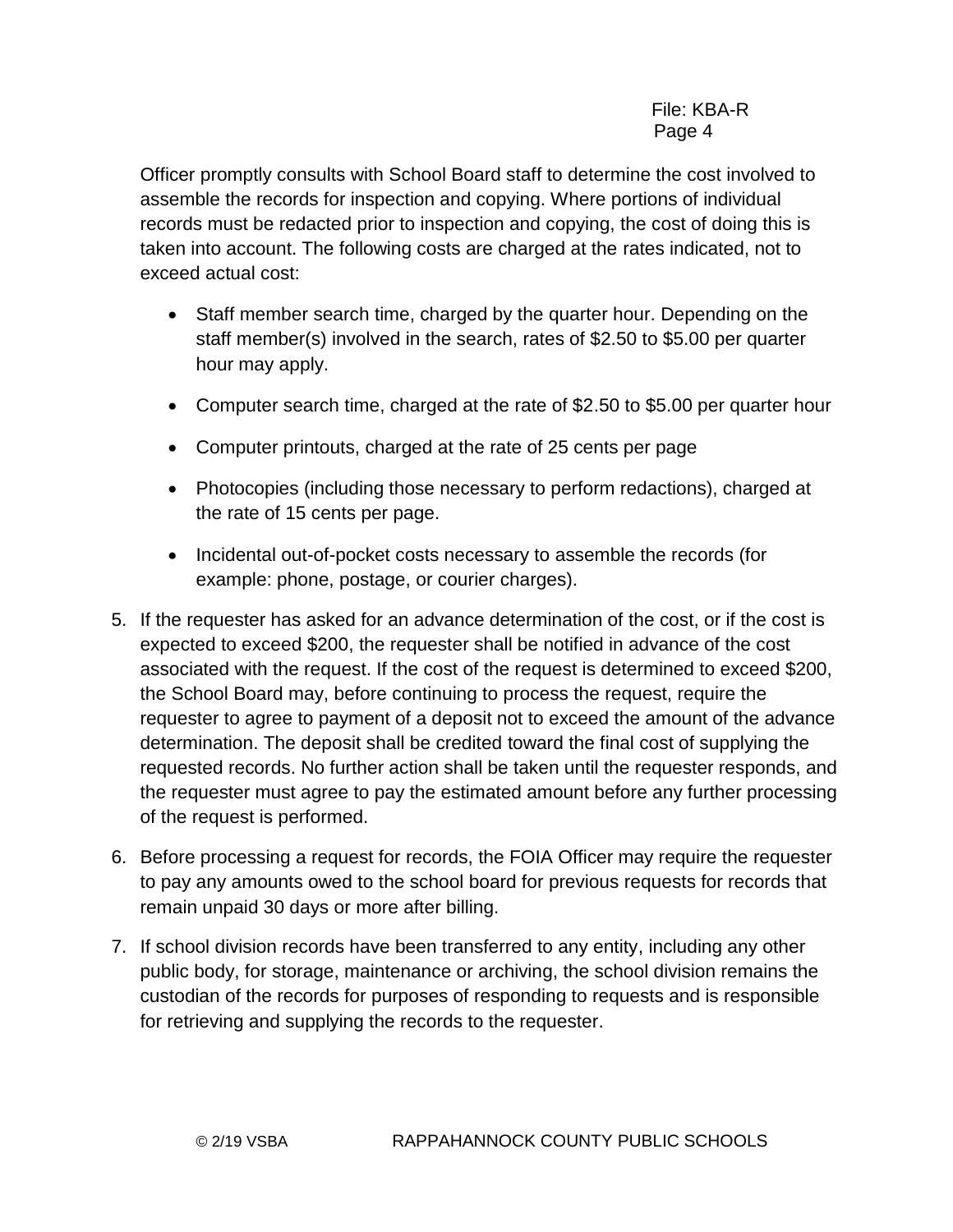Officer promptly consults with School Board staff to determine the cost involved to assemble the records for inspection and copying. Where portions of individual records must be redacted prior to inspection and copying, the cost of doing this is taken into account. The following costs are charged at the rates indicated, not to exceed actual cost:

- Staff member search time, charged by the quarter hour. Depending on the staff member(s) involved in the search, rates of \$2.50 to \$5.00 per quarter hour may apply.
- Computer search time, charged at the rate of \$2.50 to \$5.00 per quarter hour
- Computer printouts, charged at the rate of 25 cents per page
- Photocopies (including those necessary to perform redactions), charged at the rate of 15 cents per page.
- Incidental out-of-pocket costs necessary to assemble the records (for example: phone, postage, or courier charges).
- 5. If the requester has asked for an advance determination of the cost, or if the cost is expected to exceed \$200, the requester shall be notified in advance of the cost associated with the request. If the cost of the request is determined to exceed \$200, the School Board may, before continuing to process the request, require the requester to agree to payment of a deposit not to exceed the amount of the advance determination. The deposit shall be credited toward the final cost of supplying the requested records. No further action shall be taken until the requester responds, and the requester must agree to pay the estimated amount before any further processing of the request is performed.
- 6. Before processing a request for records, the FOIA Officer may require the requester to pay any amounts owed to the school board for previous requests for records that remain unpaid 30 days or more after billing.
- 7. If school division records have been transferred to any entity, including any other public body, for storage, maintenance or archiving, the school division remains the custodian of the records for purposes of responding to requests and is responsible for retrieving and supplying the records to the requester.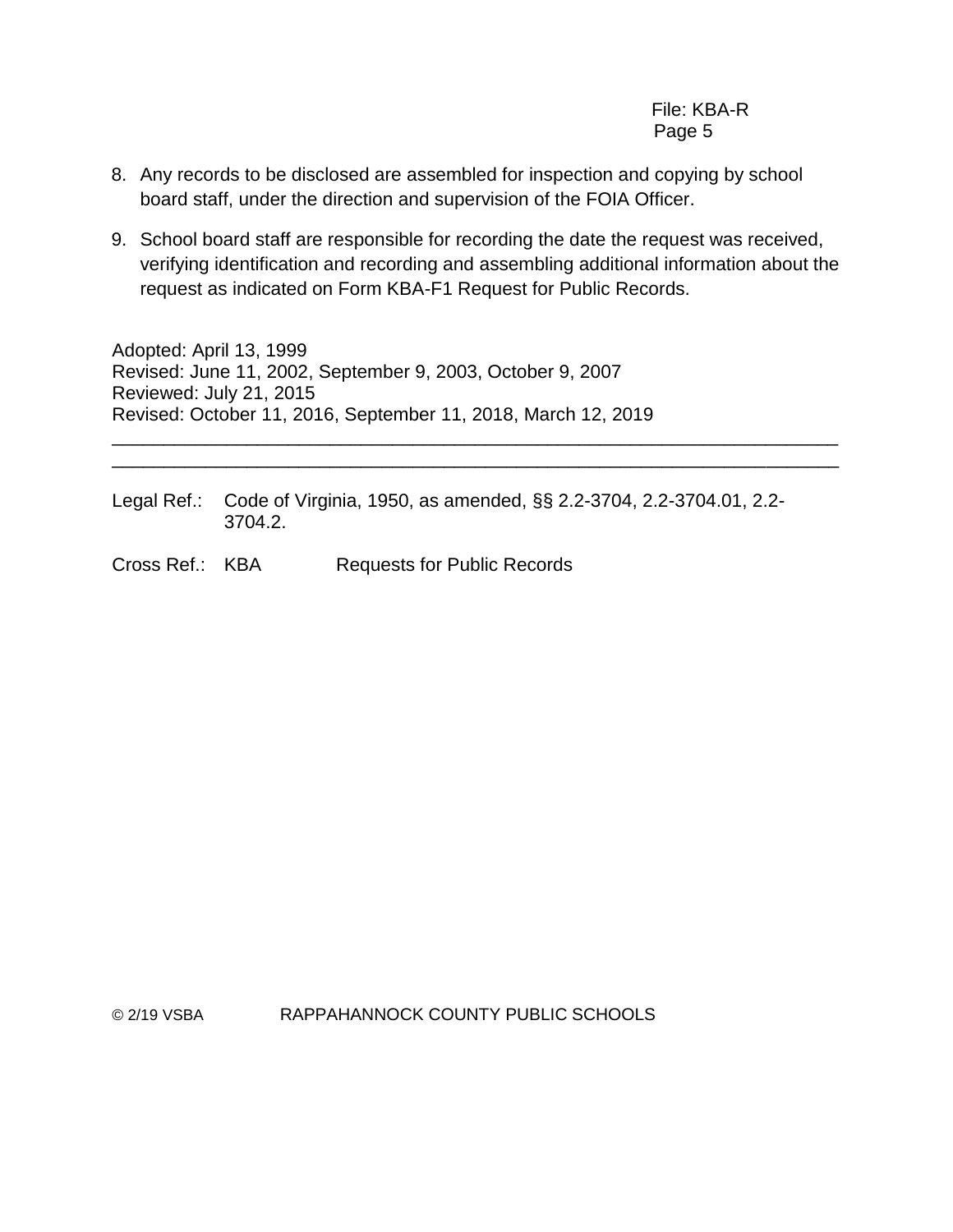- 8. Any records to be disclosed are assembled for inspection and copying by school board staff, under the direction and supervision of the FOIA Officer.
- 9. School board staff are responsible for recording the date the request was received, verifying identification and recording and assembling additional information about the request as indicated on Form KBA-F1 Request for Public Records.

Adopted: April 13, 1999 Revised: June 11, 2002, September 9, 2003, October 9, 2007 Reviewed: July 21, 2015 Revised: October 11, 2016, September 11, 2018, March 12, 2019 \_\_\_\_\_\_\_\_\_\_\_\_\_\_\_\_\_\_\_\_\_\_\_\_\_\_\_\_\_\_\_\_\_\_\_\_\_\_\_\_\_\_\_\_\_\_\_\_\_\_\_\_\_\_\_\_\_\_\_\_\_\_\_\_\_\_\_\_\_\_

Legal Ref.: Code of Virginia, 1950, as amended, §§ 2.2-3704, 2.2-3704.01, 2.2- 3704.2.

\_\_\_\_\_\_\_\_\_\_\_\_\_\_\_\_\_\_\_\_\_\_\_\_\_\_\_\_\_\_\_\_\_\_\_\_\_\_\_\_\_\_\_\_\_\_\_\_\_\_\_\_\_\_\_\_\_\_\_\_\_\_\_\_\_\_\_\_\_\_

Cross Ref.: KBA Requests for Public Records

© 2/19 VSBA RAPPAHANNOCK COUNTY PUBLIC SCHOOLS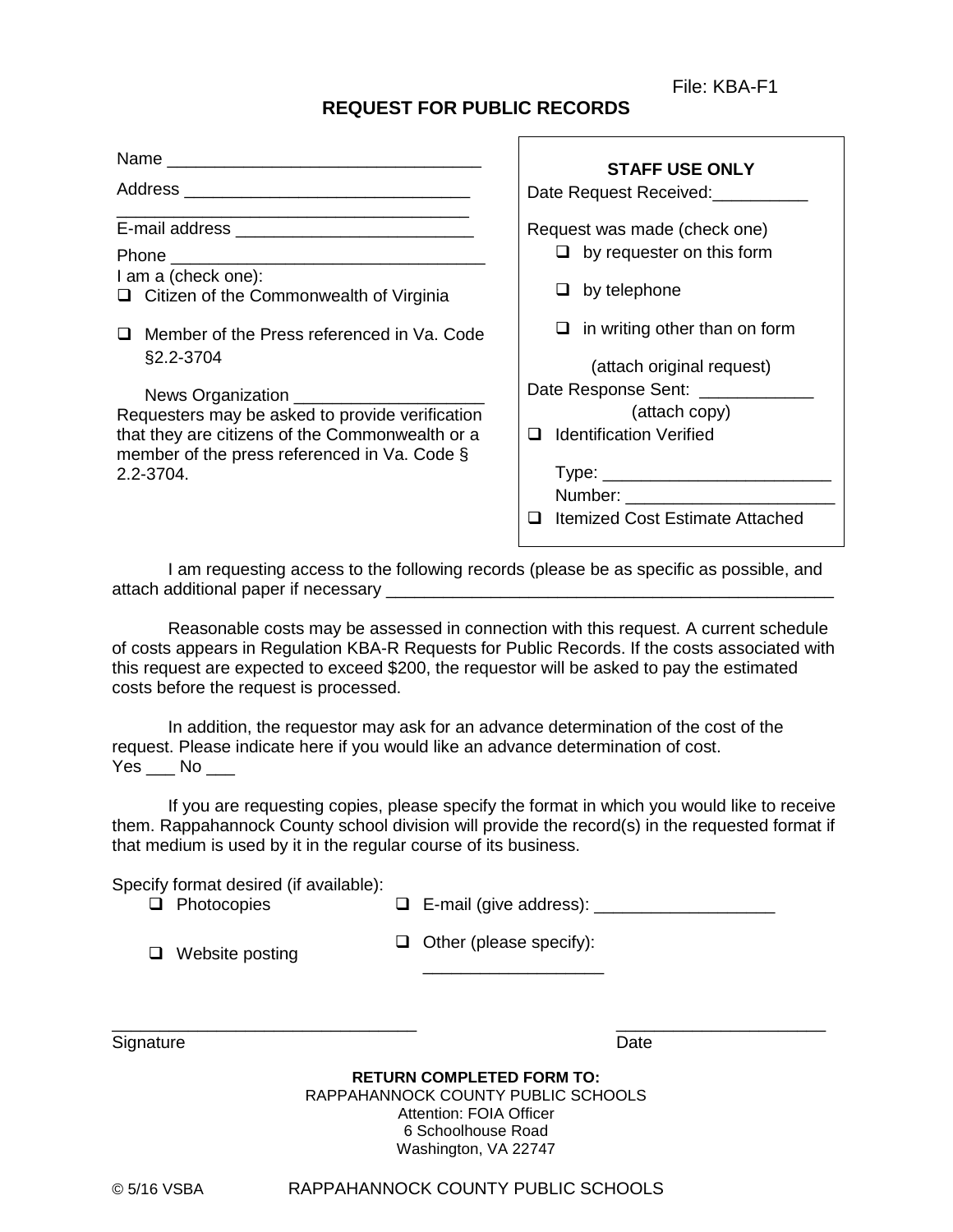File: KBA-F1

# **REQUEST FOR PUBLIC RECORDS**

Name \_\_\_\_\_\_\_\_\_\_\_\_\_\_\_\_\_\_\_\_\_\_\_\_\_\_\_\_\_\_\_\_\_ **STAFF USE ONLY** Date Request Received:\_\_\_\_\_\_\_\_ Request was made (check one)  $\Box$  by requester on this form  $\Box$  by telephone  $\Box$  in writing other than on form (attach original request) Date Response Sent: (attach copy) **Q** Identification Verified Type: \_\_\_\_\_\_\_\_\_\_\_\_\_\_\_\_\_\_\_\_\_\_\_\_ Number: □ Itemized Cost Estimate Attached Address **and a set of the set of the set of the set of the set of the set of the set of the set of the set of the set of the set of the set of the set of the set of the set of the set of the set of the set of the set of th** E-mail address **E-mail address** Phone **Lating** I am a (check one):  $\Box$  Citizen of the Commonwealth of Virginia □ Member of the Press referenced in Va. Code §2.2-3704 News Organization \_\_\_\_ Requesters may be asked to provide verification that they are citizens of the Commonwealth or a member of the press referenced in Va. Code § 2.2-3704.

I am requesting access to the following records (please be as specific as possible, and attach additional paper if necessary \_\_\_\_\_\_\_\_\_\_\_\_\_\_\_\_\_\_\_\_\_\_\_\_\_\_\_\_\_\_\_\_\_\_\_\_\_\_\_\_\_\_\_\_\_\_\_

Reasonable costs may be assessed in connection with this request. A current schedule of costs appears in Regulation KBA-R Requests for Public Records. If the costs associated with this request are expected to exceed \$200, the requestor will be asked to pay the estimated costs before the request is processed.

In addition, the requestor may ask for an advance determination of the cost of the request. Please indicate here if you would like an advance determination of cost. Yes No

If you are requesting copies, please specify the format in which you would like to receive them. Rappahannock County school division will provide the record(s) in the requested format if that medium is used by it in the regular course of its business.

Specify format desired (if available):

Photocopies E-mail (give address): \_\_\_\_\_\_\_\_\_\_\_\_\_\_\_\_\_\_\_

 $\Box$  Website posting  $\Box$ 

|  |  |  | <b>]</b> Other (please specify): |  |
|--|--|--|----------------------------------|--|
|--|--|--|----------------------------------|--|

\_\_\_\_\_\_\_\_\_\_\_\_\_\_\_\_\_\_\_

Signature Date **Date** 

**RETURN COMPLETED FORM TO:** RAPPAHANNOCK COUNTY PUBLIC SCHOOLS Attention: FOIA Officer 6 Schoolhouse Road Washington, VA 22747

 $\overline{\phantom{a}}$  , and the contract of the contract of the contract of the contract of the contract of the contract of the contract of the contract of the contract of the contract of the contract of the contract of the contrac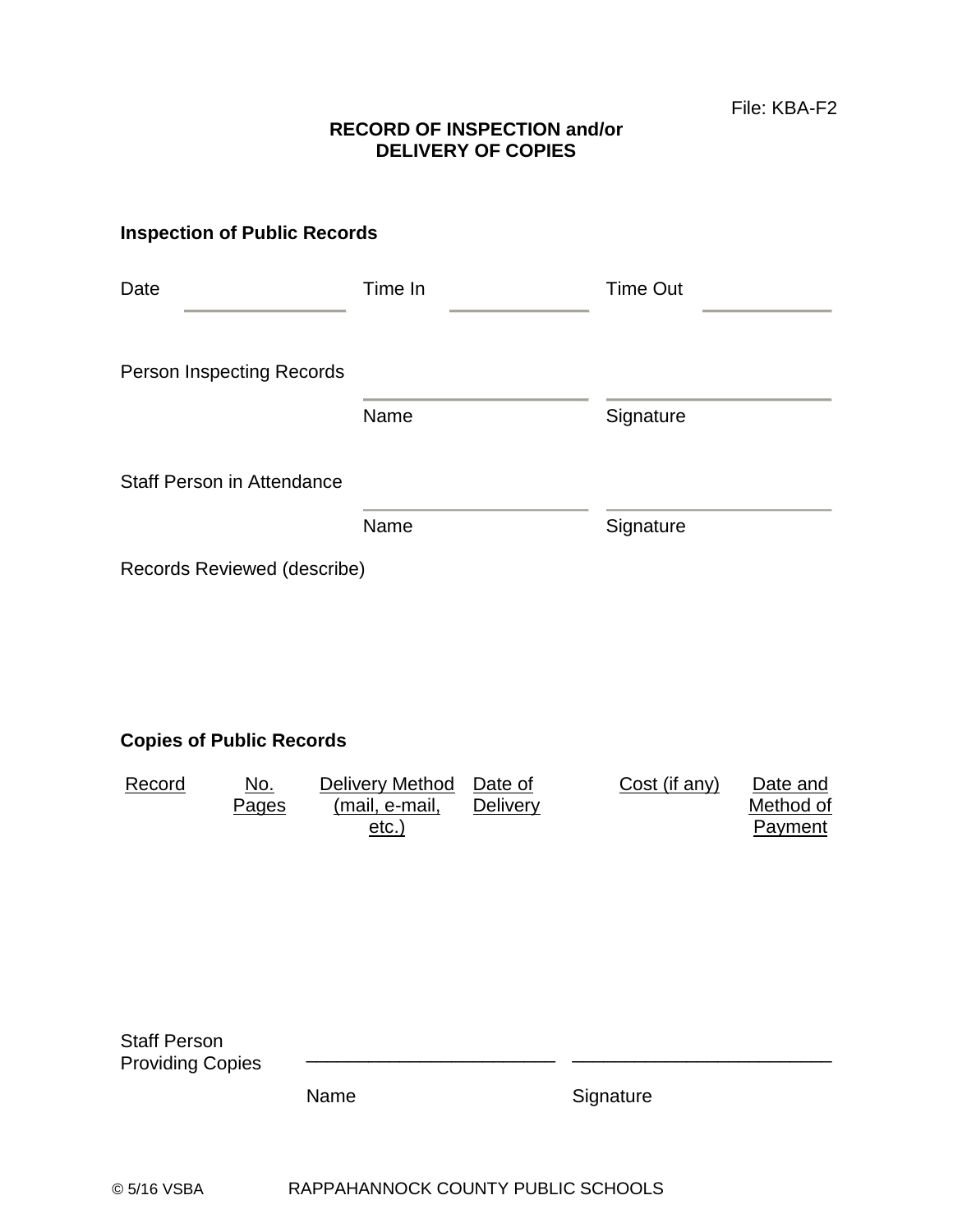# **RECORD OF INSPECTION and/or DELIVERY OF COPIES**

# **Inspection of Public Records**

| Date                              | Time In | Time Out  |  |  |
|-----------------------------------|---------|-----------|--|--|
| Person Inspecting Records         |         |           |  |  |
|                                   | Name    | Signature |  |  |
| <b>Staff Person in Attendance</b> |         |           |  |  |
|                                   | Name    | Signature |  |  |
| Records Reviewed (describe)       |         |           |  |  |

# **Copies of Public Records**

| Record | No.          | Delivery Method | Date of         | Cost (if any) | Date and  |
|--------|--------------|-----------------|-----------------|---------------|-----------|
|        | <b>Pages</b> | (mail, e-mail,  | <b>Delivery</b> |               | Method of |
|        |              | etc.            |                 |               | Payment   |

| <b>Staff Person</b><br><b>Providing Copies</b> |      |           |
|------------------------------------------------|------|-----------|
|                                                | Name | Signature |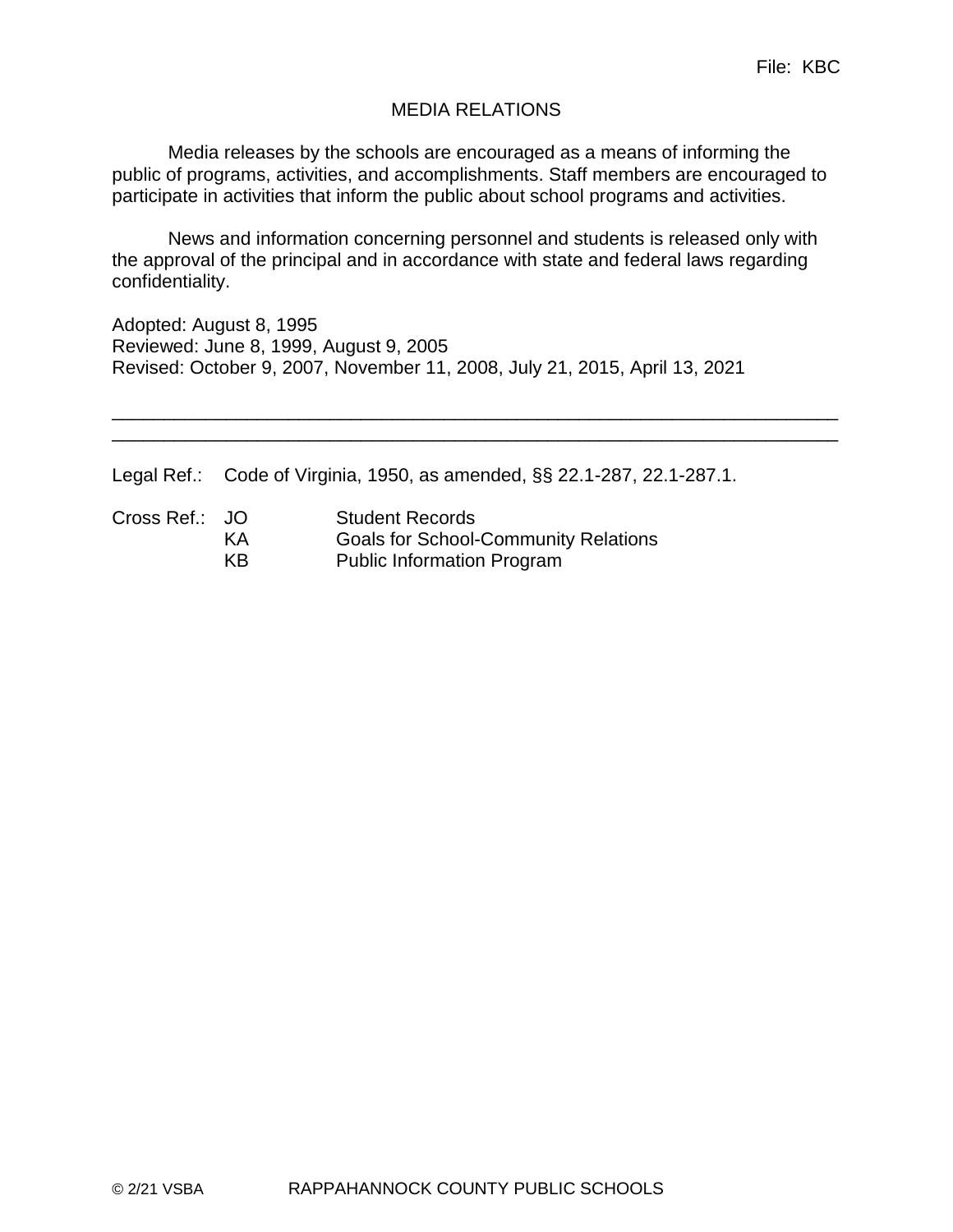# MEDIA RELATIONS

Media releases by the schools are encouraged as a means of informing the public of programs, activities, and accomplishments. Staff members are encouraged to participate in activities that inform the public about school programs and activities.

News and information concerning personnel and students is released only with the approval of the principal and in accordance with state and federal laws regarding confidentiality.

\_\_\_\_\_\_\_\_\_\_\_\_\_\_\_\_\_\_\_\_\_\_\_\_\_\_\_\_\_\_\_\_\_\_\_\_\_\_\_\_\_\_\_\_\_\_\_\_\_\_\_\_\_\_\_\_\_\_\_\_\_\_\_\_\_\_\_\_\_\_ \_\_\_\_\_\_\_\_\_\_\_\_\_\_\_\_\_\_\_\_\_\_\_\_\_\_\_\_\_\_\_\_\_\_\_\_\_\_\_\_\_\_\_\_\_\_\_\_\_\_\_\_\_\_\_\_\_\_\_\_\_\_\_\_\_\_\_\_\_\_

Adopted: August 8, 1995 Reviewed: June 8, 1999, August 9, 2005 Revised: October 9, 2007, November 11, 2008, July 21, 2015, April 13, 2021

Legal Ref.: Code of Virginia, 1950, as amended, §§ 22.1-287, 22.1-287.1.

Cross Ref.: JO Student Records KA Goals for School-Community Relations KB Public Information Program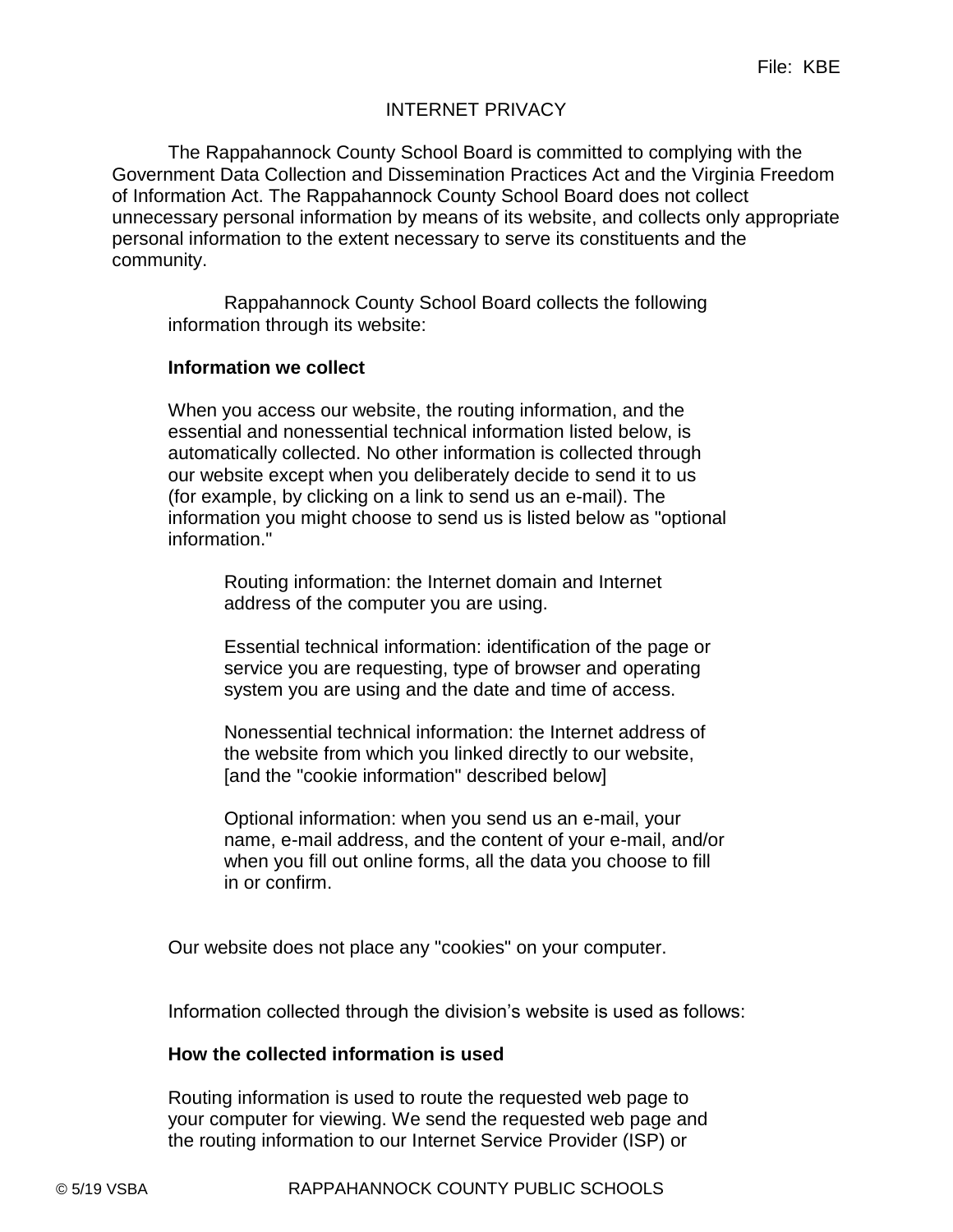# INTERNET PRIVACY

The Rappahannock County School Board is committed to complying with the Government Data Collection and Dissemination Practices Act and the Virginia Freedom of Information Act. The Rappahannock County School Board does not collect unnecessary personal information by means of its website, and collects only appropriate personal information to the extent necessary to serve its constituents and the community.

Rappahannock County School Board collects the following information through its website:

#### **Information we collect**

When you access our website, the routing information, and the essential and nonessential technical information listed below, is automatically collected. No other information is collected through our website except when you deliberately decide to send it to us (for example, by clicking on a link to send us an e-mail). The information you might choose to send us is listed below as "optional information."

Routing information: the Internet domain and Internet address of the computer you are using.

Essential technical information: identification of the page or service you are requesting, type of browser and operating system you are using and the date and time of access.

Nonessential technical information: the Internet address of the website from which you linked directly to our website, [and the "cookie information" described below]

Optional information: when you send us an e-mail, your name, e-mail address, and the content of your e-mail, and/or when you fill out online forms, all the data you choose to fill in or confirm.

Our website does not place any "cookies" on your computer.

Information collected through the division's website is used as follows:

# **How the collected information is used**

Routing information is used to route the requested web page to your computer for viewing. We send the requested web page and the routing information to our Internet Service Provider (ISP) or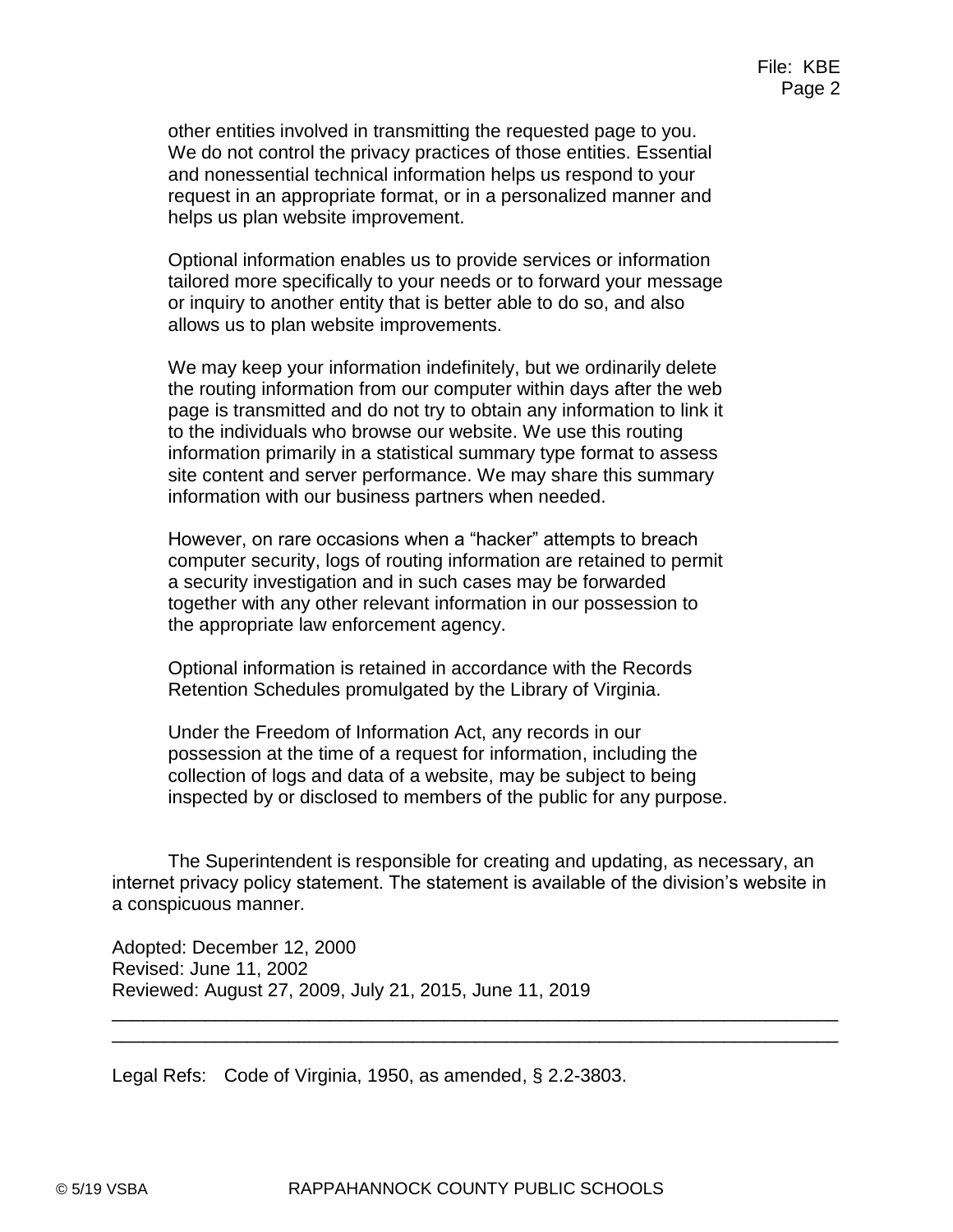other entities involved in transmitting the requested page to you. We do not control the privacy practices of those entities. Essential and nonessential technical information helps us respond to your request in an appropriate format, or in a personalized manner and helps us plan website improvement.

Optional information enables us to provide services or information tailored more specifically to your needs or to forward your message or inquiry to another entity that is better able to do so, and also allows us to plan website improvements.

We may keep your information indefinitely, but we ordinarily delete the routing information from our computer within days after the web page is transmitted and do not try to obtain any information to link it to the individuals who browse our website. We use this routing information primarily in a statistical summary type format to assess site content and server performance. We may share this summary information with our business partners when needed.

However, on rare occasions when a "hacker" attempts to breach computer security, logs of routing information are retained to permit a security investigation and in such cases may be forwarded together with any other relevant information in our possession to the appropriate law enforcement agency.

Optional information is retained in accordance with the Records Retention Schedules promulgated by the Library of Virginia.

Under the Freedom of Information Act, any records in our possession at the time of a request for information, including the collection of logs and data of a website, may be subject to being inspected by or disclosed to members of the public for any purpose.

The Superintendent is responsible for creating and updating, as necessary, an internet privacy policy statement. The statement is available of the division's website in a conspicuous manner.

\_\_\_\_\_\_\_\_\_\_\_\_\_\_\_\_\_\_\_\_\_\_\_\_\_\_\_\_\_\_\_\_\_\_\_\_\_\_\_\_\_\_\_\_\_\_\_\_\_\_\_\_\_\_\_\_\_\_\_\_\_\_\_\_\_\_\_\_\_\_ \_\_\_\_\_\_\_\_\_\_\_\_\_\_\_\_\_\_\_\_\_\_\_\_\_\_\_\_\_\_\_\_\_\_\_\_\_\_\_\_\_\_\_\_\_\_\_\_\_\_\_\_\_\_\_\_\_\_\_\_\_\_\_\_\_\_\_\_\_\_

Adopted: December 12, 2000 Revised: June 11, 2002 Reviewed: August 27, 2009, July 21, 2015, June 11, 2019

Legal Refs: Code of Virginia, 1950, as amended, § 2.2-3803.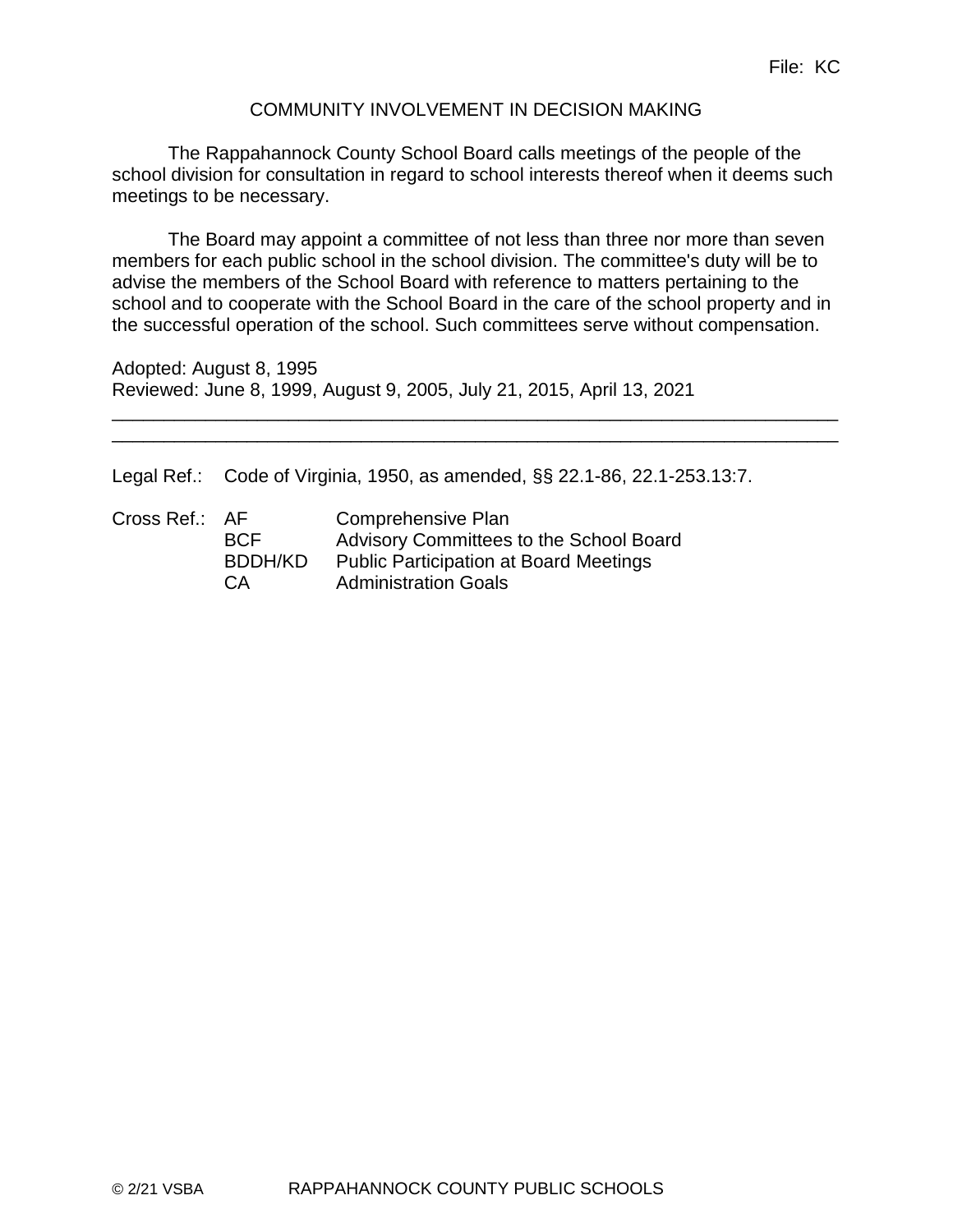# COMMUNITY INVOLVEMENT IN DECISION MAKING

The Rappahannock County School Board calls meetings of the people of the school division for consultation in regard to school interests thereof when it deems such meetings to be necessary.

The Board may appoint a committee of not less than three nor more than seven members for each public school in the school division. The committee's duty will be to advise the members of the School Board with reference to matters pertaining to the school and to cooperate with the School Board in the care of the school property and in the successful operation of the school. Such committees serve without compensation.

\_\_\_\_\_\_\_\_\_\_\_\_\_\_\_\_\_\_\_\_\_\_\_\_\_\_\_\_\_\_\_\_\_\_\_\_\_\_\_\_\_\_\_\_\_\_\_\_\_\_\_\_\_\_\_\_\_\_\_\_\_\_\_\_\_\_\_\_\_\_ \_\_\_\_\_\_\_\_\_\_\_\_\_\_\_\_\_\_\_\_\_\_\_\_\_\_\_\_\_\_\_\_\_\_\_\_\_\_\_\_\_\_\_\_\_\_\_\_\_\_\_\_\_\_\_\_\_\_\_\_\_\_\_\_\_\_\_\_\_\_

Adopted: August 8, 1995 Reviewed: June 8, 1999, August 9, 2005, July 21, 2015, April 13, 2021

Legal Ref.: Code of Virginia, 1950, as amended, §§ 22.1-86, 22.1-253.13:7.

| Cross Ref.: AF |            | Comprehensive Plan                            |
|----------------|------------|-----------------------------------------------|
|                | <b>BCF</b> | Advisory Committees to the School Board       |
|                | BDDH/KD    | <b>Public Participation at Board Meetings</b> |
|                | CA         | <b>Administration Goals</b>                   |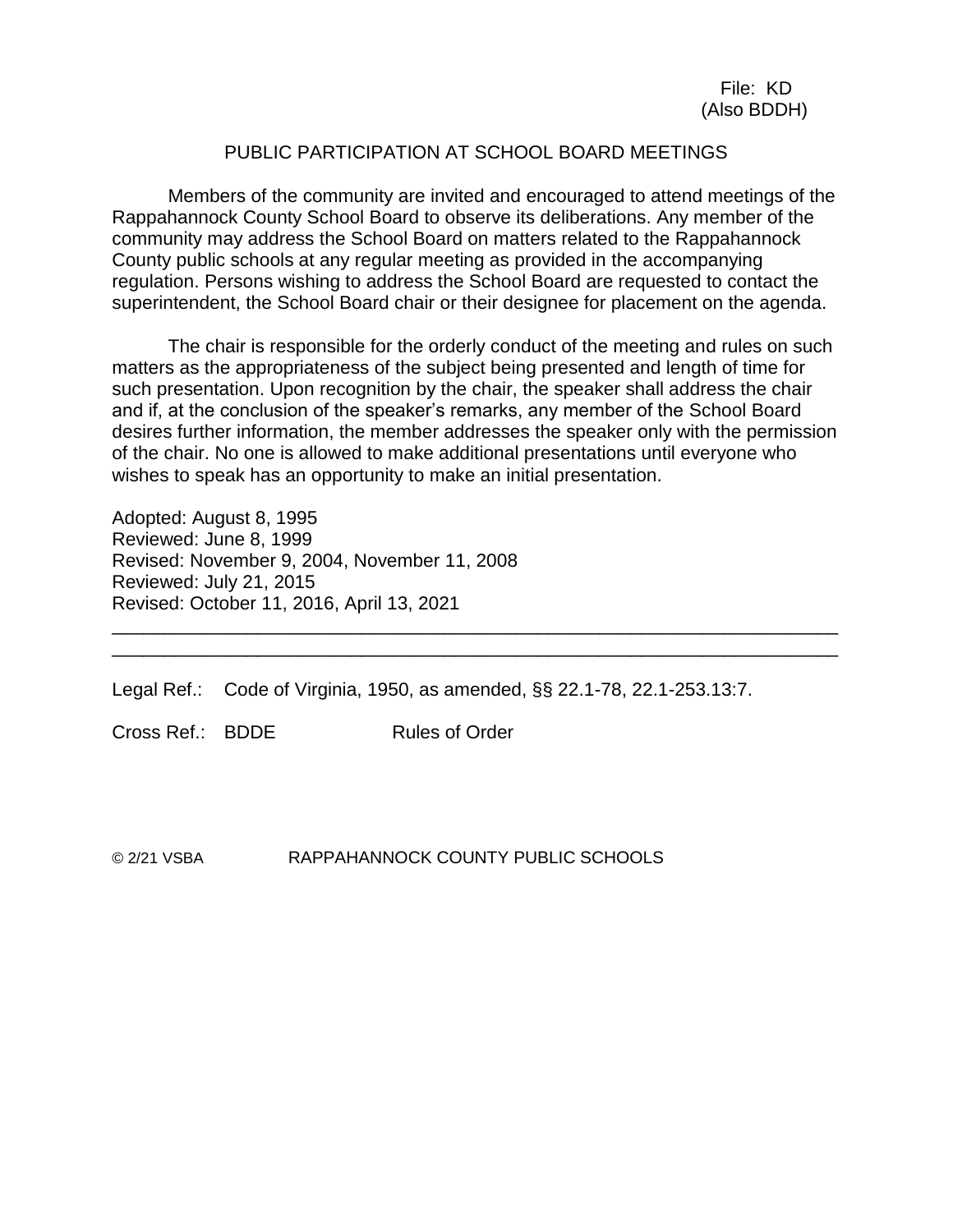#### PUBLIC PARTICIPATION AT SCHOOL BOARD MEETINGS

Members of the community are invited and encouraged to attend meetings of the Rappahannock County School Board to observe its deliberations. Any member of the community may address the School Board on matters related to the Rappahannock County public schools at any regular meeting as provided in the accompanying regulation. Persons wishing to address the School Board are requested to contact the superintendent, the School Board chair or their designee for placement on the agenda.

The chair is responsible for the orderly conduct of the meeting and rules on such matters as the appropriateness of the subject being presented and length of time for such presentation. Upon recognition by the chair, the speaker shall address the chair and if, at the conclusion of the speaker's remarks, any member of the School Board desires further information, the member addresses the speaker only with the permission of the chair. No one is allowed to make additional presentations until everyone who wishes to speak has an opportunity to make an initial presentation.

\_\_\_\_\_\_\_\_\_\_\_\_\_\_\_\_\_\_\_\_\_\_\_\_\_\_\_\_\_\_\_\_\_\_\_\_\_\_\_\_\_\_\_\_\_\_\_\_\_\_\_\_\_\_\_\_\_\_\_\_\_\_\_\_\_\_\_\_\_\_ \_\_\_\_\_\_\_\_\_\_\_\_\_\_\_\_\_\_\_\_\_\_\_\_\_\_\_\_\_\_\_\_\_\_\_\_\_\_\_\_\_\_\_\_\_\_\_\_\_\_\_\_\_\_\_\_\_\_\_\_\_\_\_\_\_\_\_\_\_\_

Adopted: August 8, 1995 Reviewed: June 8, 1999 Revised: November 9, 2004, November 11, 2008 Reviewed: July 21, 2015 Revised: October 11, 2016, April 13, 2021

Legal Ref.: Code of Virginia, 1950, as amended, §§ 22.1-78, 22.1-253.13:7.

Cross Ref.: BDDF Rules of Order

© 2/21 VSBA RAPPAHANNOCK COUNTY PUBLIC SCHOOLS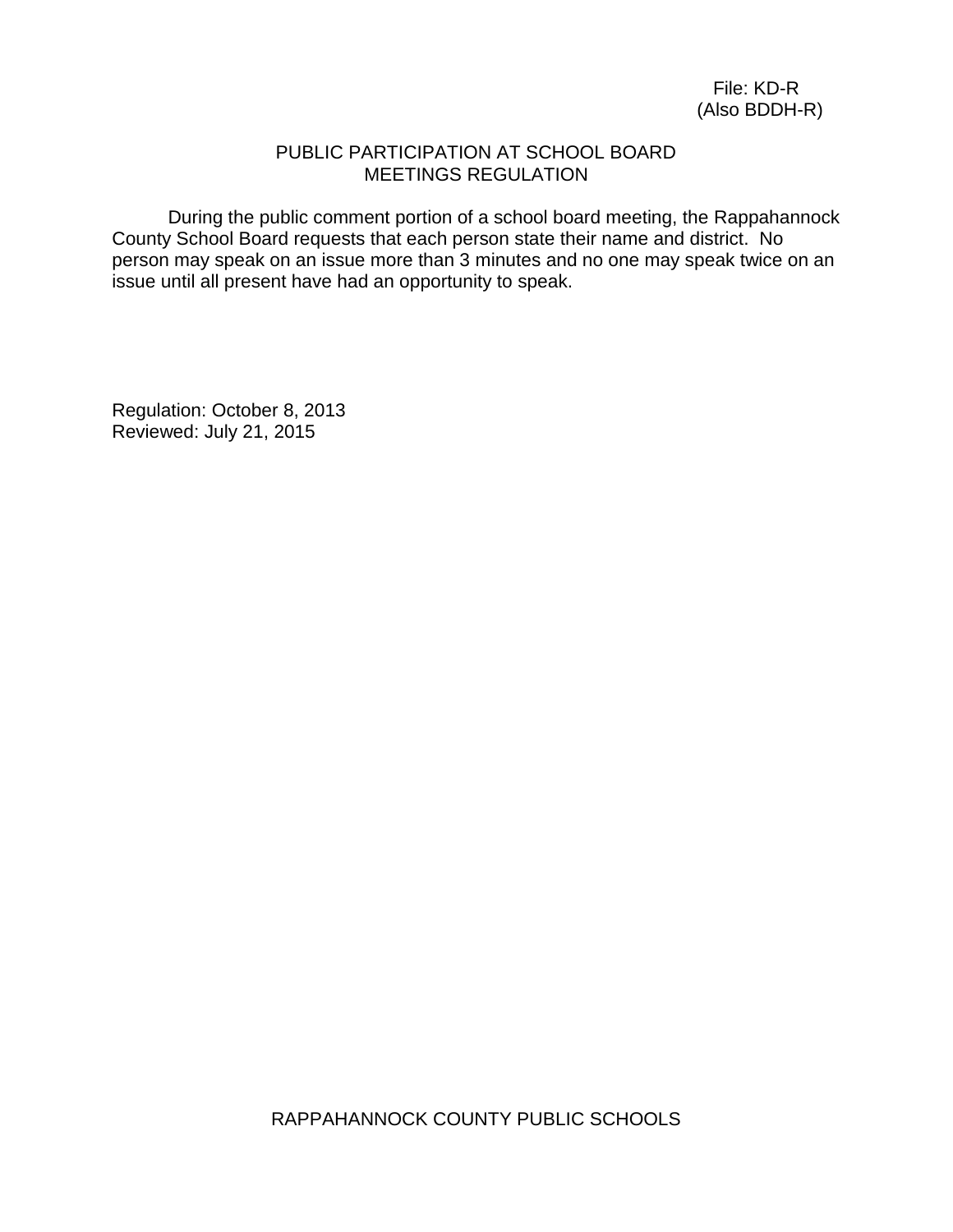#### PUBLIC PARTICIPATION AT SCHOOL BOARD MEETINGS REGULATION

During the public comment portion of a school board meeting, the Rappahannock County School Board requests that each person state their name and district. No person may speak on an issue more than 3 minutes and no one may speak twice on an issue until all present have had an opportunity to speak.

Regulation: October 8, 2013 Reviewed: July 21, 2015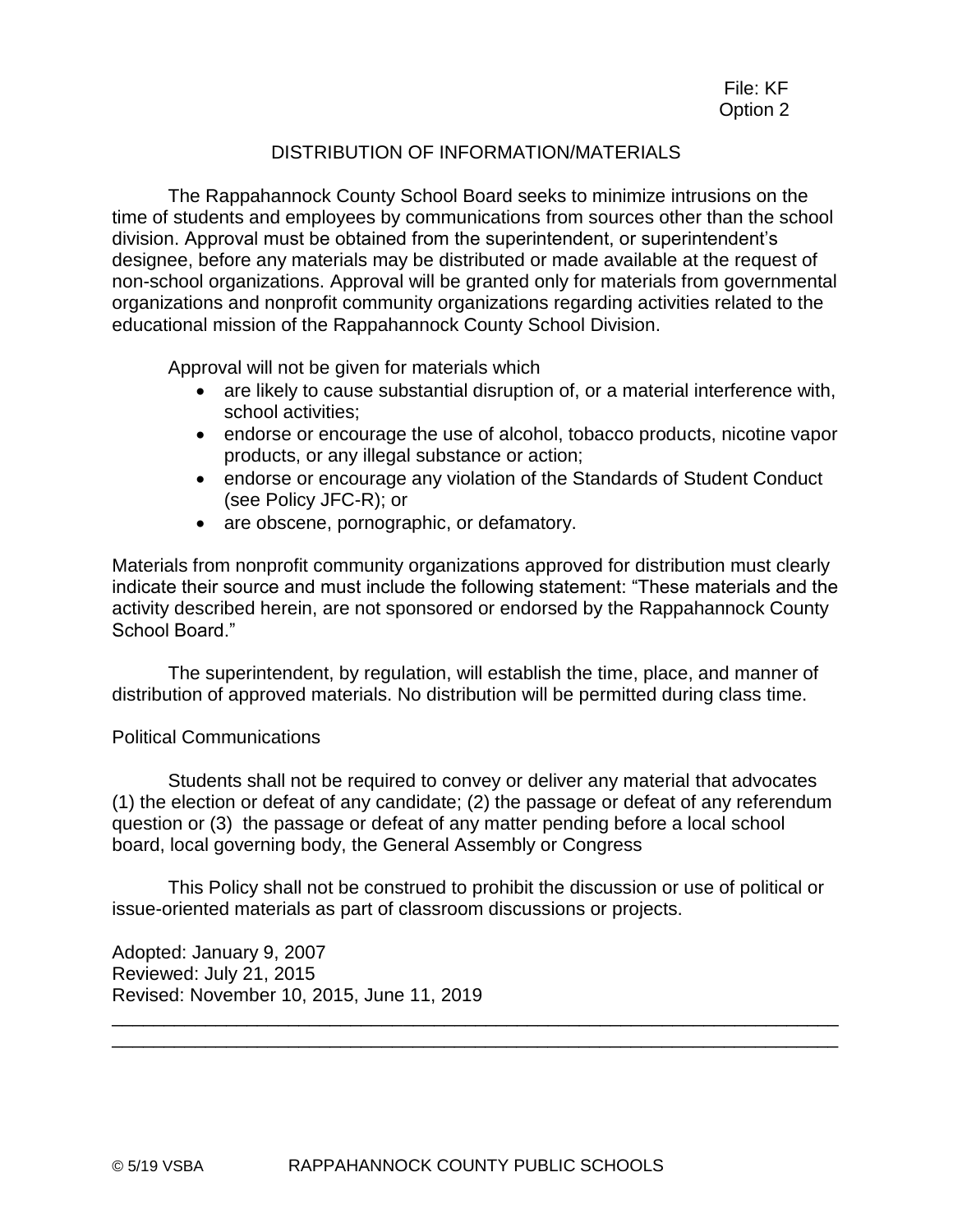#### DISTRIBUTION OF INFORMATION/MATERIALS

The Rappahannock County School Board seeks to minimize intrusions on the time of students and employees by communications from sources other than the school division. Approval must be obtained from the superintendent, or superintendent's designee, before any materials may be distributed or made available at the request of non-school organizations. Approval will be granted only for materials from governmental organizations and nonprofit community organizations regarding activities related to the educational mission of the Rappahannock County School Division.

Approval will not be given for materials which

- are likely to cause substantial disruption of, or a material interference with, school activities;
- endorse or encourage the use of alcohol, tobacco products, nicotine vapor products, or any illegal substance or action;
- endorse or encourage any violation of the Standards of Student Conduct (see Policy JFC-R); or
- are obscene, pornographic, or defamatory.

Materials from nonprofit community organizations approved for distribution must clearly indicate their source and must include the following statement: "These materials and the activity described herein, are not sponsored or endorsed by the Rappahannock County School Board."

The superintendent, by regulation, will establish the time, place, and manner of distribution of approved materials. No distribution will be permitted during class time.

#### Political Communications

Students shall not be required to convey or deliver any material that advocates (1) the election or defeat of any candidate; (2) the passage or defeat of any referendum question or (3) the passage or defeat of any matter pending before a local school board, local governing body, the General Assembly or Congress

This Policy shall not be construed to prohibit the discussion or use of political or issue-oriented materials as part of classroom discussions or projects.

\_\_\_\_\_\_\_\_\_\_\_\_\_\_\_\_\_\_\_\_\_\_\_\_\_\_\_\_\_\_\_\_\_\_\_\_\_\_\_\_\_\_\_\_\_\_\_\_\_\_\_\_\_\_\_\_\_\_\_\_\_\_\_\_\_\_\_\_\_\_ \_\_\_\_\_\_\_\_\_\_\_\_\_\_\_\_\_\_\_\_\_\_\_\_\_\_\_\_\_\_\_\_\_\_\_\_\_\_\_\_\_\_\_\_\_\_\_\_\_\_\_\_\_\_\_\_\_\_\_\_\_\_\_\_\_\_\_\_\_\_

Adopted: January 9, 2007 Reviewed: July 21, 2015 Revised: November 10, 2015, June 11, 2019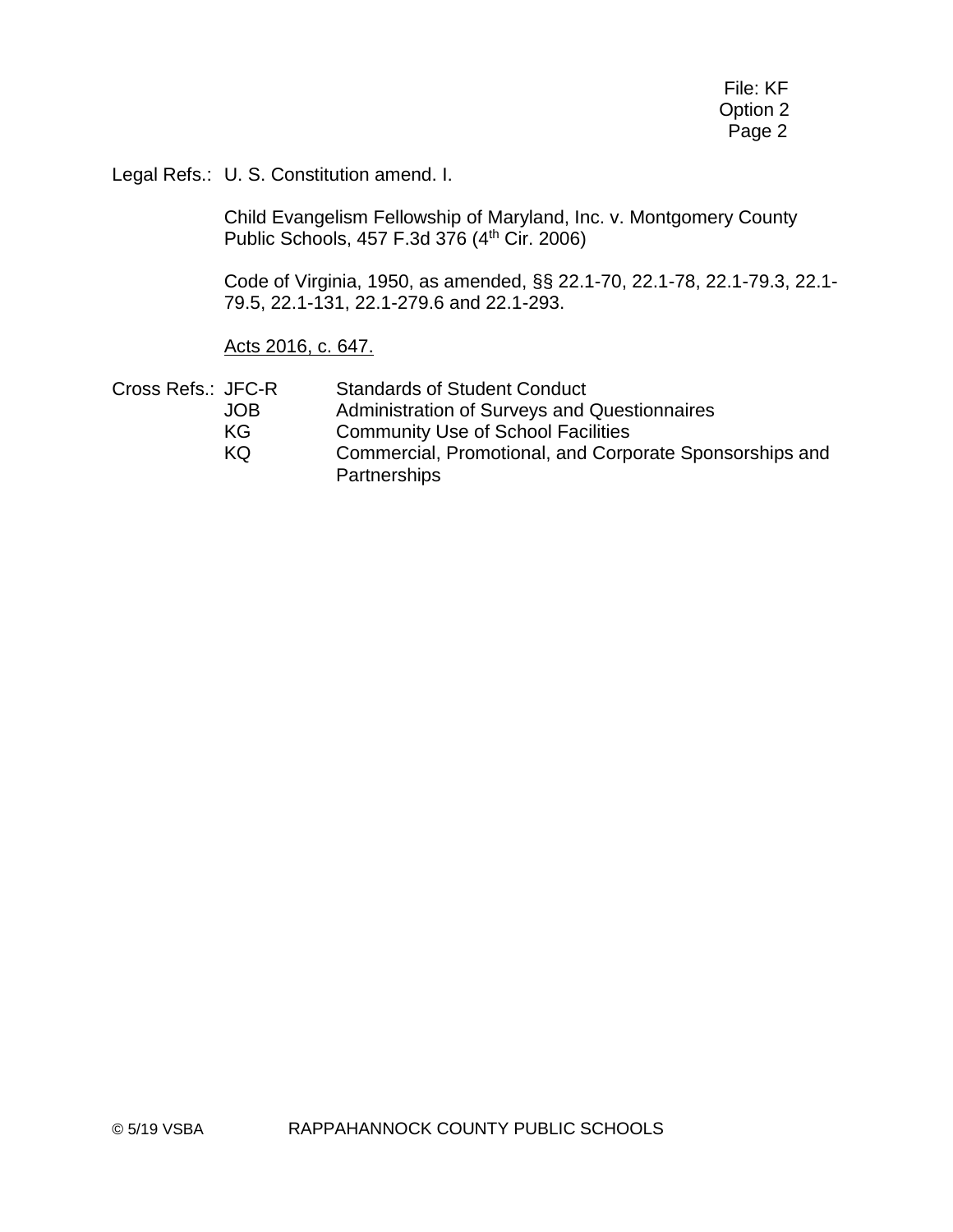File: KF Option 2 Page 2

Legal Refs.: U. S. Constitution amend. I.

Child Evangelism Fellowship of Maryland, Inc. v. Montgomery County Public Schools, 457 F.3d 376 (4th Cir. 2006)

Code of Virginia, 1950, as amended, §§ 22.1-70, 22.1-78, 22.1-79.3, 22.1- 79.5, 22.1-131, 22.1-279.6 and 22.1-293.

#### Acts 2016, c. 647.

| Cross Refs.: JFC-R | <b>Standards of Student Conduct</b>                     |
|--------------------|---------------------------------------------------------|
| JOB.               | Administration of Surveys and Questionnaires            |
| KG.                | <b>Community Use of School Facilities</b>               |
| KQ.                | Commercial, Promotional, and Corporate Sponsorships and |
|                    | Partnerships                                            |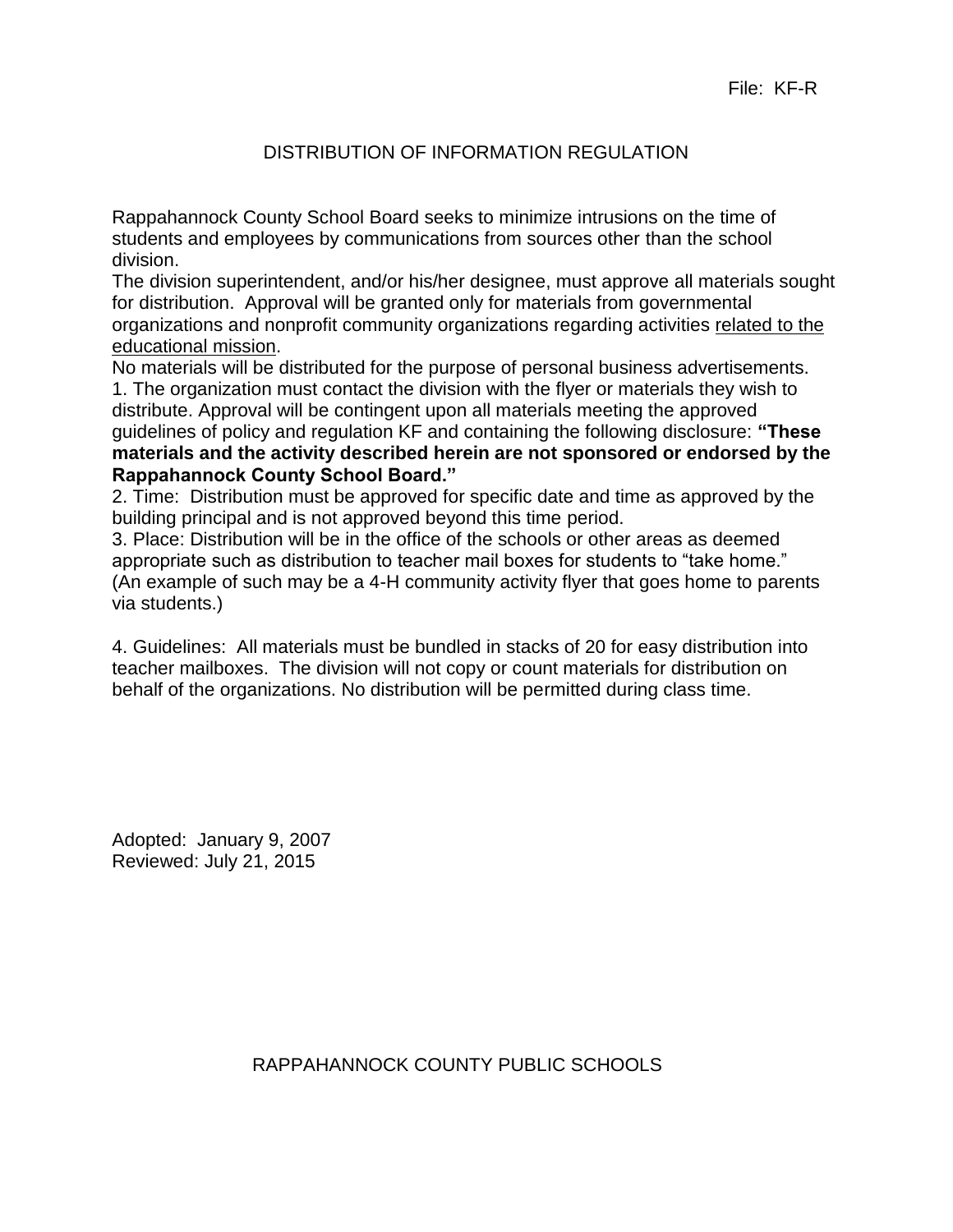# DISTRIBUTION OF INFORMATION REGULATION

Rappahannock County School Board seeks to minimize intrusions on the time of students and employees by communications from sources other than the school division.

The division superintendent, and/or his/her designee, must approve all materials sought for distribution. Approval will be granted only for materials from governmental organizations and nonprofit community organizations regarding activities related to the educational mission.

No materials will be distributed for the purpose of personal business advertisements. 1. The organization must contact the division with the flyer or materials they wish to distribute. Approval will be contingent upon all materials meeting the approved guidelines of policy and regulation KF and containing the following disclosure: **"These materials and the activity described herein are not sponsored or endorsed by the Rappahannock County School Board."** 

2. Time: Distribution must be approved for specific date and time as approved by the building principal and is not approved beyond this time period.

3. Place: Distribution will be in the office of the schools or other areas as deemed appropriate such as distribution to teacher mail boxes for students to "take home." (An example of such may be a 4-H community activity flyer that goes home to parents via students.)

4. Guidelines: All materials must be bundled in stacks of 20 for easy distribution into teacher mailboxes. The division will not copy or count materials for distribution on behalf of the organizations. No distribution will be permitted during class time.

Adopted: January 9, 2007 Reviewed: July 21, 2015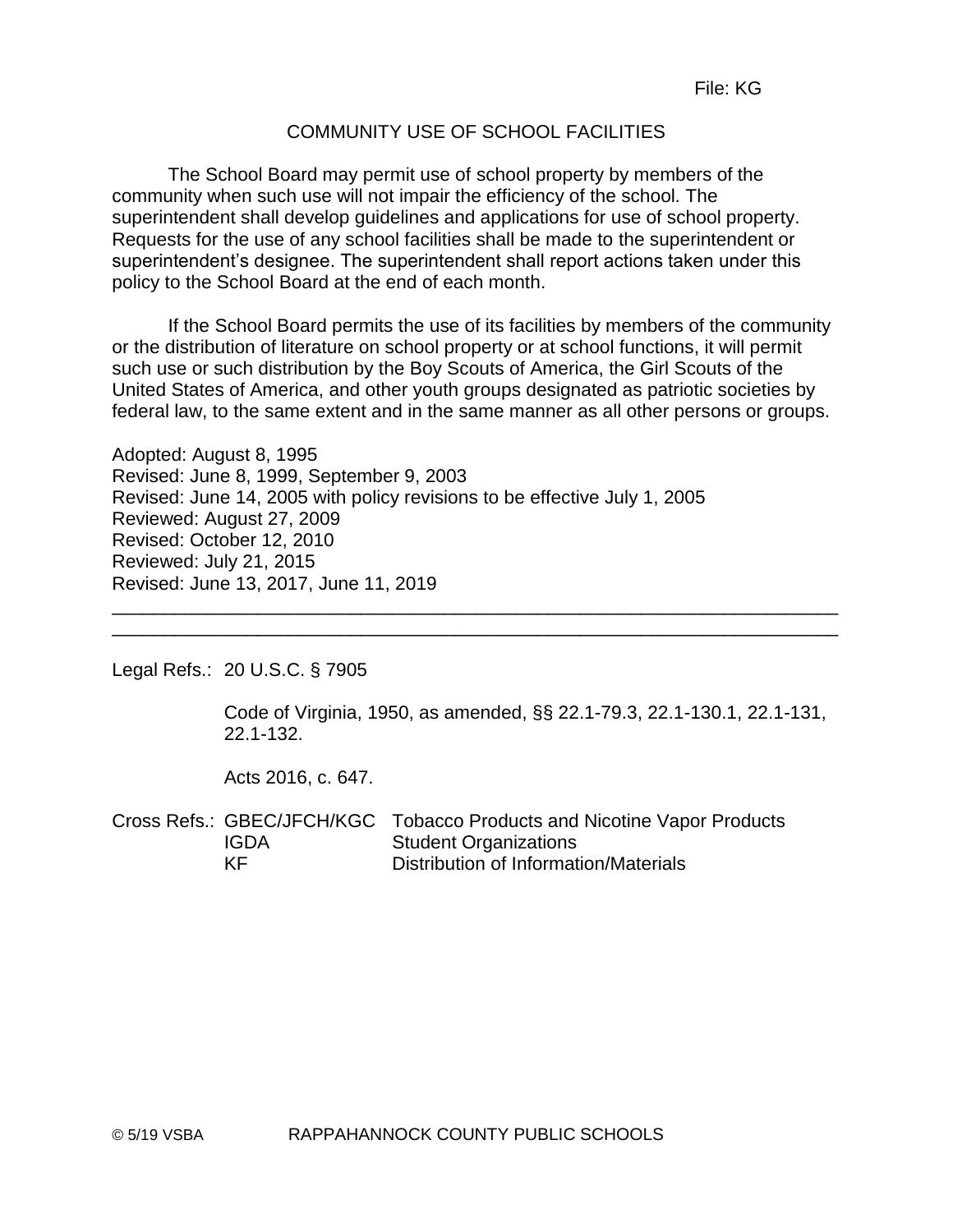# COMMUNITY USE OF SCHOOL FACILITIES

The School Board may permit use of school property by members of the community when such use will not impair the efficiency of the school. The superintendent shall develop guidelines and applications for use of school property. Requests for the use of any school facilities shall be made to the superintendent or superintendent's designee. The superintendent shall report actions taken under this policy to the School Board at the end of each month.

If the School Board permits the use of its facilities by members of the community or the distribution of literature on school property or at school functions, it will permit such use or such distribution by the Boy Scouts of America, the Girl Scouts of the United States of America, and other youth groups designated as patriotic societies by federal law, to the same extent and in the same manner as all other persons or groups.

\_\_\_\_\_\_\_\_\_\_\_\_\_\_\_\_\_\_\_\_\_\_\_\_\_\_\_\_\_\_\_\_\_\_\_\_\_\_\_\_\_\_\_\_\_\_\_\_\_\_\_\_\_\_\_\_\_\_\_\_\_\_\_\_\_\_\_\_\_\_

Adopted: August 8, 1995 Revised: June 8, 1999, September 9, 2003 Revised: June 14, 2005 with policy revisions to be effective July 1, 2005 Reviewed: August 27, 2009 Revised: October 12, 2010 Reviewed: July 21, 2015 Revised: June 13, 2017, June 11, 2019 \_\_\_\_\_\_\_\_\_\_\_\_\_\_\_\_\_\_\_\_\_\_\_\_\_\_\_\_\_\_\_\_\_\_\_\_\_\_\_\_\_\_\_\_\_\_\_\_\_\_\_\_\_\_\_\_\_\_\_\_\_\_\_\_\_\_\_\_\_\_

Legal Refs.: 20 U.S.C. § 7905

Code of Virginia, 1950, as amended, §§ 22.1-79.3, 22.1-130.1, 22.1-131, 22.1-132.

Acts 2016, c. 647.

Cross Refs.: GBEC/JFCH/KGC Tobacco Products and Nicotine Vapor Products IGDA Student Organizations KF Distribution of Information/Materials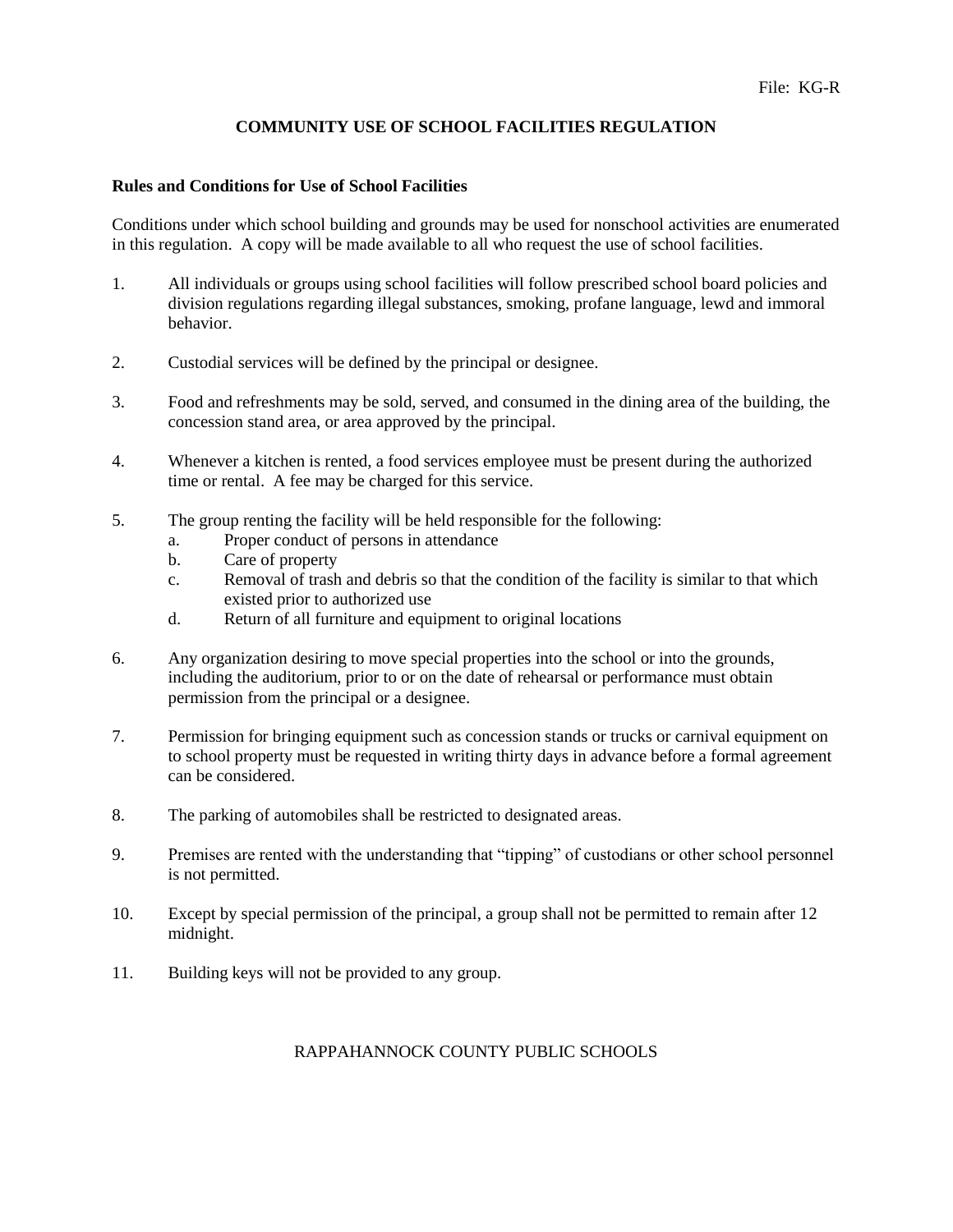#### **COMMUNITY USE OF SCHOOL FACILITIES REGULATION**

#### **Rules and Conditions for Use of School Facilities**

Conditions under which school building and grounds may be used for nonschool activities are enumerated in this regulation. A copy will be made available to all who request the use of school facilities.

- 1. All individuals or groups using school facilities will follow prescribed school board policies and division regulations regarding illegal substances, smoking, profane language, lewd and immoral behavior.
- 2. Custodial services will be defined by the principal or designee.
- 3. Food and refreshments may be sold, served, and consumed in the dining area of the building, the concession stand area, or area approved by the principal.
- 4. Whenever a kitchen is rented, a food services employee must be present during the authorized time or rental. A fee may be charged for this service.
- 5. The group renting the facility will be held responsible for the following:
	- a. Proper conduct of persons in attendance
	- b. Care of property
	- c. Removal of trash and debris so that the condition of the facility is similar to that which existed prior to authorized use
	- d. Return of all furniture and equipment to original locations
- 6. Any organization desiring to move special properties into the school or into the grounds, including the auditorium, prior to or on the date of rehearsal or performance must obtain permission from the principal or a designee.
- 7. Permission for bringing equipment such as concession stands or trucks or carnival equipment on to school property must be requested in writing thirty days in advance before a formal agreement can be considered.
- 8. The parking of automobiles shall be restricted to designated areas.
- 9. Premises are rented with the understanding that "tipping" of custodians or other school personnel is not permitted.
- 10. Except by special permission of the principal, a group shall not be permitted to remain after 12 midnight.
- 11. Building keys will not be provided to any group.

#### RAPPAHANNOCK COUNTY PUBLIC SCHOOLS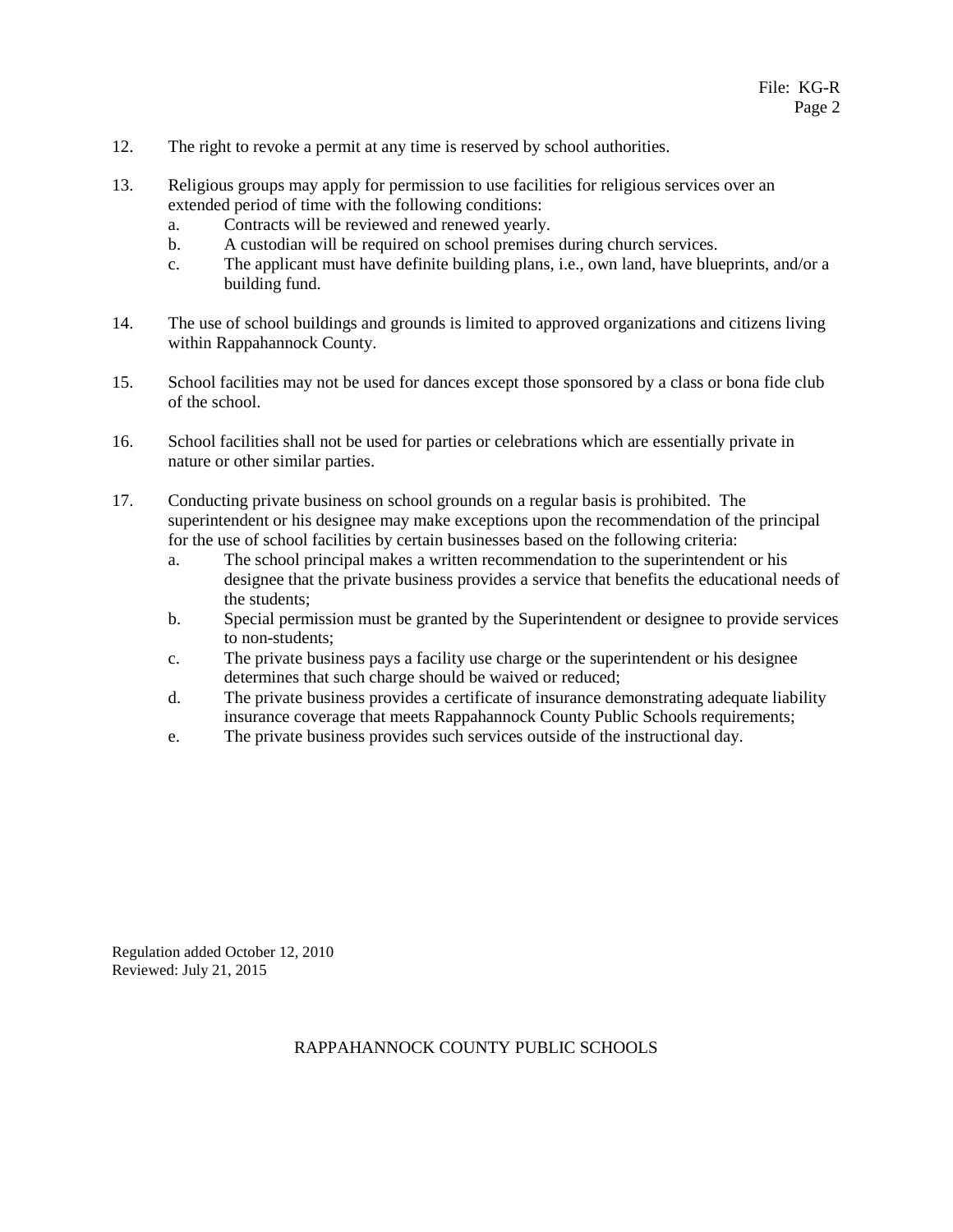- 12. The right to revoke a permit at any time is reserved by school authorities.
- 13. Religious groups may apply for permission to use facilities for religious services over an extended period of time with the following conditions:
	- a. Contracts will be reviewed and renewed yearly.
	- b. A custodian will be required on school premises during church services.
	- c. The applicant must have definite building plans, i.e., own land, have blueprints, and/or a building fund.
- 14. The use of school buildings and grounds is limited to approved organizations and citizens living within Rappahannock County.
- 15. School facilities may not be used for dances except those sponsored by a class or bona fide club of the school.
- 16. School facilities shall not be used for parties or celebrations which are essentially private in nature or other similar parties.
- 17. Conducting private business on school grounds on a regular basis is prohibited. The superintendent or his designee may make exceptions upon the recommendation of the principal for the use of school facilities by certain businesses based on the following criteria:
	- a. The school principal makes a written recommendation to the superintendent or his designee that the private business provides a service that benefits the educational needs of the students;
	- b. Special permission must be granted by the Superintendent or designee to provide services to non-students;
	- c. The private business pays a facility use charge or the superintendent or his designee determines that such charge should be waived or reduced;
	- d. The private business provides a certificate of insurance demonstrating adequate liability insurance coverage that meets Rappahannock County Public Schools requirements;
	- e. The private business provides such services outside of the instructional day.

Regulation added October 12, 2010 Reviewed: July 21, 2015

#### RAPPAHANNOCK COUNTY PUBLIC SCHOOLS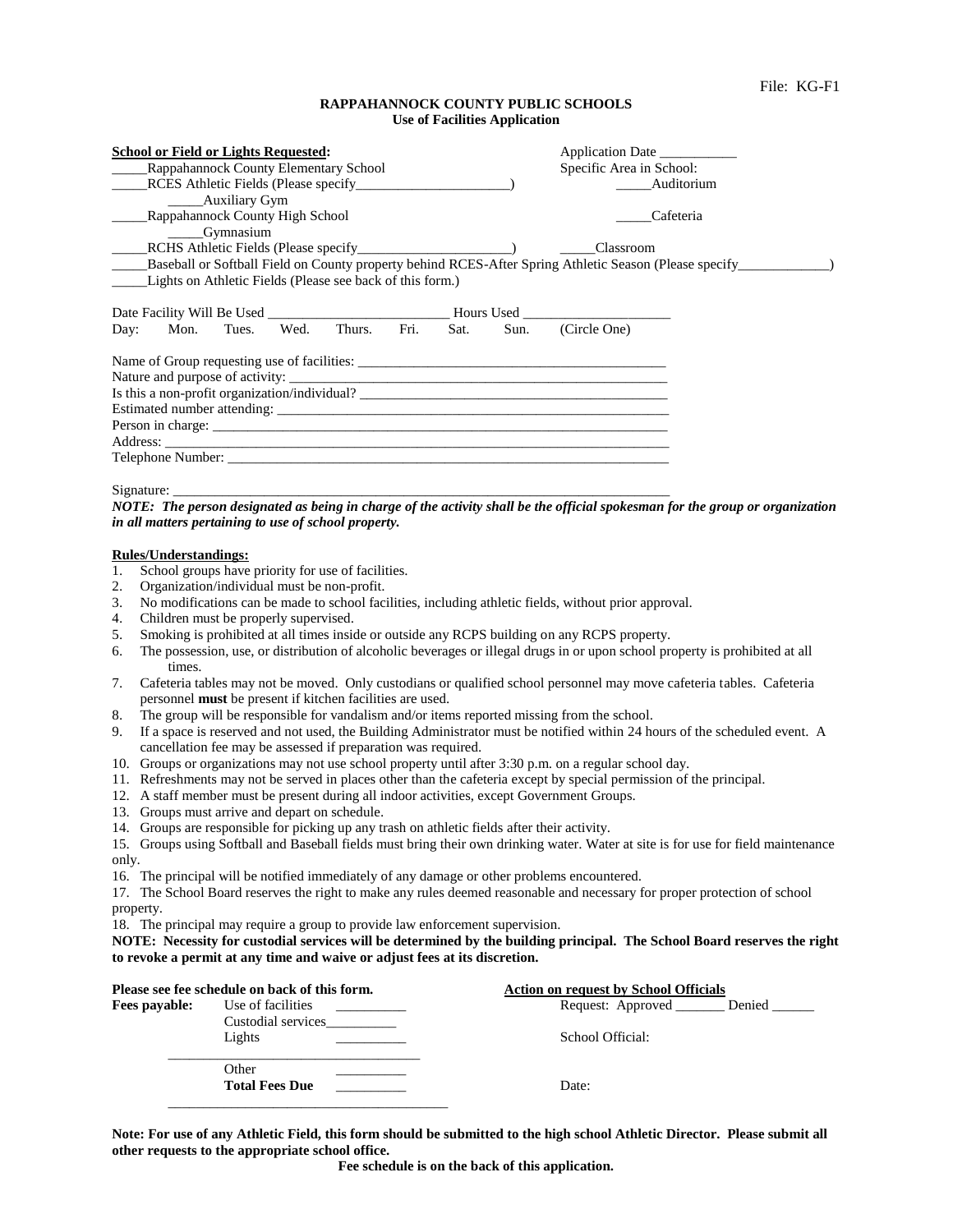#### **RAPPAHANNOCK COUNTY PUBLIC SCHOOLS Use of Facilities Application**

| <b>School or Field or Lights Requested:</b><br>Rappahannock County Elementary School<br>RCES Athletic Fields (Please specify___________<br><b>Example 21 Auxiliary Gym</b><br>Rappahannock County High School<br><b>Gymnasium</b> |  |  |             |      |      | Application Date<br>Specific Area in School: | Auditorium<br>Cafeteria                       |                                                                                                                |
|-----------------------------------------------------------------------------------------------------------------------------------------------------------------------------------------------------------------------------------|--|--|-------------|------|------|----------------------------------------------|-----------------------------------------------|----------------------------------------------------------------------------------------------------------------|
|                                                                                                                                                                                                                                   |  |  |             |      |      |                                              | Classroom                                     |                                                                                                                |
| Lights on Athletic Fields (Please see back of this form.)                                                                                                                                                                         |  |  |             |      |      |                                              |                                               | Baseball or Softball Field on County property behind RCES-After Spring Athletic Season (Please specify________ |
|                                                                                                                                                                                                                                   |  |  |             |      |      |                                              |                                               |                                                                                                                |
| Day: Mon. Tues.                                                                                                                                                                                                                   |  |  | Wed. Thurs. | Fri. | Sat. | Sun.                                         | (Circle One)                                  |                                                                                                                |
|                                                                                                                                                                                                                                   |  |  |             |      |      |                                              | Name of Group requesting use of facilities:   |                                                                                                                |
|                                                                                                                                                                                                                                   |  |  |             |      |      |                                              | Is this a non-profit organization/individual? |                                                                                                                |
|                                                                                                                                                                                                                                   |  |  |             |      |      |                                              |                                               |                                                                                                                |
| Person in charge: experience of the contract of the contract of the contract of the contract of the contract of the contract of the contract of the contract of the contract of the contract of the contract of the contract o    |  |  |             |      |      |                                              |                                               |                                                                                                                |
|                                                                                                                                                                                                                                   |  |  |             |      |      |                                              |                                               |                                                                                                                |
| Telephone Number: New York Contract the Contract of the Contract of the Contract of the Contract of the Contract of the Contract of the Contract of the Contract of the Contract of the Contract of the Contract of the Contra    |  |  |             |      |      |                                              |                                               |                                                                                                                |

Signature: \_\_\_\_\_\_\_\_\_\_\_\_\_\_\_\_\_\_\_\_\_\_\_\_\_\_\_\_\_\_\_\_\_\_\_\_\_\_\_\_\_\_\_\_\_\_\_\_\_\_\_\_\_\_\_\_\_\_\_\_\_\_\_\_\_\_\_\_\_\_\_

*NOTE: The person designated as being in charge of the activity shall be the official spokesman for the group or organization in all matters pertaining to use of school property.*

#### **Rules/Understandings:**

- 1. School groups have priority for use of facilities.
- 2. Organization/individual must be non-profit.
- 3. No modifications can be made to school facilities, including athletic fields, without prior approval.
- 4. Children must be properly supervised.
- 5. Smoking is prohibited at all times inside or outside any RCPS building on any RCPS property.
- 6. The possession, use, or distribution of alcoholic beverages or illegal drugs in or upon school property is prohibited at all times.
- 7. Cafeteria tables may not be moved. Only custodians or qualified school personnel may move cafeteria tables. Cafeteria personnel **must** be present if kitchen facilities are used.
- 8. The group will be responsible for vandalism and/or items reported missing from the school.
- 9. If a space is reserved and not used, the Building Administrator must be notified within 24 hours of the scheduled event. A cancellation fee may be assessed if preparation was required.
- 10. Groups or organizations may not use school property until after 3:30 p.m. on a regular school day.
- 11. Refreshments may not be served in places other than the cafeteria except by special permission of the principal.
- 12. A staff member must be present during all indoor activities, except Government Groups.
- 13. Groups must arrive and depart on schedule.
- 14. Groups are responsible for picking up any trash on athletic fields after their activity.

15. Groups using Softball and Baseball fields must bring their own drinking water. Water at site is for use for field maintenance only.

16. The principal will be notified immediately of any damage or other problems encountered.

17. The School Board reserves the right to make any rules deemed reasonable and necessary for proper protection of school property.

18. The principal may require a group to provide law enforcement supervision.

**NOTE: Necessity for custodial services will be determined by the building principal. The School Board reserves the right to revoke a permit at any time and waive or adjust fees at its discretion.** 

|               | Please see fee schedule on back of this form. | <b>Action on request by School Officials</b> |  |  |
|---------------|-----------------------------------------------|----------------------------------------------|--|--|
| Fees payable: | Use of facilities                             | Request: Approved Denied                     |  |  |
|               | Custodial services<br>Lights                  | School Official:                             |  |  |
|               | Other<br><b>Total Fees Due</b>                | Date:                                        |  |  |

**Note: For use of any Athletic Field, this form should be submitted to the high school Athletic Director. Please submit all other requests to the appropriate school office.**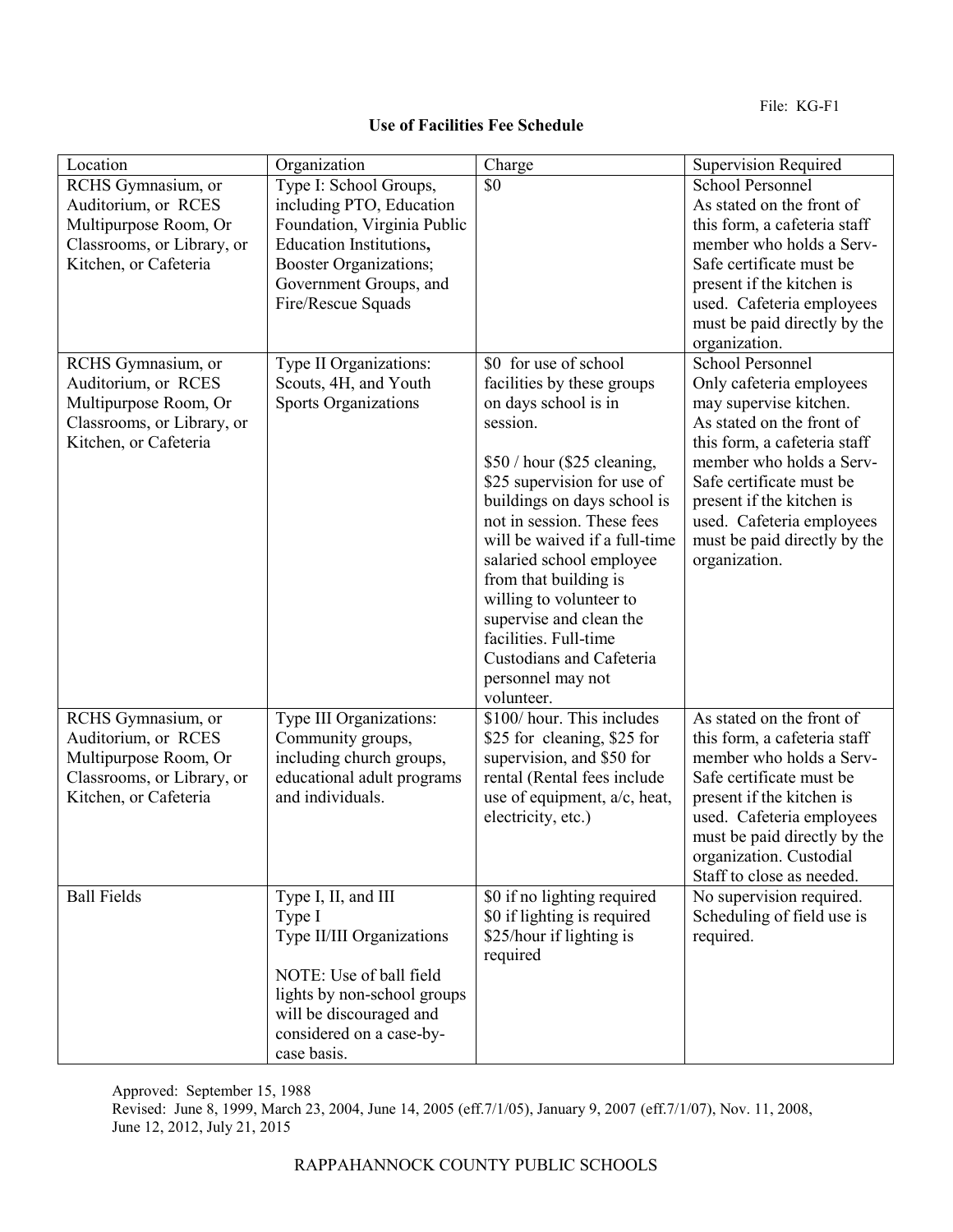| Location                                                                                                                  | Organization                                                                                                                                                                               | Charge                                                                                                                                                                                                                                                                                                                                                                                                                                                 | Supervision Required                                                                                                                                                                                                                                                                                          |
|---------------------------------------------------------------------------------------------------------------------------|--------------------------------------------------------------------------------------------------------------------------------------------------------------------------------------------|--------------------------------------------------------------------------------------------------------------------------------------------------------------------------------------------------------------------------------------------------------------------------------------------------------------------------------------------------------------------------------------------------------------------------------------------------------|---------------------------------------------------------------------------------------------------------------------------------------------------------------------------------------------------------------------------------------------------------------------------------------------------------------|
| RCHS Gymnasium, or<br>Auditorium, or RCES<br>Multipurpose Room, Or<br>Classrooms, or Library, or<br>Kitchen, or Cafeteria | Type I: School Groups,<br>including PTO, Education<br>Foundation, Virginia Public<br>Education Institutions,<br>Booster Organizations;<br>Government Groups, and<br>Fire/Rescue Squads     | \$0                                                                                                                                                                                                                                                                                                                                                                                                                                                    | <b>School Personnel</b><br>As stated on the front of<br>this form, a cafeteria staff<br>member who holds a Serv-<br>Safe certificate must be<br>present if the kitchen is<br>used. Cafeteria employees<br>must be paid directly by the<br>organization.                                                       |
| RCHS Gymnasium, or<br>Auditorium, or RCES<br>Multipurpose Room, Or<br>Classrooms, or Library, or<br>Kitchen, or Cafeteria | Type II Organizations:<br>Scouts, 4H, and Youth<br><b>Sports Organizations</b>                                                                                                             | \$0 for use of school<br>facilities by these groups<br>on days school is in<br>session.<br>\$50 / hour (\$25 cleaning,<br>\$25 supervision for use of<br>buildings on days school is<br>not in session. These fees<br>will be waived if a full-time<br>salaried school employee<br>from that building is<br>willing to volunteer to<br>supervise and clean the<br>facilities. Full-time<br>Custodians and Cafeteria<br>personnel may not<br>volunteer. | <b>School Personnel</b><br>Only cafeteria employees<br>may supervise kitchen.<br>As stated on the front of<br>this form, a cafeteria staff<br>member who holds a Serv-<br>Safe certificate must be<br>present if the kitchen is<br>used. Cafeteria employees<br>must be paid directly by the<br>organization. |
| RCHS Gymnasium, or<br>Auditorium, or RCES<br>Multipurpose Room, Or<br>Classrooms, or Library, or<br>Kitchen, or Cafeteria | Type III Organizations:<br>Community groups,<br>including church groups,<br>educational adult programs<br>and individuals.                                                                 | \$100/ hour. This includes<br>\$25 for cleaning, \$25 for<br>supervision, and \$50 for<br>rental (Rental fees include<br>use of equipment, a/c, heat,<br>electricity, etc.)                                                                                                                                                                                                                                                                            | As stated on the front of<br>this form, a cafeteria staff<br>member who holds a Serv-<br>Safe certificate must be<br>present if the kitchen is<br>used. Cafeteria employees<br>must be paid directly by the<br>organization. Custodial<br>Staff to close as needed.                                           |
| <b>Ball Fields</b>                                                                                                        | Type I, II, and III<br>Type I<br>Type II/III Organizations<br>NOTE: Use of ball field<br>lights by non-school groups<br>will be discouraged and<br>considered on a case-by-<br>case basis. | \$0 if no lighting required<br>\$0 if lighting is required<br>\$25/hour if lighting is<br>required                                                                                                                                                                                                                                                                                                                                                     | No supervision required.<br>Scheduling of field use is<br>required.                                                                                                                                                                                                                                           |

Approved: September 15, 1988

Revised: June 8, 1999, March 23, 2004, June 14, 2005 (eff.7/1/05), January 9, 2007 (eff.7/1/07), Nov. 11, 2008, June 12, 2012, July 21, 2015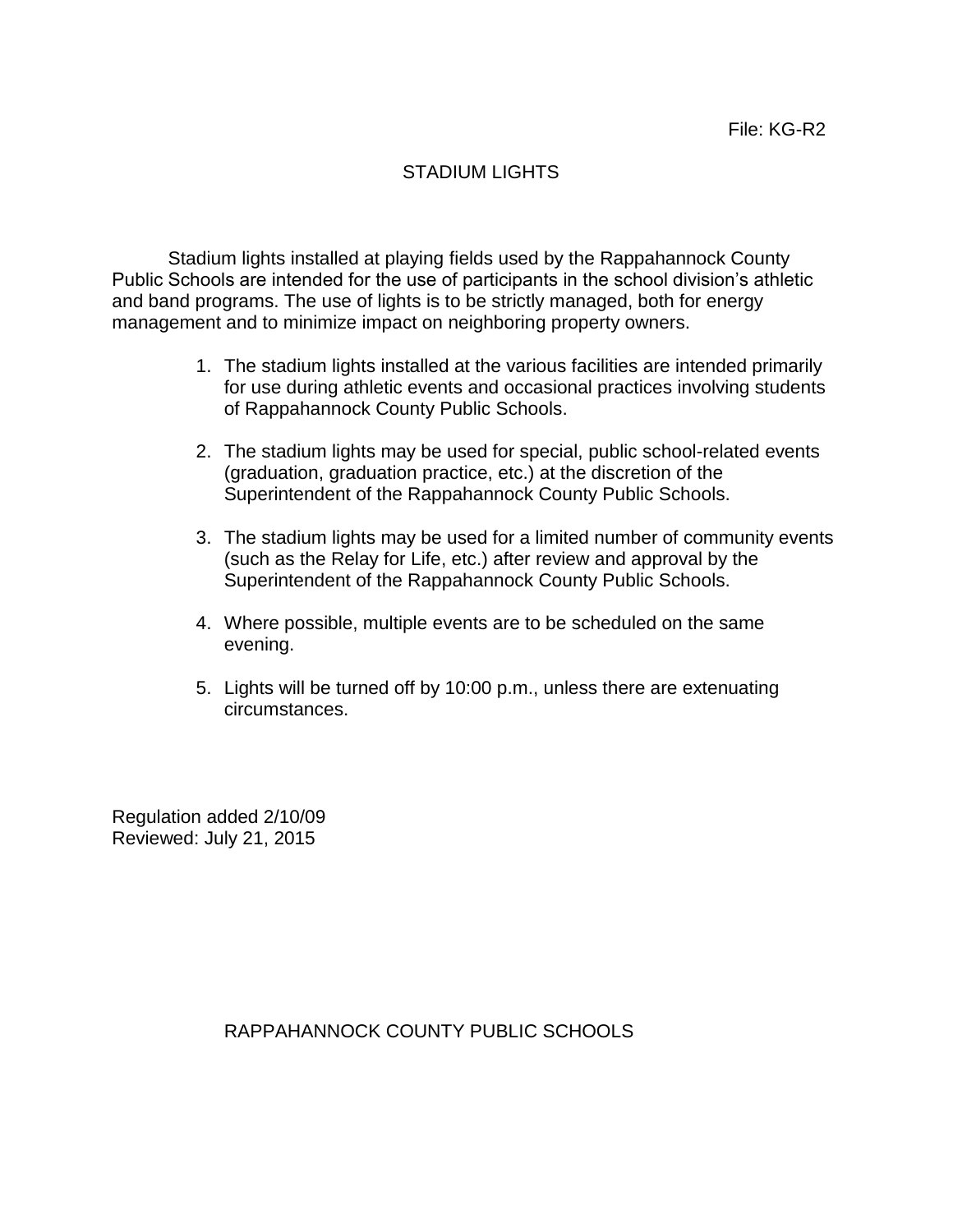# STADIUM LIGHTS

Stadium lights installed at playing fields used by the Rappahannock County Public Schools are intended for the use of participants in the school division's athletic and band programs. The use of lights is to be strictly managed, both for energy management and to minimize impact on neighboring property owners.

- 1. The stadium lights installed at the various facilities are intended primarily for use during athletic events and occasional practices involving students of Rappahannock County Public Schools.
- 2. The stadium lights may be used for special, public school-related events (graduation, graduation practice, etc.) at the discretion of the Superintendent of the Rappahannock County Public Schools.
- 3. The stadium lights may be used for a limited number of community events (such as the Relay for Life, etc.) after review and approval by the Superintendent of the Rappahannock County Public Schools.
- 4. Where possible, multiple events are to be scheduled on the same evening.
- 5. Lights will be turned off by 10:00 p.m., unless there are extenuating circumstances.

Regulation added 2/10/09 Reviewed: July 21, 2015

# RAPPAHANNOCK COUNTY PUBLIC SCHOOLS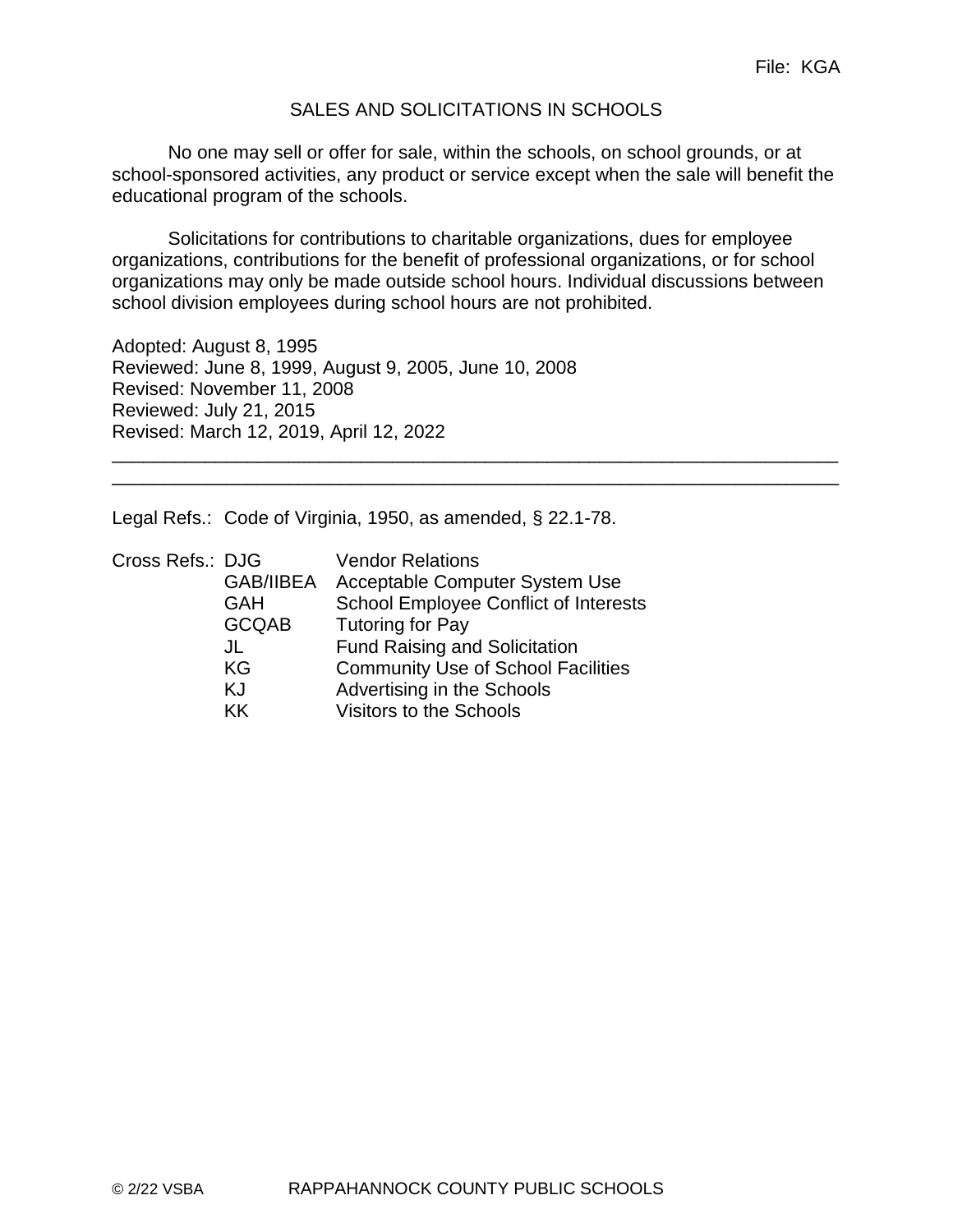#### SALES AND SOLICITATIONS IN SCHOOLS

No one may sell or offer for sale, within the schools, on school grounds, or at school-sponsored activities, any product or service except when the sale will benefit the educational program of the schools.

Solicitations for contributions to charitable organizations, dues for employee organizations, contributions for the benefit of professional organizations, or for school organizations may only be made outside school hours. Individual discussions between school division employees during school hours are not prohibited.

\_\_\_\_\_\_\_\_\_\_\_\_\_\_\_\_\_\_\_\_\_\_\_\_\_\_\_\_\_\_\_\_\_\_\_\_\_\_\_\_\_\_\_\_\_\_\_\_\_\_\_\_\_\_\_\_\_\_\_\_\_\_\_\_\_\_\_\_\_\_ \_\_\_\_\_\_\_\_\_\_\_\_\_\_\_\_\_\_\_\_\_\_\_\_\_\_\_\_\_\_\_\_\_\_\_\_\_\_\_\_\_\_\_\_\_\_\_\_\_\_\_\_\_\_\_\_\_\_\_\_\_\_\_\_\_\_\_\_\_\_

Adopted: August 8, 1995 Reviewed: June 8, 1999, August 9, 2005, June 10, 2008 Revised: November 11, 2008 Reviewed: July 21, 2015 Revised: March 12, 2019, April 12, 2022

Legal Refs.: Code of Virginia, 1950, as amended, § 22.1-78.

| Cross Refs.: DJG | <b>Vendor Relations</b>                      |
|------------------|----------------------------------------------|
| <b>GAB/IIBEA</b> | Acceptable Computer System Use               |
| <b>GAH</b>       | <b>School Employee Conflict of Interests</b> |
| <b>GCQAB</b>     | <b>Tutoring for Pay</b>                      |
| JL               | <b>Fund Raising and Solicitation</b>         |
| KG               | <b>Community Use of School Facilities</b>    |
| ΚJ               | Advertising in the Schools                   |
| KK.              | Visitors to the Schools                      |
|                  |                                              |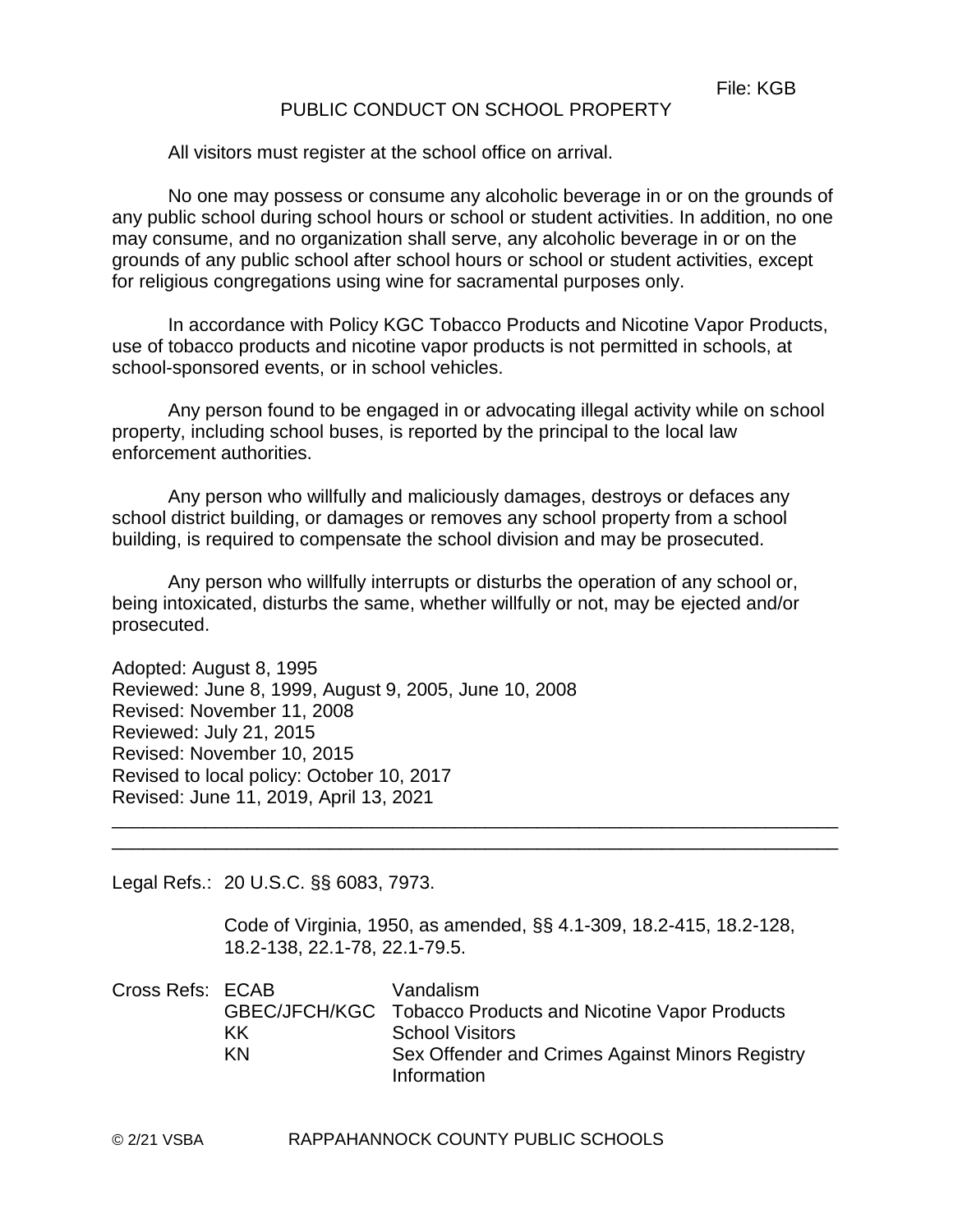#### PUBLIC CONDUCT ON SCHOOL PROPERTY

All visitors must register at the school office on arrival.

No one may possess or consume any alcoholic beverage in or on the grounds of any public school during school hours or school or student activities. In addition, no one may consume, and no organization shall serve, any alcoholic beverage in or on the grounds of any public school after school hours or school or student activities, except for religious congregations using wine for sacramental purposes only.

In accordance with Policy KGC Tobacco Products and Nicotine Vapor Products, use of tobacco products and nicotine vapor products is not permitted in schools, at school-sponsored events, or in school vehicles.

Any person found to be engaged in or advocating illegal activity while on school property, including school buses, is reported by the principal to the local law enforcement authorities.

Any person who willfully and maliciously damages, destroys or defaces any school district building, or damages or removes any school property from a school building, is required to compensate the school division and may be prosecuted.

Any person who willfully interrupts or disturbs the operation of any school or, being intoxicated, disturbs the same, whether willfully or not, may be ejected and/or prosecuted.

Adopted: August 8, 1995 Reviewed: June 8, 1999, August 9, 2005, June 10, 2008 Revised: November 11, 2008 Reviewed: July 21, 2015 Revised: November 10, 2015 Revised to local policy: October 10, 2017 Revised: June 11, 2019, April 13, 2021

Legal Refs.: 20 U.S.C. §§ 6083, 7973.

Code of Virginia, 1950, as amended, §§ 4.1-309, 18.2-415, 18.2-128, 18.2-138, 22.1-78, 22.1-79.5.

\_\_\_\_\_\_\_\_\_\_\_\_\_\_\_\_\_\_\_\_\_\_\_\_\_\_\_\_\_\_\_\_\_\_\_\_\_\_\_\_\_\_\_\_\_\_\_\_\_\_\_\_\_\_\_\_\_\_\_\_\_\_\_\_\_\_\_\_\_\_ \_\_\_\_\_\_\_\_\_\_\_\_\_\_\_\_\_\_\_\_\_\_\_\_\_\_\_\_\_\_\_\_\_\_\_\_\_\_\_\_\_\_\_\_\_\_\_\_\_\_\_\_\_\_\_\_\_\_\_\_\_\_\_\_\_\_\_\_\_\_

| Cross Refs: ECAB |    | Vandalism                                                  |
|------------------|----|------------------------------------------------------------|
|                  |    | GBEC/JFCH/KGC Tobacco Products and Nicotine Vapor Products |
|                  | KK | <b>School Visitors</b>                                     |
|                  | ΚN | Sex Offender and Crimes Against Minors Registry            |
|                  |    | Information                                                |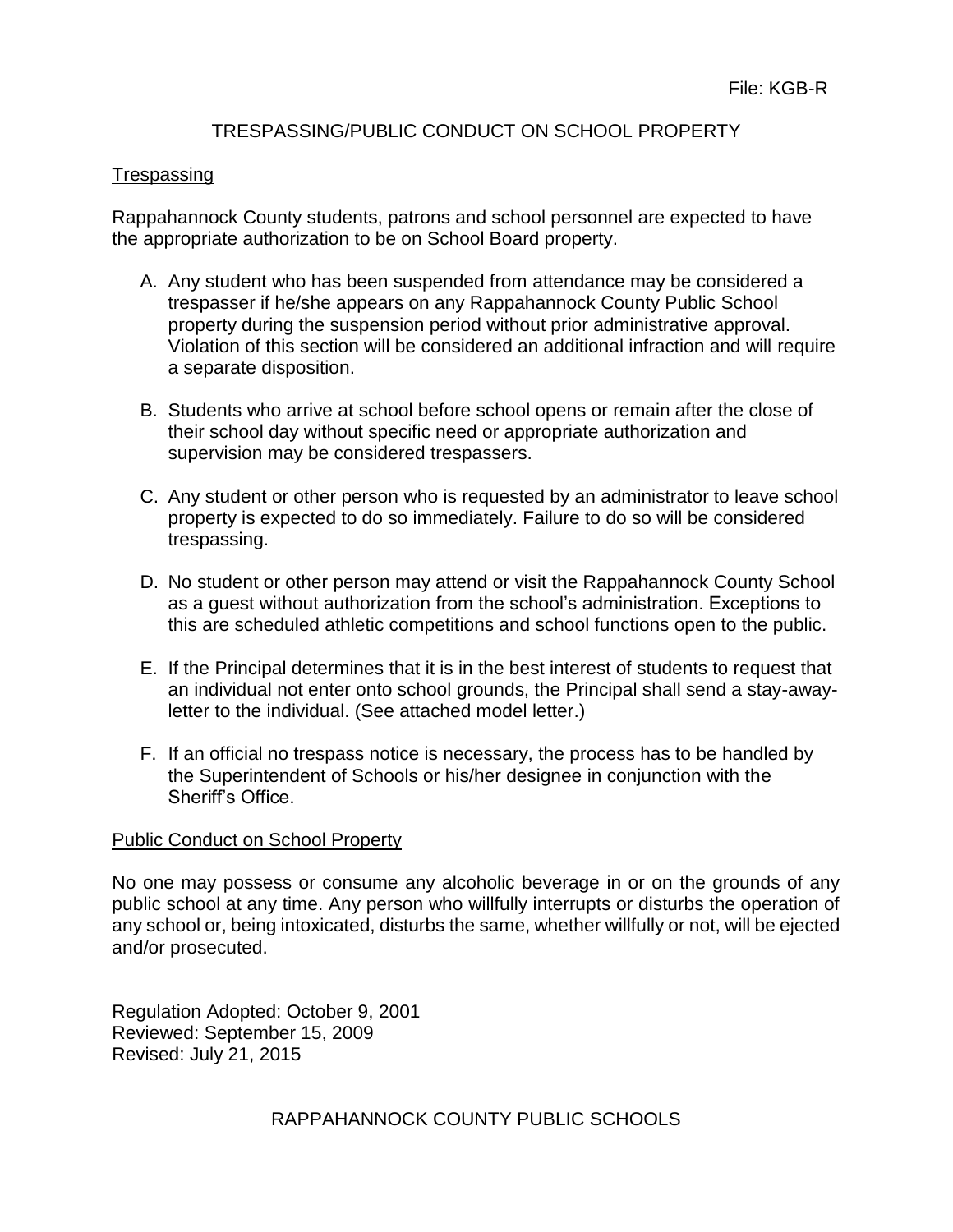# TRESPASSING/PUBLIC CONDUCT ON SCHOOL PROPERTY

#### **Trespassing**

Rappahannock County students, patrons and school personnel are expected to have the appropriate authorization to be on School Board property.

- A. Any student who has been suspended from attendance may be considered a trespasser if he/she appears on any Rappahannock County Public School property during the suspension period without prior administrative approval. Violation of this section will be considered an additional infraction and will require a separate disposition.
- B. Students who arrive at school before school opens or remain after the close of their school day without specific need or appropriate authorization and supervision may be considered trespassers.
- C. Any student or other person who is requested by an administrator to leave school property is expected to do so immediately. Failure to do so will be considered trespassing.
- D. No student or other person may attend or visit the Rappahannock County School as a guest without authorization from the school's administration. Exceptions to this are scheduled athletic competitions and school functions open to the public.
- E. If the Principal determines that it is in the best interest of students to request that an individual not enter onto school grounds, the Principal shall send a stay-awayletter to the individual. (See attached model letter.)
- F. If an official no trespass notice is necessary, the process has to be handled by the Superintendent of Schools or his/her designee in conjunction with the Sheriff's Office.

#### Public Conduct on School Property

No one may possess or consume any alcoholic beverage in or on the grounds of any public school at any time. Any person who willfully interrupts or disturbs the operation of any school or, being intoxicated, disturbs the same, whether willfully or not, will be ejected and/or prosecuted.

Regulation Adopted: October 9, 2001 Reviewed: September 15, 2009 Revised: July 21, 2015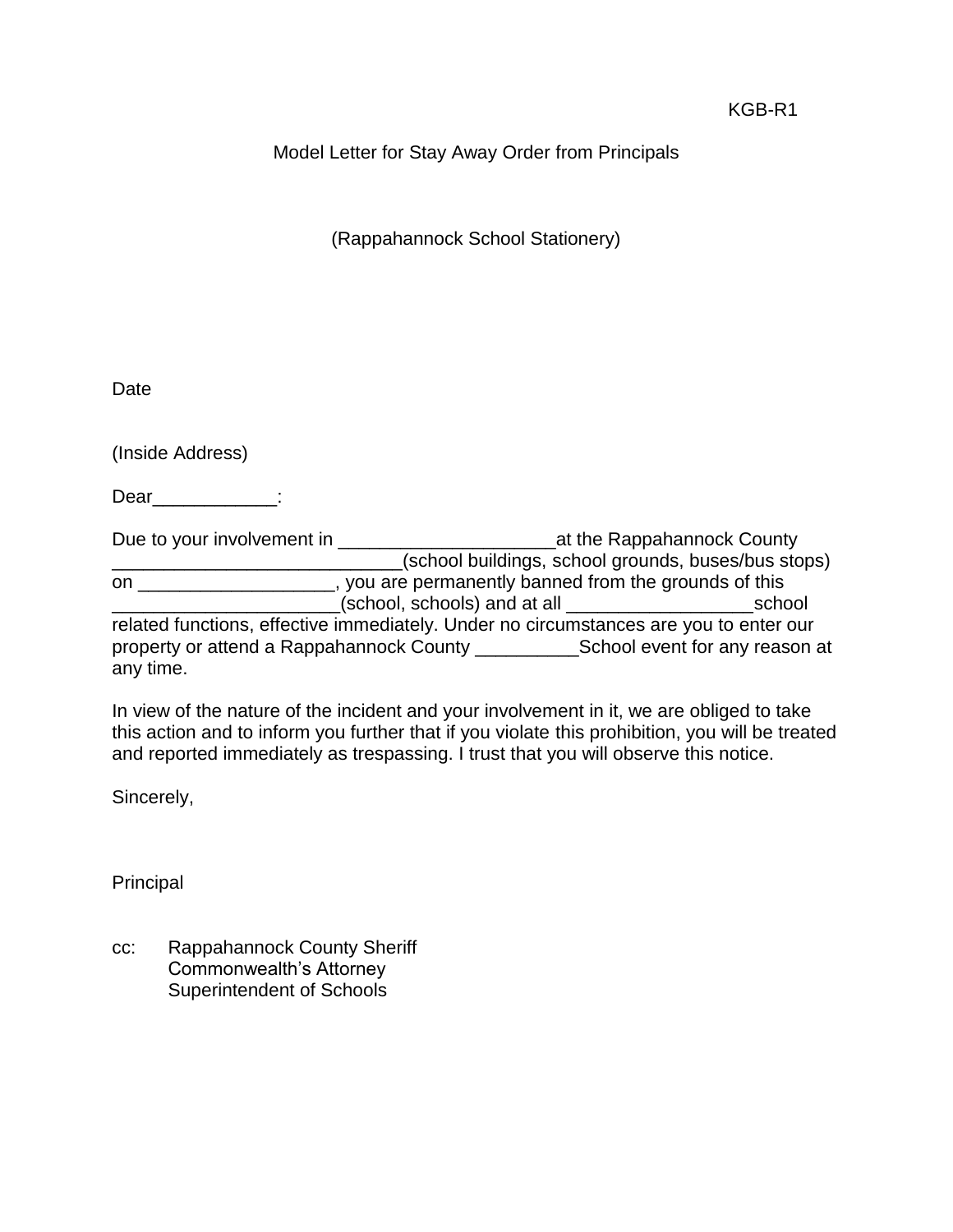# Model Letter for Stay Away Order from Principals

(Rappahannock School Stationery)

**Date** 

(Inside Address)

Dear\_\_\_\_\_\_\_\_\_\_\_\_:

Due to your involvement in \_\_\_\_\_\_\_\_\_\_\_\_\_\_\_\_\_\_\_\_\_at the Rappahannock County \_\_\_\_\_\_\_\_\_\_\_\_\_\_\_\_\_\_\_\_\_\_\_\_\_\_\_\_(school buildings, school grounds, buses/bus stops) on \_\_\_\_\_\_\_\_\_\_\_\_\_\_\_\_\_\_\_, you are permanently banned from the grounds of this \_\_\_\_\_\_\_\_\_\_\_\_\_\_\_\_\_\_\_\_\_\_(school, schools) and at all \_\_\_\_\_\_\_\_\_\_\_\_\_\_\_\_\_\_school related functions, effective immediately. Under no circumstances are you to enter our property or attend a Rappahannock County \_\_\_\_\_\_\_\_\_\_School event for any reason at any time.

In view of the nature of the incident and your involvement in it, we are obliged to take this action and to inform you further that if you violate this prohibition, you will be treated and reported immediately as trespassing. I trust that you will observe this notice.

Sincerely,

Principal

cc: Rappahannock County Sheriff Commonwealth's Attorney Superintendent of Schools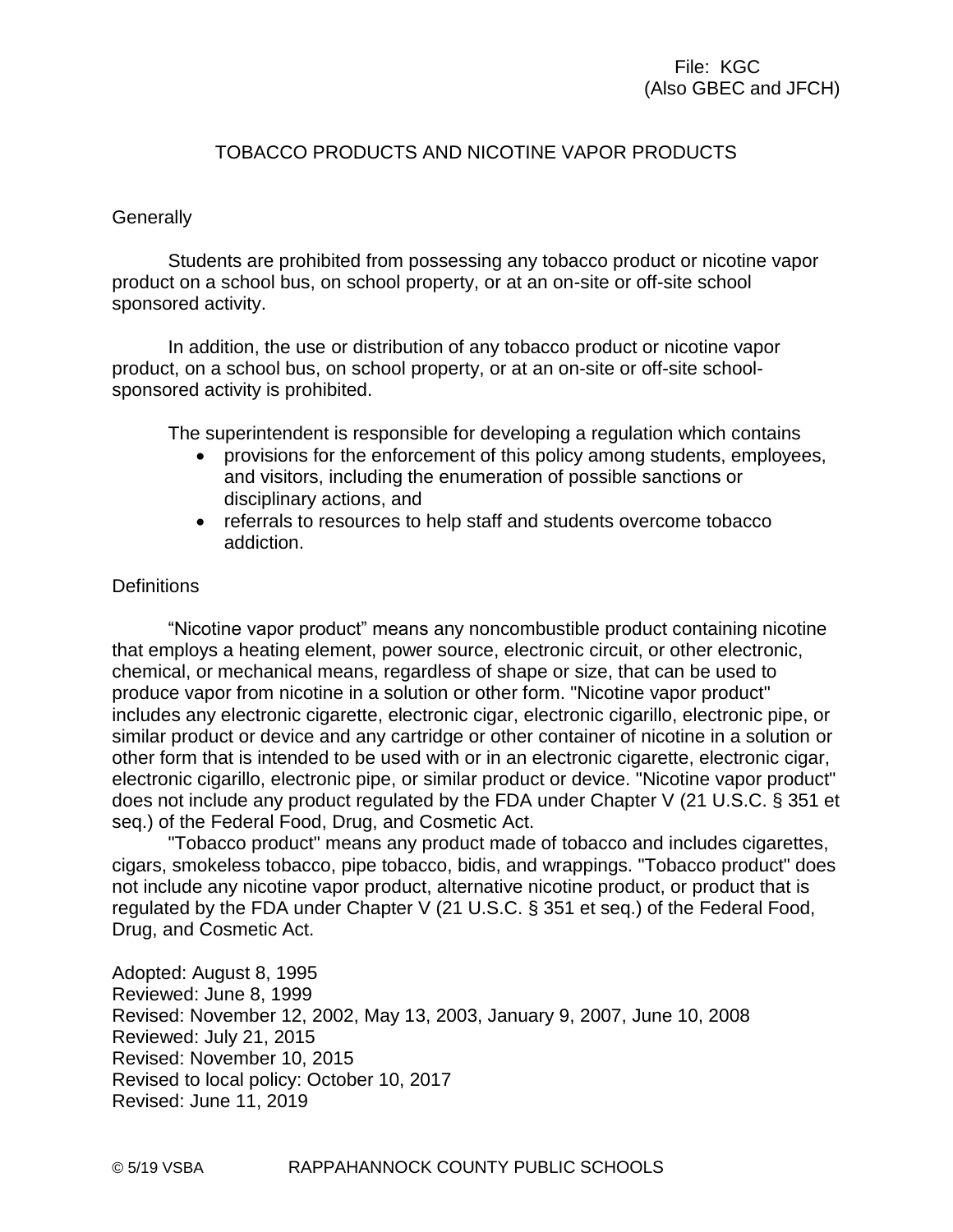# File: KGC (Also GBEC and JFCH)

#### TOBACCO PRODUCTS AND NICOTINE VAPOR PRODUCTS

#### **Generally**

Students are prohibited from possessing any tobacco product or nicotine vapor product on a school bus, on school property, or at an on-site or off-site school sponsored activity.

In addition, the use or distribution of any tobacco product or nicotine vapor product, on a school bus, on school property, or at an on-site or off-site schoolsponsored activity is prohibited.

The superintendent is responsible for developing a regulation which contains

- provisions for the enforcement of this policy among students, employees, and visitors, including the enumeration of possible sanctions or disciplinary actions, and
- referrals to resources to help staff and students overcome tobacco addiction.

#### **Definitions**

"Nicotine vapor product" means any noncombustible product containing nicotine that employs a heating element, power source, electronic circuit, or other electronic, chemical, or mechanical means, regardless of shape or size, that can be used to produce vapor from nicotine in a solution or other form. "Nicotine vapor product" includes any electronic cigarette, electronic cigar, electronic cigarillo, electronic pipe, or similar product or device and any cartridge or other container of nicotine in a solution or other form that is intended to be used with or in an electronic cigarette, electronic cigar, electronic cigarillo, electronic pipe, or similar product or device. "Nicotine vapor product" does not include any product regulated by the FDA under Chapter V (21 U.S.C. § 351 et seq.) of the Federal Food, Drug, and Cosmetic Act.

"Tobacco product" means any product made of tobacco and includes cigarettes, cigars, smokeless tobacco, pipe tobacco, bidis, and wrappings. "Tobacco product" does not include any nicotine vapor product, alternative nicotine product, or product that is regulated by the FDA under Chapter V (21 U.S.C. § 351 et seq.) of the Federal Food, Drug, and Cosmetic Act.

Adopted: August 8, 1995 Reviewed: June 8, 1999 Revised: November 12, 2002, May 13, 2003, January 9, 2007, June 10, 2008 Reviewed: July 21, 2015 Revised: November 10, 2015 Revised to local policy: October 10, 2017 Revised: June 11, 2019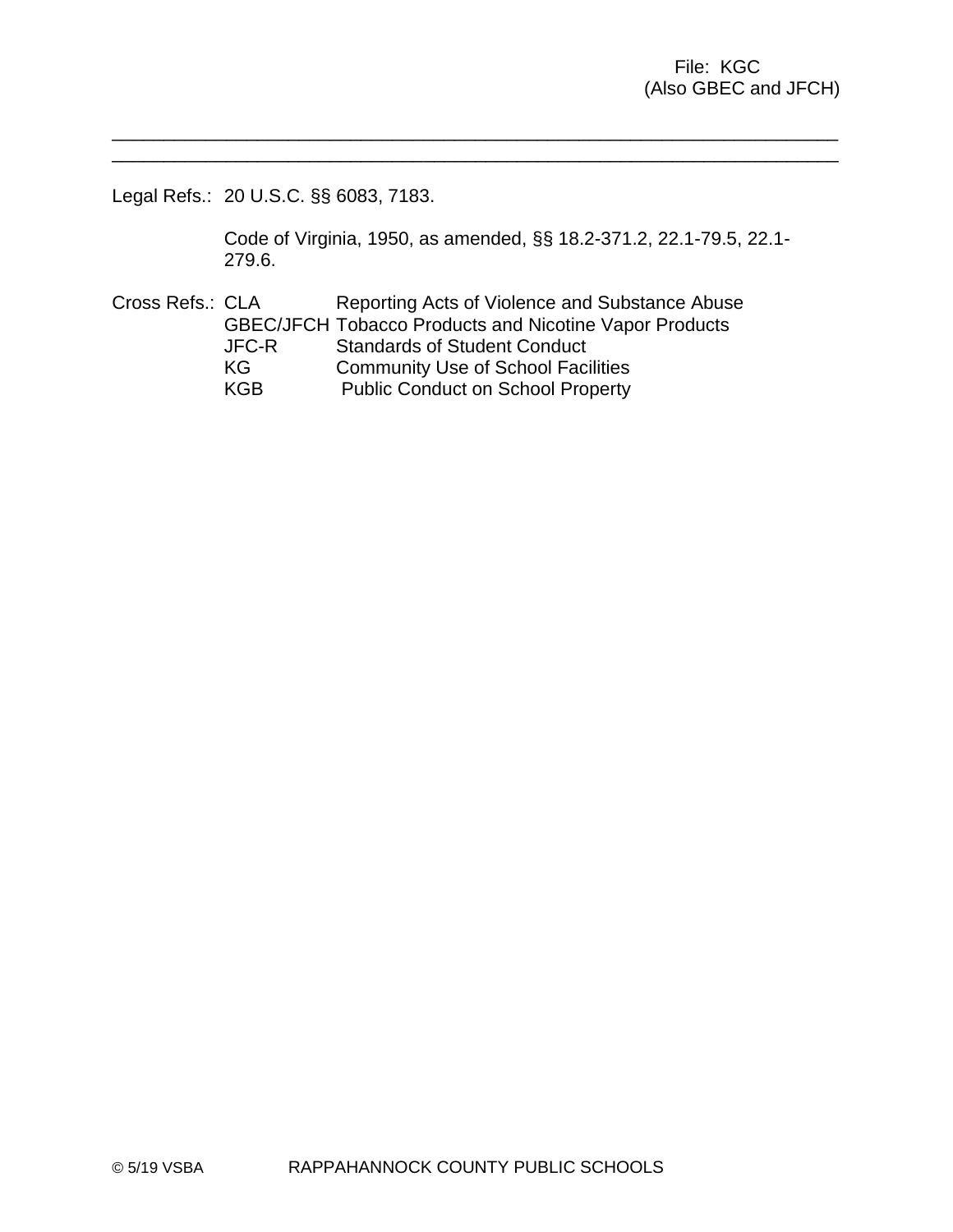Legal Refs.: 20 U.S.C. §§ 6083, 7183.

Code of Virginia, 1950, as amended, §§ 18.2-371.2, 22.1-79.5, 22.1- 279.6.

\_\_\_\_\_\_\_\_\_\_\_\_\_\_\_\_\_\_\_\_\_\_\_\_\_\_\_\_\_\_\_\_\_\_\_\_\_\_\_\_\_\_\_\_\_\_\_\_\_\_\_\_\_\_\_\_\_\_\_\_\_\_\_\_\_\_\_\_\_\_ \_\_\_\_\_\_\_\_\_\_\_\_\_\_\_\_\_\_\_\_\_\_\_\_\_\_\_\_\_\_\_\_\_\_\_\_\_\_\_\_\_\_\_\_\_\_\_\_\_\_\_\_\_\_\_\_\_\_\_\_\_\_\_\_\_\_\_\_\_\_

Cross Refs.: CLA Reporting Acts of Violence and Substance Abuse GBEC/JFCH Tobacco Products and Nicotine Vapor Products JFC-R Standards of Student Conduct KG Community Use of School Facilities KGB Public Conduct on School Property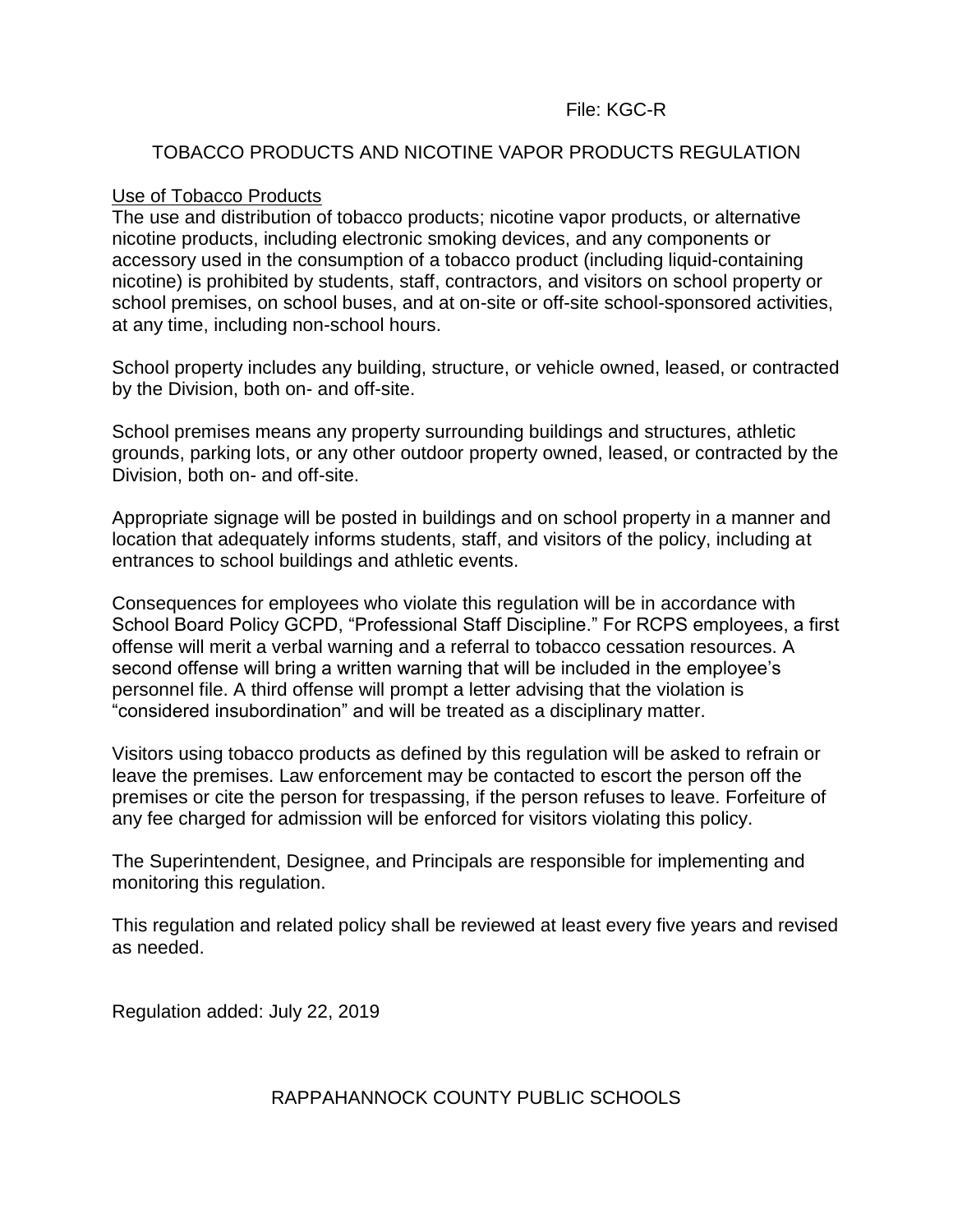## File: KGC-R

#### TOBACCO PRODUCTS AND NICOTINE VAPOR PRODUCTS REGULATION

#### Use of Tobacco Products

The use and distribution of tobacco products; nicotine vapor products, or alternative nicotine products, including electronic smoking devices, and any components or accessory used in the consumption of a tobacco product (including liquid-containing nicotine) is prohibited by students, staff, contractors, and visitors on school property or school premises, on school buses, and at on-site or off-site school-sponsored activities, at any time, including non-school hours.

School property includes any building, structure, or vehicle owned, leased, or contracted by the Division, both on- and off-site.

School premises means any property surrounding buildings and structures, athletic grounds, parking lots, or any other outdoor property owned, leased, or contracted by the Division, both on- and off-site.

Appropriate signage will be posted in buildings and on school property in a manner and location that adequately informs students, staff, and visitors of the policy, including at entrances to school buildings and athletic events.

Consequences for employees who violate this regulation will be in accordance with School Board Policy GCPD, "Professional Staff Discipline." For RCPS employees, a first offense will merit a verbal warning and a referral to tobacco cessation resources. A second offense will bring a written warning that will be included in the employee's personnel file. A third offense will prompt a letter advising that the violation is "considered insubordination" and will be treated as a disciplinary matter.

Visitors using tobacco products as defined by this regulation will be asked to refrain or leave the premises. Law enforcement may be contacted to escort the person off the premises or cite the person for trespassing, if the person refuses to leave. Forfeiture of any fee charged for admission will be enforced for visitors violating this policy.

The Superintendent, Designee, and Principals are responsible for implementing and monitoring this regulation.

This regulation and related policy shall be reviewed at least every five years and revised as needed.

Regulation added: July 22, 2019

# RAPPAHANNOCK COUNTY PUBLIC SCHOOLS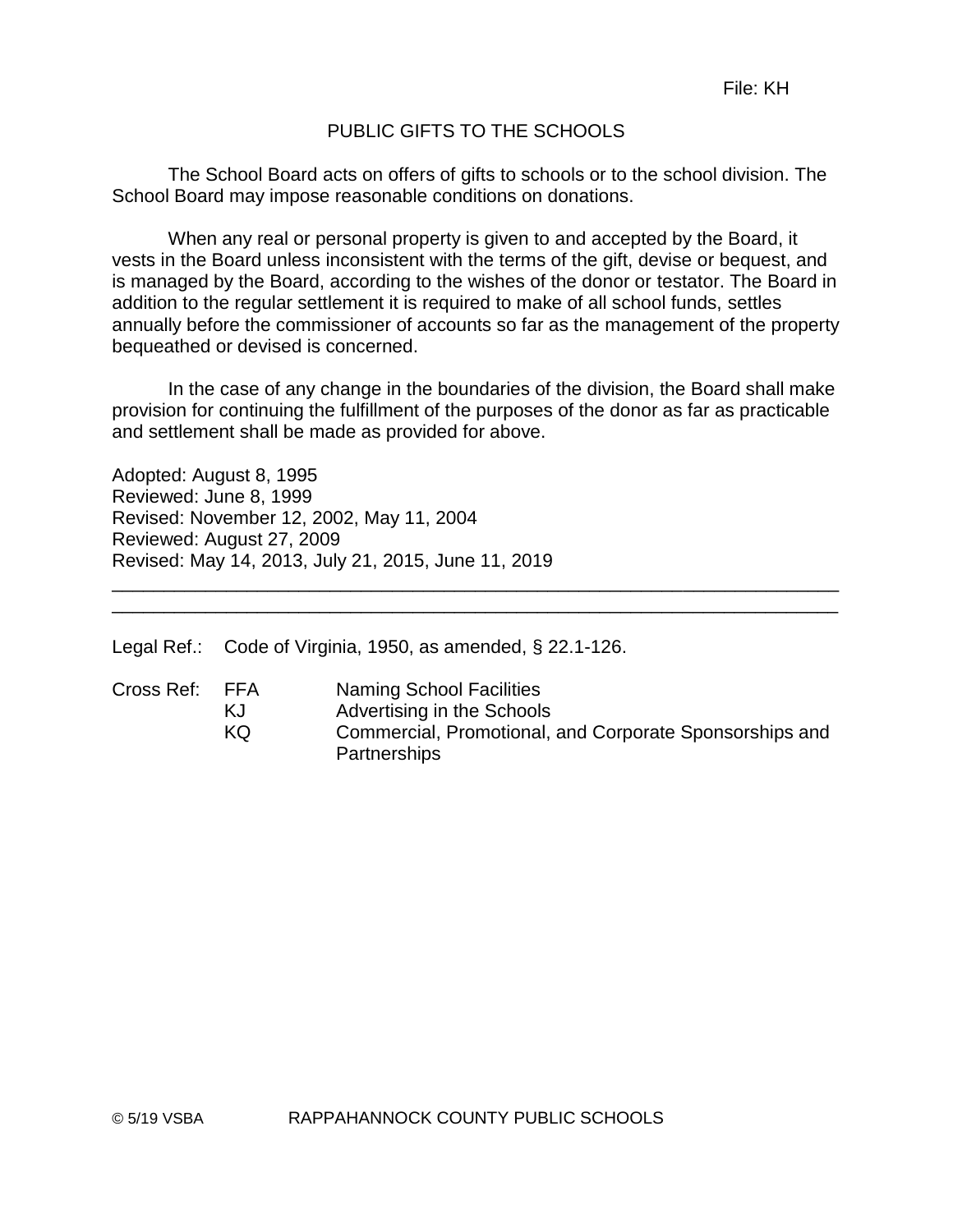# PUBLIC GIFTS TO THE SCHOOLS

The School Board acts on offers of gifts to schools or to the school division. The School Board may impose reasonable conditions on donations.

When any real or personal property is given to and accepted by the Board, it vests in the Board unless inconsistent with the terms of the gift, devise or bequest, and is managed by the Board, according to the wishes of the donor or testator. The Board in addition to the regular settlement it is required to make of all school funds, settles annually before the commissioner of accounts so far as the management of the property bequeathed or devised is concerned.

In the case of any change in the boundaries of the division, the Board shall make provision for continuing the fulfillment of the purposes of the donor as far as practicable and settlement shall be made as provided for above.

Adopted: August 8, 1995 Reviewed: June 8, 1999 Revised: November 12, 2002, May 11, 2004 Reviewed: August 27, 2009 Revised: May 14, 2013, July 21, 2015, June 11, 2019

Legal Ref.: Code of Virginia, 1950, as amended, § 22.1-126.

| Cross Ref: | FFA | Naming School Facilities                                |
|------------|-----|---------------------------------------------------------|
|            | KJ. | Advertising in the Schools                              |
|            | KQ. | Commercial, Promotional, and Corporate Sponsorships and |
|            |     | <b>Partnerships</b>                                     |

\_\_\_\_\_\_\_\_\_\_\_\_\_\_\_\_\_\_\_\_\_\_\_\_\_\_\_\_\_\_\_\_\_\_\_\_\_\_\_\_\_\_\_\_\_\_\_\_\_\_\_\_\_\_\_\_\_\_\_\_\_\_\_\_\_\_\_\_\_\_ \_\_\_\_\_\_\_\_\_\_\_\_\_\_\_\_\_\_\_\_\_\_\_\_\_\_\_\_\_\_\_\_\_\_\_\_\_\_\_\_\_\_\_\_\_\_\_\_\_\_\_\_\_\_\_\_\_\_\_\_\_\_\_\_\_\_\_\_\_\_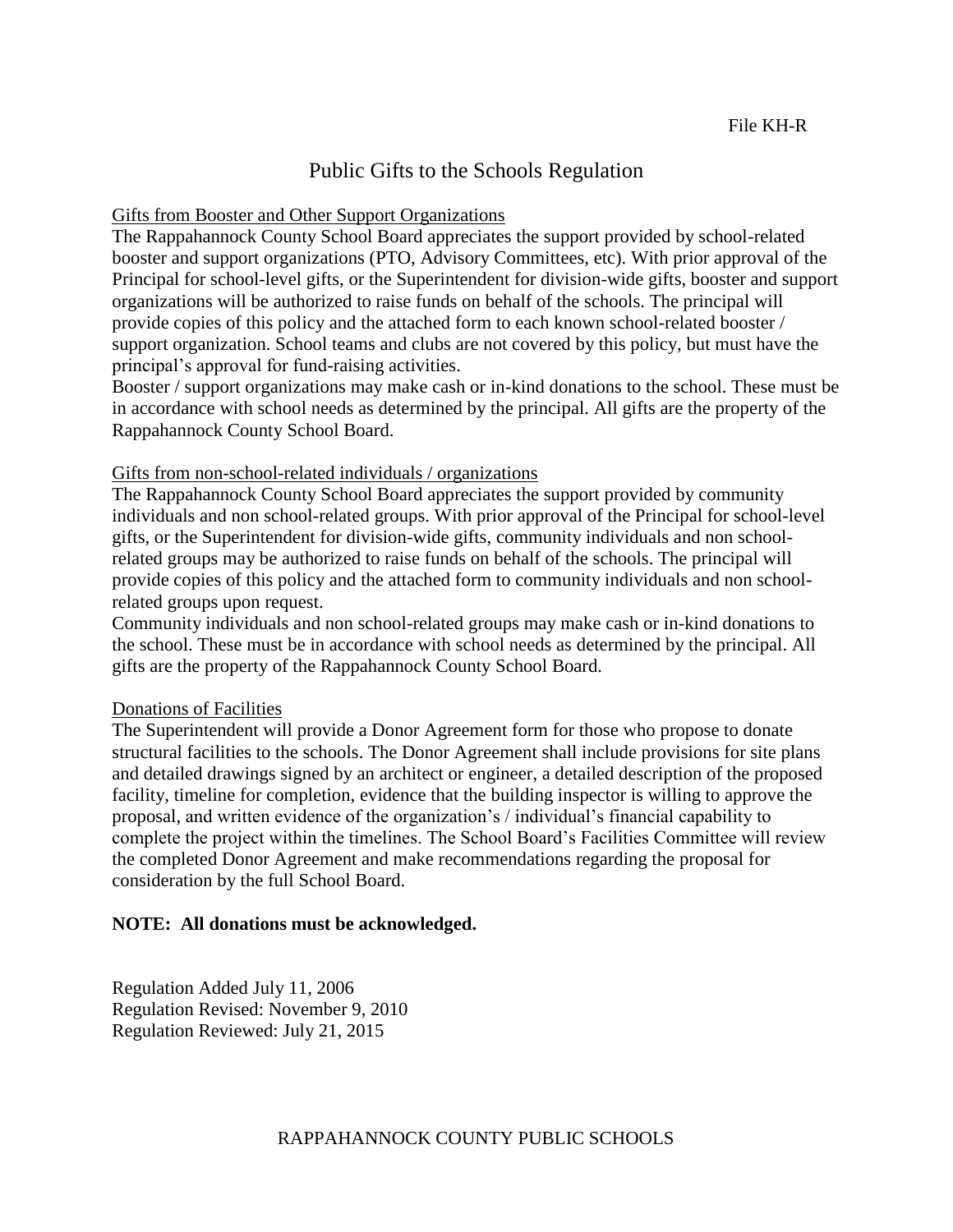# Public Gifts to the Schools Regulation

#### Gifts from Booster and Other Support Organizations

The Rappahannock County School Board appreciates the support provided by school-related booster and support organizations (PTO, Advisory Committees, etc). With prior approval of the Principal for school-level gifts, or the Superintendent for division-wide gifts, booster and support organizations will be authorized to raise funds on behalf of the schools. The principal will provide copies of this policy and the attached form to each known school-related booster / support organization. School teams and clubs are not covered by this policy, but must have the principal's approval for fund-raising activities.

Booster / support organizations may make cash or in-kind donations to the school. These must be in accordance with school needs as determined by the principal. All gifts are the property of the Rappahannock County School Board.

#### Gifts from non-school-related individuals / organizations

The Rappahannock County School Board appreciates the support provided by community individuals and non school-related groups. With prior approval of the Principal for school-level gifts, or the Superintendent for division-wide gifts, community individuals and non schoolrelated groups may be authorized to raise funds on behalf of the schools. The principal will provide copies of this policy and the attached form to community individuals and non schoolrelated groups upon request.

Community individuals and non school-related groups may make cash or in-kind donations to the school. These must be in accordance with school needs as determined by the principal. All gifts are the property of the Rappahannock County School Board.

#### Donations of Facilities

The Superintendent will provide a Donor Agreement form for those who propose to donate structural facilities to the schools. The Donor Agreement shall include provisions for site plans and detailed drawings signed by an architect or engineer, a detailed description of the proposed facility, timeline for completion, evidence that the building inspector is willing to approve the proposal, and written evidence of the organization's / individual's financial capability to complete the project within the timelines. The School Board's Facilities Committee will review the completed Donor Agreement and make recommendations regarding the proposal for consideration by the full School Board.

#### **NOTE: All donations must be acknowledged.**

Regulation Added July 11, 2006 Regulation Revised: November 9, 2010 Regulation Reviewed: July 21, 2015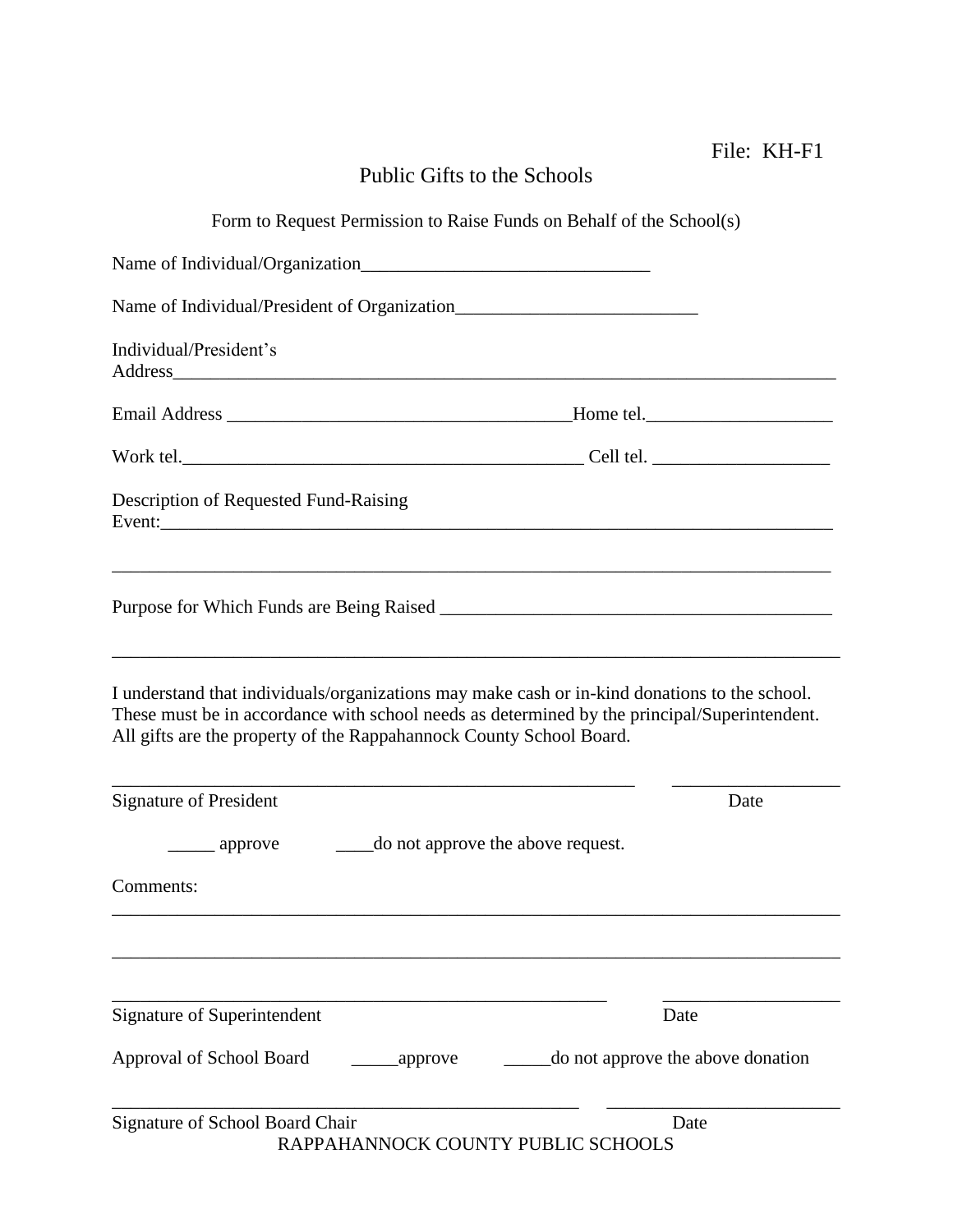|                                                                                                                                                                                                                                                                      | File: KH-F1                       |
|----------------------------------------------------------------------------------------------------------------------------------------------------------------------------------------------------------------------------------------------------------------------|-----------------------------------|
| Public Gifts to the Schools                                                                                                                                                                                                                                          |                                   |
| Form to Request Permission to Raise Funds on Behalf of the School(s)                                                                                                                                                                                                 |                                   |
|                                                                                                                                                                                                                                                                      |                                   |
|                                                                                                                                                                                                                                                                      |                                   |
| Individual/President's                                                                                                                                                                                                                                               |                                   |
|                                                                                                                                                                                                                                                                      |                                   |
|                                                                                                                                                                                                                                                                      |                                   |
| Description of Requested Fund-Raising                                                                                                                                                                                                                                |                                   |
|                                                                                                                                                                                                                                                                      |                                   |
| I understand that individuals/organizations may make cash or in-kind donations to the school.<br>These must be in accordance with school needs as determined by the principal/Superintendent.<br>All gifts are the property of the Rappahannock County School Board. |                                   |
| <b>Signature of President</b>                                                                                                                                                                                                                                        | Date                              |
| do not approve the above request.<br><sub>__</sub> approve                                                                                                                                                                                                           |                                   |
| Comments:                                                                                                                                                                                                                                                            |                                   |
|                                                                                                                                                                                                                                                                      |                                   |
|                                                                                                                                                                                                                                                                      |                                   |
| Signature of Superintendent                                                                                                                                                                                                                                          | Date                              |
| Approval of School Board<br>_____________approve                                                                                                                                                                                                                     | do not approve the above donation |
| Signature of School Board Chair<br>RAPPAHANNOCK COUNTY PUBLIC SCHOOLS                                                                                                                                                                                                | Date                              |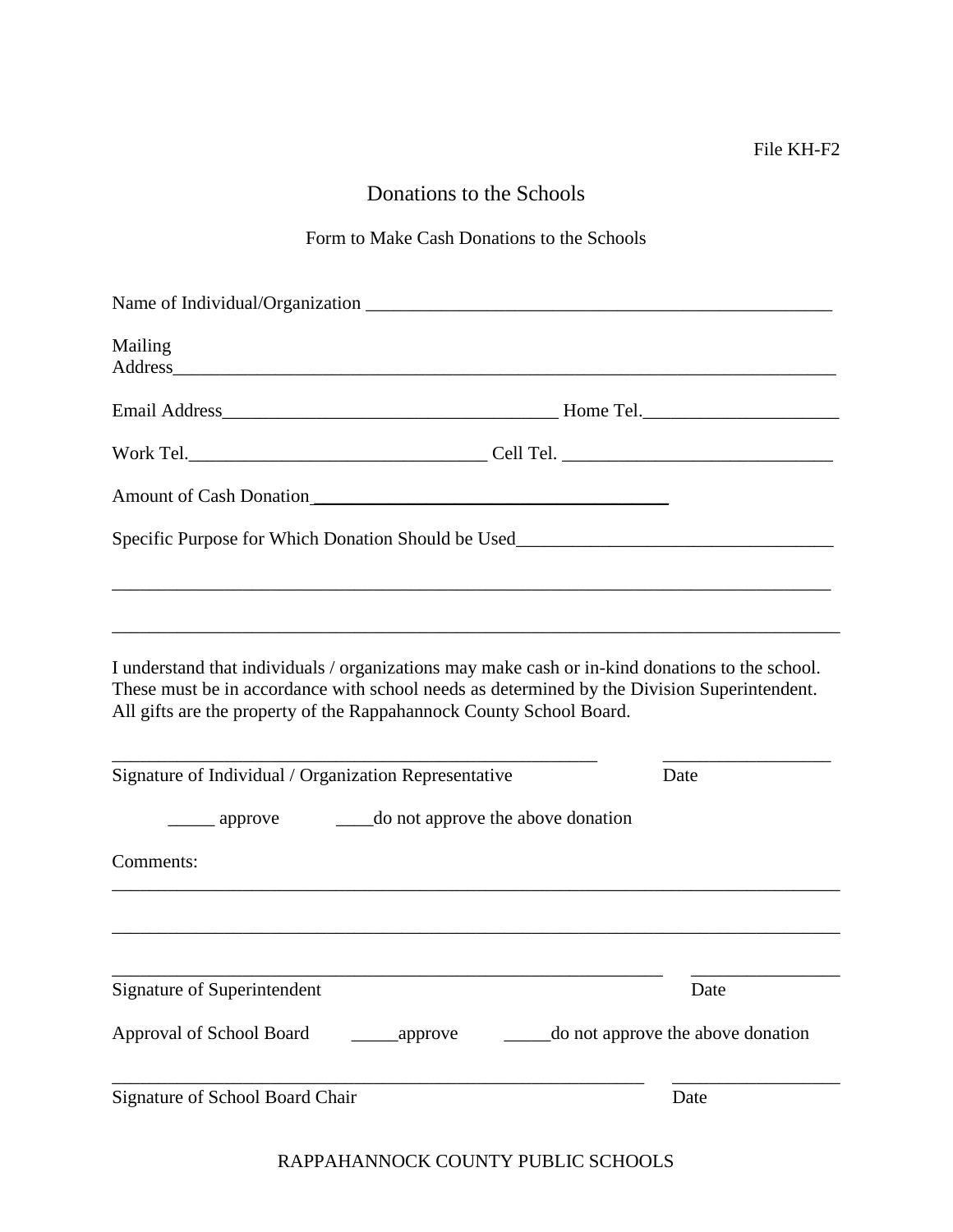# Donations to the Schools

# Form to Make Cash Donations to the Schools

| Name of Individual/Organization                                                                                                                                                                                                                                       |          |                                                           |                                   |
|-----------------------------------------------------------------------------------------------------------------------------------------------------------------------------------------------------------------------------------------------------------------------|----------|-----------------------------------------------------------|-----------------------------------|
| Mailing<br>Address and the contract of the contract of the contract of the contract of the contract of the contract of the contract of the contract of the contract of the contract of the contract of the contract of the contract of th                             |          |                                                           |                                   |
|                                                                                                                                                                                                                                                                       |          |                                                           |                                   |
|                                                                                                                                                                                                                                                                       |          |                                                           |                                   |
|                                                                                                                                                                                                                                                                       |          |                                                           |                                   |
| Specific Purpose for Which Donation Should be Used_______________________________                                                                                                                                                                                     |          |                                                           |                                   |
|                                                                                                                                                                                                                                                                       |          |                                                           |                                   |
| I understand that individuals / organizations may make cash or in-kind donations to the school.<br>These must be in accordance with school needs as determined by the Division Superintendent.<br>All gifts are the property of the Rappahannock County School Board. |          |                                                           |                                   |
| Signature of Individual / Organization Representative                                                                                                                                                                                                                 |          |                                                           | Date                              |
| $\equiv$ approve                                                                                                                                                                                                                                                      |          | ________ do not approve the above donation                |                                   |
| Comments:                                                                                                                                                                                                                                                             |          |                                                           |                                   |
|                                                                                                                                                                                                                                                                       |          |                                                           |                                   |
| Signature of Superintendent                                                                                                                                                                                                                                           |          | <u> 1989 - Johann Barnett, fransk politiker (d. 1989)</u> | Date                              |
| Approval of School Board                                                                                                                                                                                                                                              | _approve |                                                           | do not approve the above donation |
| Signature of School Board Chair                                                                                                                                                                                                                                       |          |                                                           | Date                              |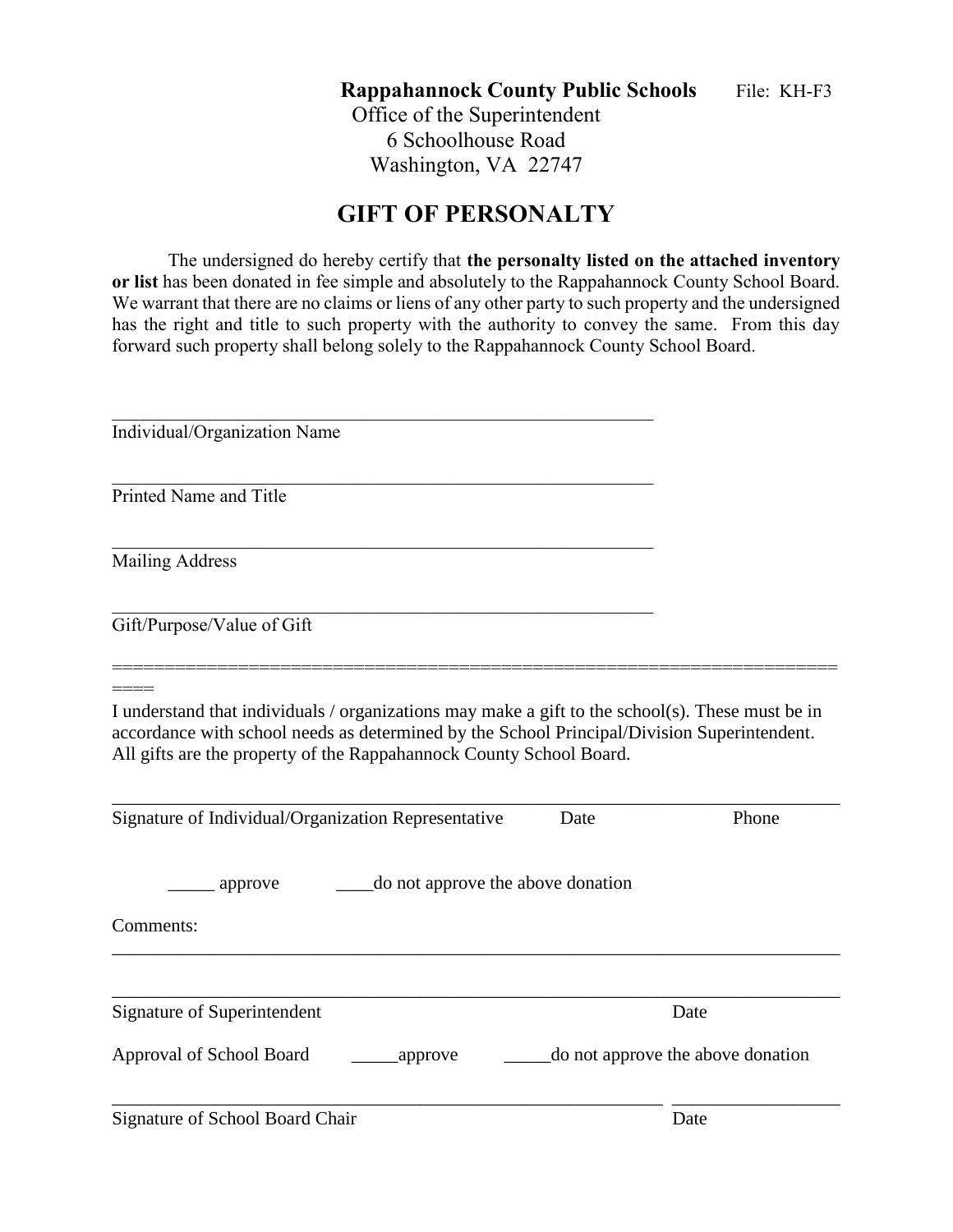**Rappahannock County Public Schools** File: KH-F3

Office of the Superintendent 6 Schoolhouse Road Washington, VA 22747

# **GIFT OF PERSONALTY**

The undersigned do hereby certify that **the personalty listed on the attached inventory or list** has been donated in fee simple and absolutely to the Rappahannock County School Board. We warrant that there are no claims or liens of any other party to such property and the undersigned has the right and title to such property with the authority to convey the same. From this day forward such property shall belong solely to the Rappahannock County School Board.

| Individual/Organization Name                                                                                                                                                                                                                                           |                                   |
|------------------------------------------------------------------------------------------------------------------------------------------------------------------------------------------------------------------------------------------------------------------------|-----------------------------------|
| Printed Name and Title                                                                                                                                                                                                                                                 |                                   |
| <b>Mailing Address</b>                                                                                                                                                                                                                                                 |                                   |
| Gift/Purpose/Value of Gift                                                                                                                                                                                                                                             |                                   |
| I understand that individuals / organizations may make a gift to the school(s). These must be in<br>accordance with school needs as determined by the School Principal/Division Superintendent.<br>All gifts are the property of the Rappahannock County School Board. |                                   |
| Signature of Individual/Organization Representative<br>Date                                                                                                                                                                                                            | Phone                             |
| do not approve the above donation<br>approve                                                                                                                                                                                                                           |                                   |
| Comments:                                                                                                                                                                                                                                                              |                                   |
|                                                                                                                                                                                                                                                                        |                                   |
| <b>Signature of Superintendent</b>                                                                                                                                                                                                                                     | Date                              |
| Approval of School Board<br>approve                                                                                                                                                                                                                                    | do not approve the above donation |
| <b>Signature of School Board Chair</b>                                                                                                                                                                                                                                 | Date                              |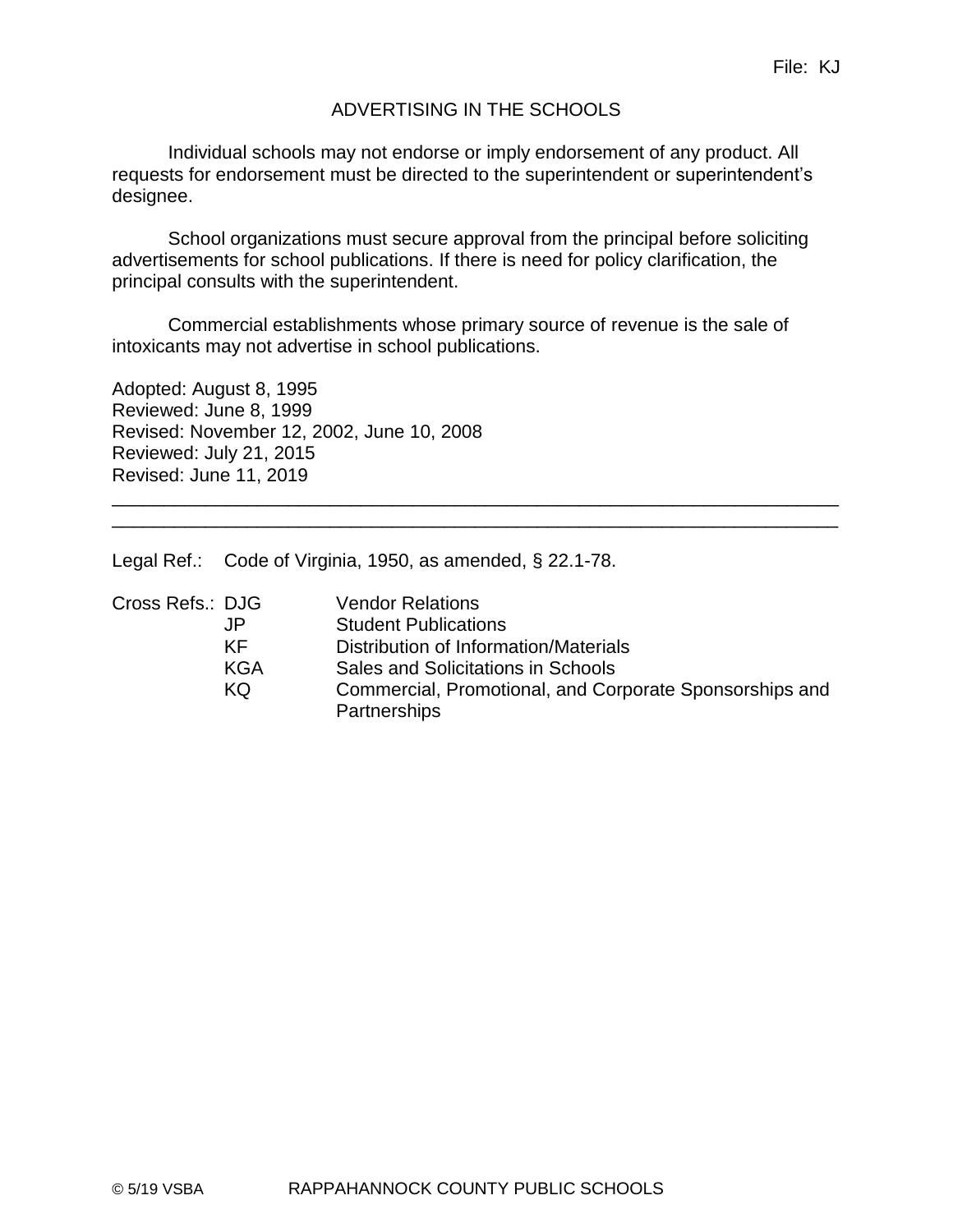# ADVERTISING IN THE SCHOOLS

Individual schools may not endorse or imply endorsement of any product. All requests for endorsement must be directed to the superintendent or superintendent's designee.

School organizations must secure approval from the principal before soliciting advertisements for school publications. If there is need for policy clarification, the principal consults with the superintendent.

Commercial establishments whose primary source of revenue is the sale of intoxicants may not advertise in school publications.

Adopted: August 8, 1995 Reviewed: June 8, 1999 Revised: November 12, 2002, June 10, 2008 Reviewed: July 21, 2015 Revised: June 11, 2019

Legal Ref.: Code of Virginia, 1950, as amended, § 22.1-78.

| Cross Refs.: DJG |            | <b>Vendor Relations</b>                                                 |
|------------------|------------|-------------------------------------------------------------------------|
|                  | JP         | <b>Student Publications</b>                                             |
|                  | KF         | Distribution of Information/Materials                                   |
|                  | <b>KGA</b> | Sales and Solicitations in Schools                                      |
|                  | KQ         | Commercial, Promotional, and Corporate Sponsorships and<br>Partnerships |

\_\_\_\_\_\_\_\_\_\_\_\_\_\_\_\_\_\_\_\_\_\_\_\_\_\_\_\_\_\_\_\_\_\_\_\_\_\_\_\_\_\_\_\_\_\_\_\_\_\_\_\_\_\_\_\_\_\_\_\_\_\_\_\_\_\_\_\_\_\_ \_\_\_\_\_\_\_\_\_\_\_\_\_\_\_\_\_\_\_\_\_\_\_\_\_\_\_\_\_\_\_\_\_\_\_\_\_\_\_\_\_\_\_\_\_\_\_\_\_\_\_\_\_\_\_\_\_\_\_\_\_\_\_\_\_\_\_\_\_\_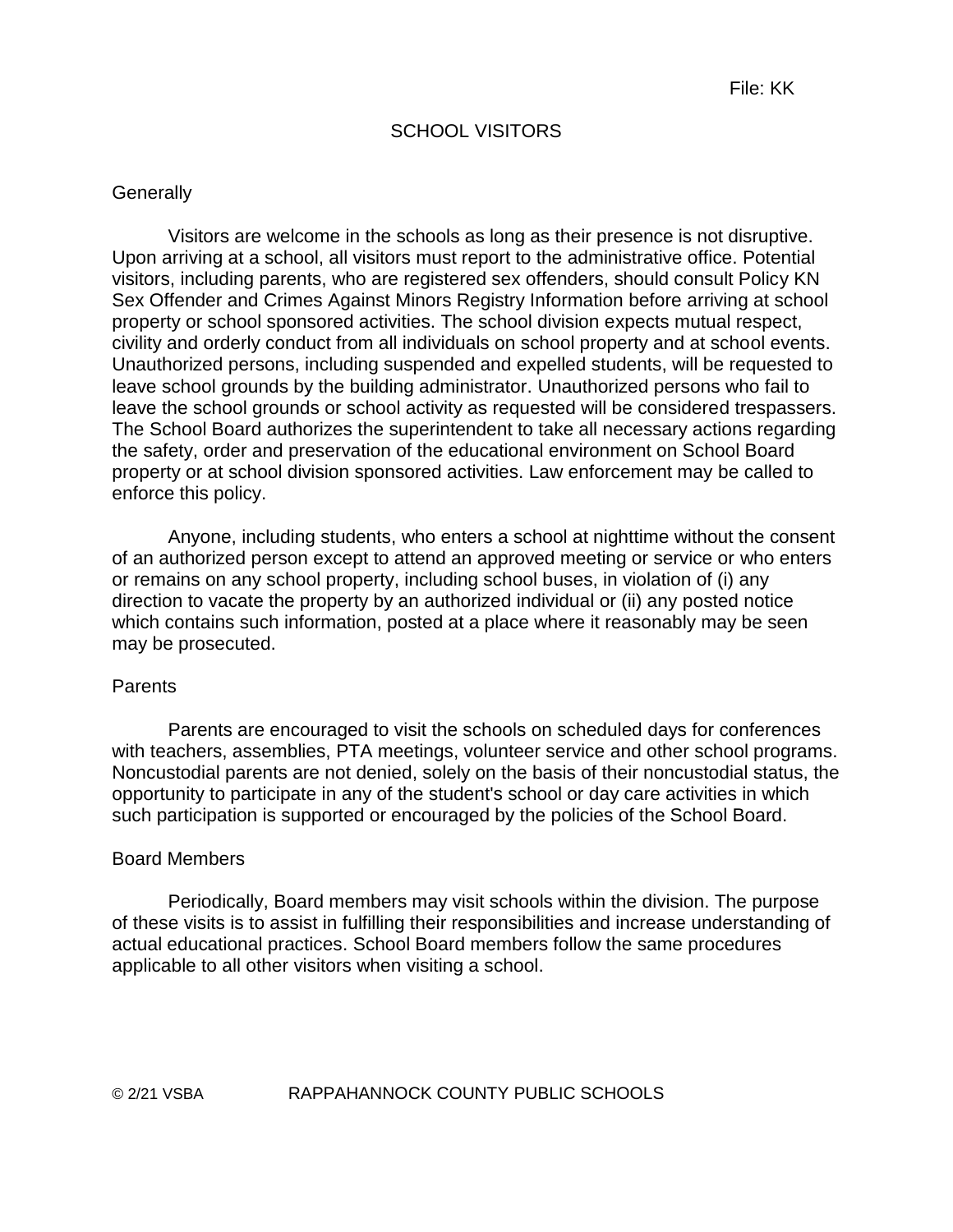## SCHOOL VISITORS

#### **Generally**

Visitors are welcome in the schools as long as their presence is not disruptive. Upon arriving at a school, all visitors must report to the administrative office. Potential visitors, including parents, who are registered sex offenders, should consult Policy KN Sex Offender and Crimes Against Minors Registry Information before arriving at school property or school sponsored activities. The school division expects mutual respect, civility and orderly conduct from all individuals on school property and at school events. Unauthorized persons, including suspended and expelled students, will be requested to leave school grounds by the building administrator. Unauthorized persons who fail to leave the school grounds or school activity as requested will be considered trespassers. The School Board authorizes the superintendent to take all necessary actions regarding the safety, order and preservation of the educational environment on School Board property or at school division sponsored activities. Law enforcement may be called to enforce this policy.

Anyone, including students, who enters a school at nighttime without the consent of an authorized person except to attend an approved meeting or service or who enters or remains on any school property, including school buses, in violation of (i) any direction to vacate the property by an authorized individual or (ii) any posted notice which contains such information, posted at a place where it reasonably may be seen may be prosecuted.

#### **Parents**

Parents are encouraged to visit the schools on scheduled days for conferences with teachers, assemblies, PTA meetings, volunteer service and other school programs. Noncustodial parents are not denied, solely on the basis of their noncustodial status, the opportunity to participate in any of the student's school or day care activities in which such participation is supported or encouraged by the policies of the School Board.

#### Board Members

Periodically, Board members may visit schools within the division. The purpose of these visits is to assist in fulfilling their responsibilities and increase understanding of actual educational practices. School Board members follow the same procedures applicable to all other visitors when visiting a school.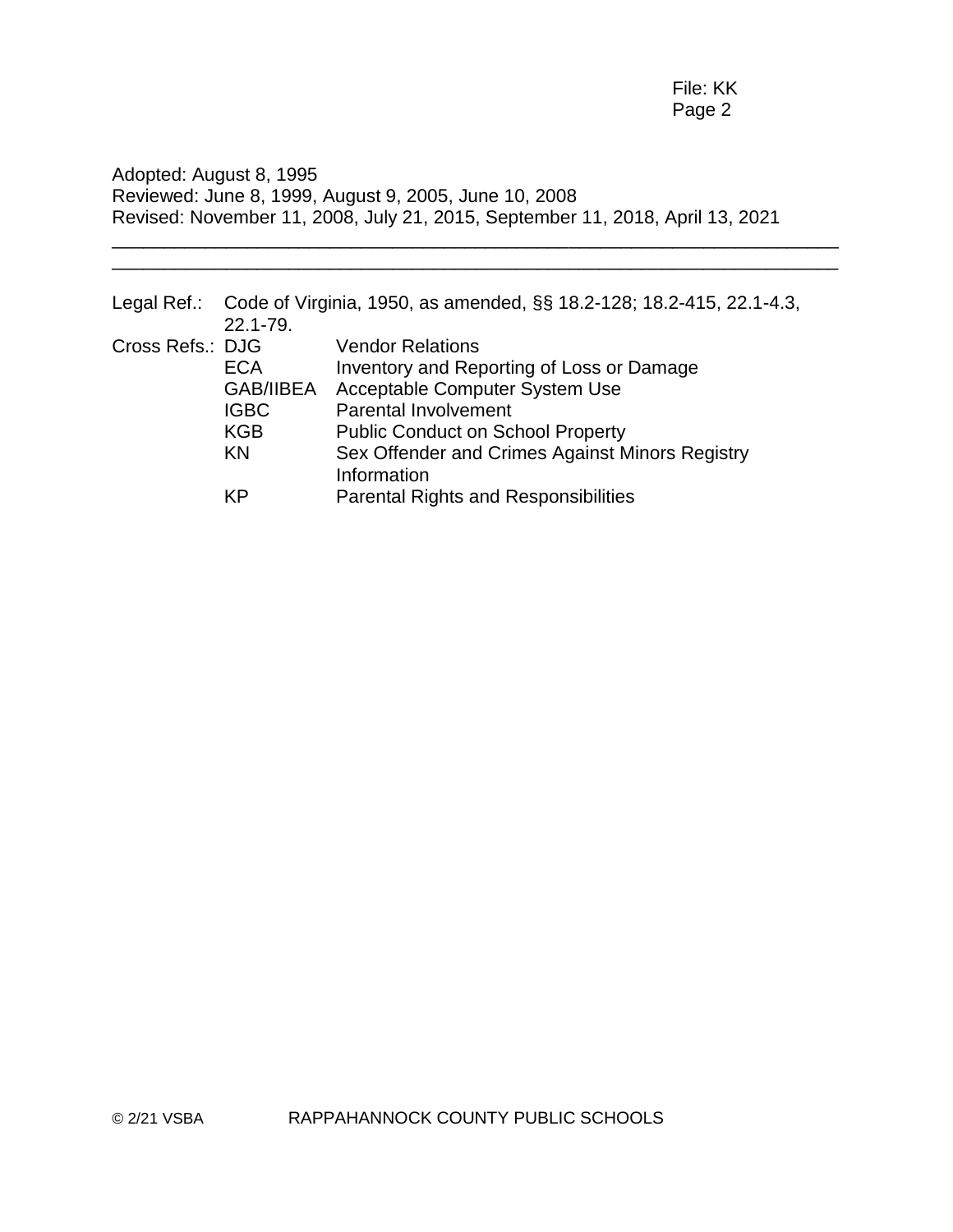Adopted: August 8, 1995 Reviewed: June 8, 1999, August 9, 2005, June 10, 2008 Revised: November 11, 2008, July 21, 2015, September 11, 2018, April 13, 2021

\_\_\_\_\_\_\_\_\_\_\_\_\_\_\_\_\_\_\_\_\_\_\_\_\_\_\_\_\_\_\_\_\_\_\_\_\_\_\_\_\_\_\_\_\_\_\_\_\_\_\_\_\_\_\_\_\_\_\_\_\_\_\_\_\_\_\_\_\_\_ \_\_\_\_\_\_\_\_\_\_\_\_\_\_\_\_\_\_\_\_\_\_\_\_\_\_\_\_\_\_\_\_\_\_\_\_\_\_\_\_\_\_\_\_\_\_\_\_\_\_\_\_\_\_\_\_\_\_\_\_\_\_\_\_\_\_\_\_\_\_

|                  | 22.1-79.         | Legal Ref.: Code of Virginia, 1950, as amended, §§ 18.2-128; 18.2-415, 22.1-4.3, |
|------------------|------------------|----------------------------------------------------------------------------------|
| Cross Refs.: DJG |                  | <b>Vendor Relations</b>                                                          |
|                  | ECA              | Inventory and Reporting of Loss or Damage                                        |
|                  | <b>GAB/IIBEA</b> | Acceptable Computer System Use                                                   |
|                  | <b>IGBC</b>      | <b>Parental Involvement</b>                                                      |
|                  | <b>KGB</b>       | <b>Public Conduct on School Property</b>                                         |
|                  | KN               | Sex Offender and Crimes Against Minors Registry                                  |
|                  |                  | Information                                                                      |
|                  | ΚP               | <b>Parental Rights and Responsibilities</b>                                      |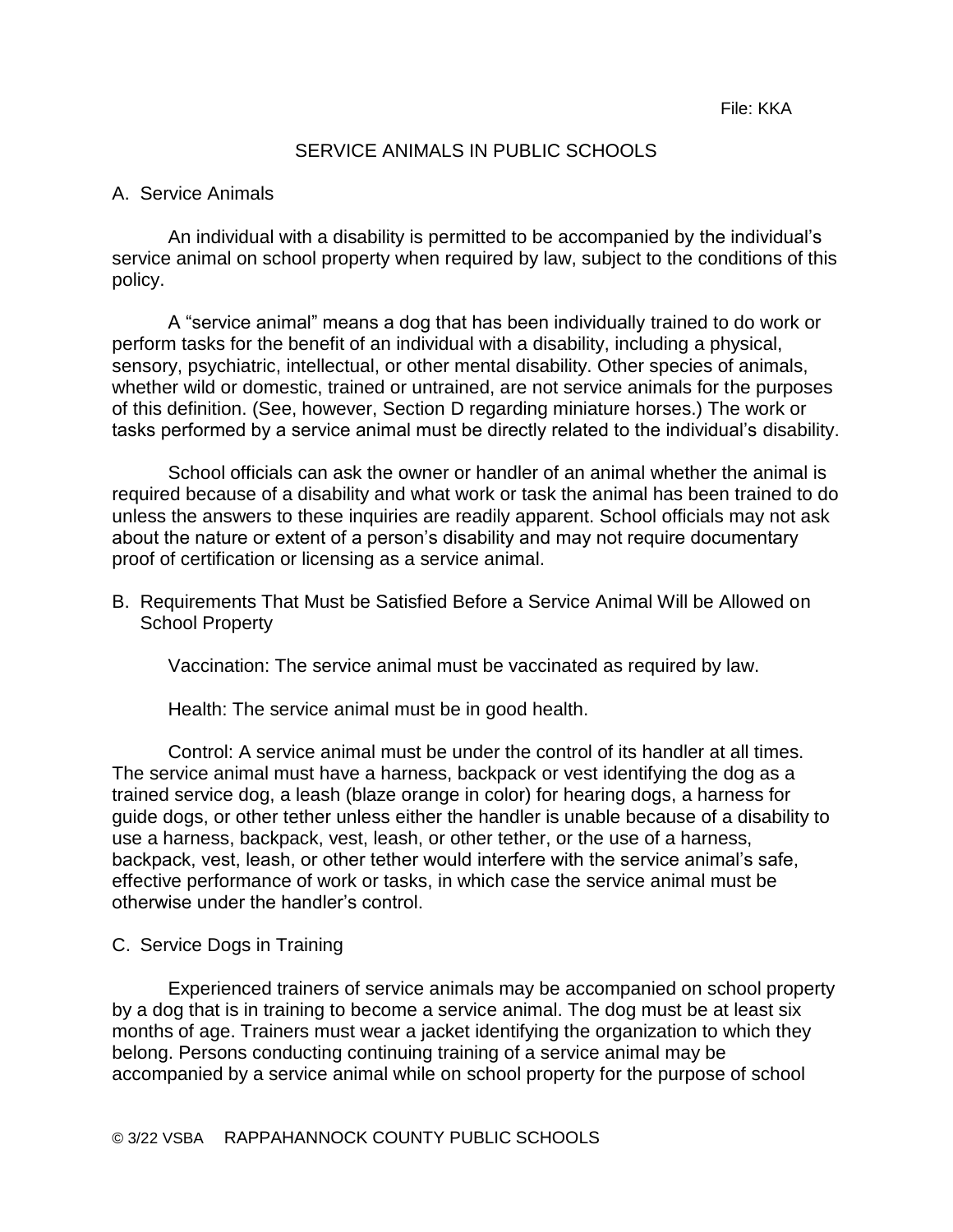#### SERVICE ANIMALS IN PUBLIC SCHOOLS

#### A. Service Animals

An individual with a disability is permitted to be accompanied by the individual's service animal on school property when required by law, subject to the conditions of this policy.

A "service animal" means a dog that has been individually trained to do work or perform tasks for the benefit of an individual with a disability, including a physical, sensory, psychiatric, intellectual, or other mental disability. Other species of animals, whether wild or domestic, trained or untrained, are not service animals for the purposes of this definition. (See, however, Section D regarding miniature horses.) The work or tasks performed by a service animal must be directly related to the individual's disability.

School officials can ask the owner or handler of an animal whether the animal is required because of a disability and what work or task the animal has been trained to do unless the answers to these inquiries are readily apparent. School officials may not ask about the nature or extent of a person's disability and may not require documentary proof of certification or licensing as a service animal.

B. Requirements That Must be Satisfied Before a Service Animal Will be Allowed on School Property

Vaccination: The service animal must be vaccinated as required by law.

Health: The service animal must be in good health.

Control: A service animal must be under the control of its handler at all times. The service animal must have a harness, backpack or vest identifying the dog as a trained service dog, a leash (blaze orange in color) for hearing dogs, a harness for guide dogs, or other tether unless either the handler is unable because of a disability to use a harness, backpack, vest, leash, or other tether, or the use of a harness, backpack, vest, leash, or other tether would interfere with the service animal's safe, effective performance of work or tasks, in which case the service animal must be otherwise under the handler's control.

C. Service Dogs in Training

Experienced trainers of service animals may be accompanied on school property by a dog that is in training to become a service animal. The dog must be at least six months of age. Trainers must wear a jacket identifying the organization to which they belong. Persons conducting continuing training of a service animal may be accompanied by a service animal while on school property for the purpose of school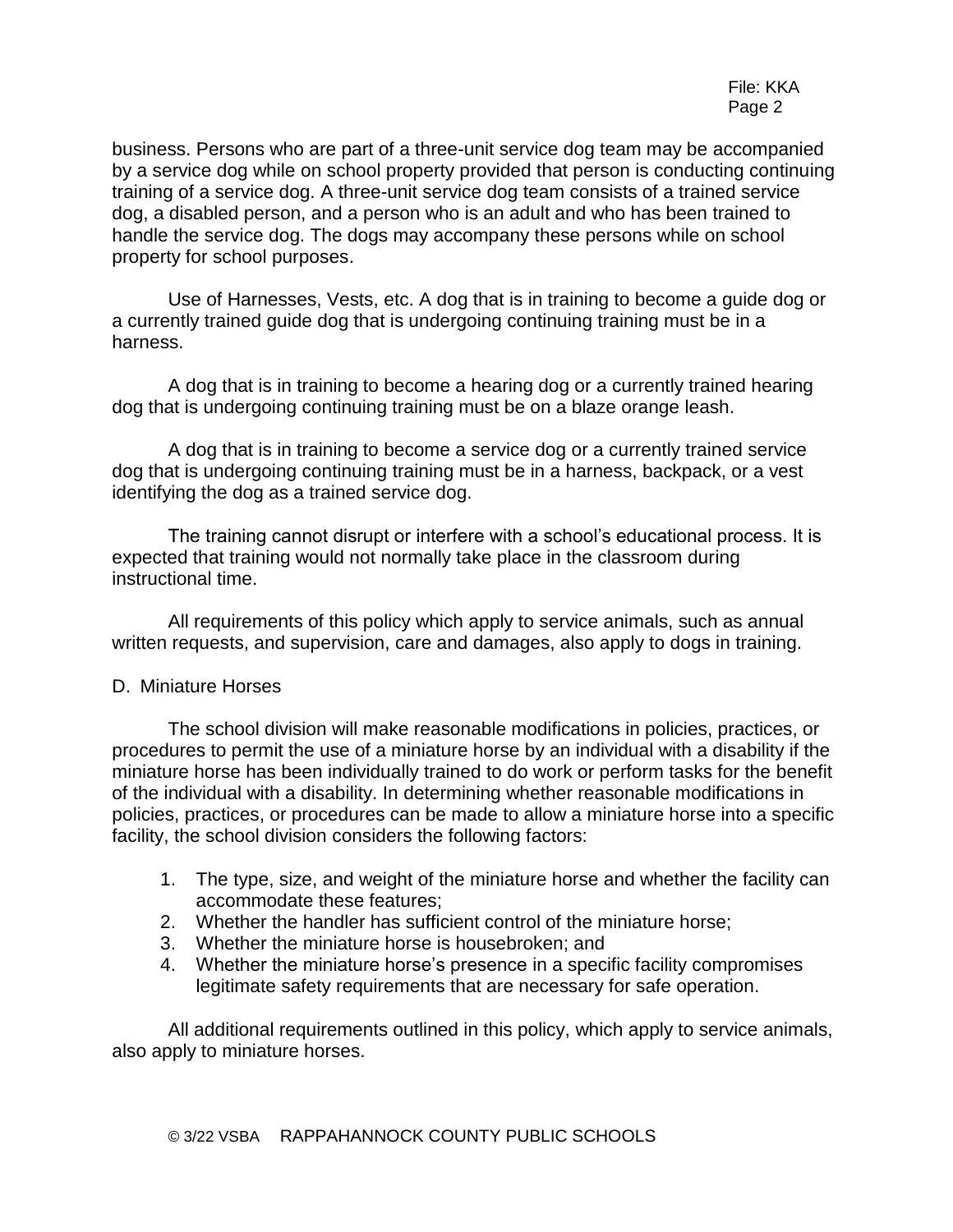business. Persons who are part of a three-unit service dog team may be accompanied by a service dog while on school property provided that person is conducting continuing training of a service dog. A three-unit service dog team consists of a trained service dog, a disabled person, and a person who is an adult and who has been trained to handle the service dog. The dogs may accompany these persons while on school property for school purposes.

Use of Harnesses, Vests, etc. A dog that is in training to become a guide dog or a currently trained guide dog that is undergoing continuing training must be in a harness.

A dog that is in training to become a hearing dog or a currently trained hearing dog that is undergoing continuing training must be on a blaze orange leash.

A dog that is in training to become a service dog or a currently trained service dog that is undergoing continuing training must be in a harness, backpack, or a vest identifying the dog as a trained service dog.

The training cannot disrupt or interfere with a school's educational process. It is expected that training would not normally take place in the classroom during instructional time.

All requirements of this policy which apply to service animals, such as annual written requests, and supervision, care and damages, also apply to dogs in training.

#### D. Miniature Horses

The school division will make reasonable modifications in policies, practices, or procedures to permit the use of a miniature horse by an individual with a disability if the miniature horse has been individually trained to do work or perform tasks for the benefit of the individual with a disability. In determining whether reasonable modifications in policies, practices, or procedures can be made to allow a miniature horse into a specific facility, the school division considers the following factors:

- 1. The type, size, and weight of the miniature horse and whether the facility can accommodate these features;
- 2. Whether the handler has sufficient control of the miniature horse;
- 3. Whether the miniature horse is housebroken; and
- 4. Whether the miniature horse's presence in a specific facility compromises legitimate safety requirements that are necessary for safe operation.

All additional requirements outlined in this policy, which apply to service animals, also apply to miniature horses.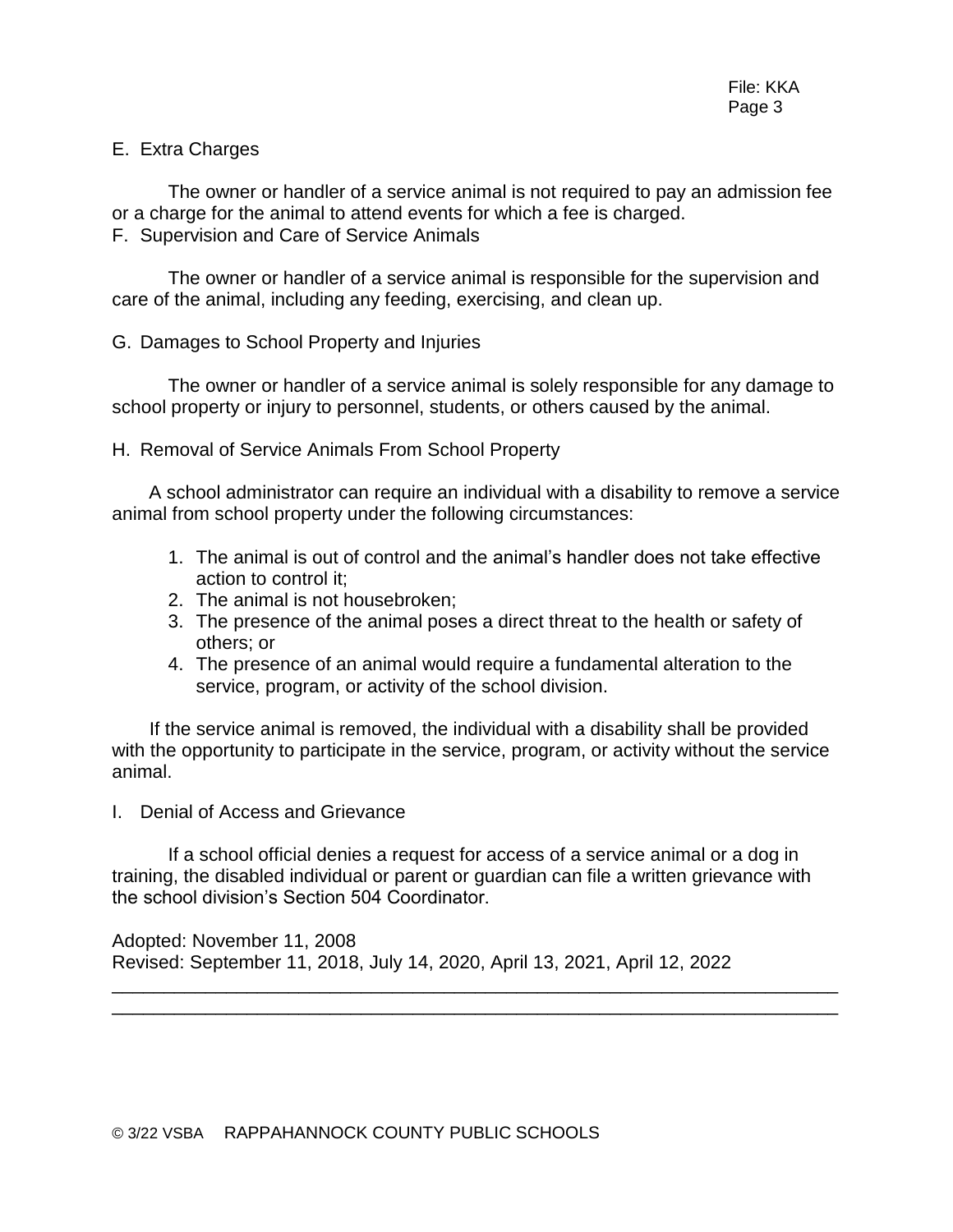#### E. Extra Charges

The owner or handler of a service animal is not required to pay an admission fee or a charge for the animal to attend events for which a fee is charged. F. Supervision and Care of Service Animals

The owner or handler of a service animal is responsible for the supervision and care of the animal, including any feeding, exercising, and clean up.

#### G. Damages to School Property and Injuries

The owner or handler of a service animal is solely responsible for any damage to school property or injury to personnel, students, or others caused by the animal.

#### H. Removal of Service Animals From School Property

A school administrator can require an individual with a disability to remove a service animal from school property under the following circumstances:

- 1. The animal is out of control and the animal's handler does not take effective action to control it;
- 2. The animal is not housebroken;
- 3. The presence of the animal poses a direct threat to the health or safety of others; or
- 4. The presence of an animal would require a fundamental alteration to the service, program, or activity of the school division.

If the service animal is removed, the individual with a disability shall be provided with the opportunity to participate in the service, program, or activity without the service animal.

I. Denial of Access and Grievance

If a school official denies a request for access of a service animal or a dog in training, the disabled individual or parent or guardian can file a written grievance with the school division's Section 504 Coordinator.

\_\_\_\_\_\_\_\_\_\_\_\_\_\_\_\_\_\_\_\_\_\_\_\_\_\_\_\_\_\_\_\_\_\_\_\_\_\_\_\_\_\_\_\_\_\_\_\_\_\_\_\_\_\_\_\_\_\_\_\_\_\_\_\_\_\_\_\_\_\_ \_\_\_\_\_\_\_\_\_\_\_\_\_\_\_\_\_\_\_\_\_\_\_\_\_\_\_\_\_\_\_\_\_\_\_\_\_\_\_\_\_\_\_\_\_\_\_\_\_\_\_\_\_\_\_\_\_\_\_\_\_\_\_\_\_\_\_\_\_\_

Adopted: November 11, 2008 Revised: September 11, 2018, July 14, 2020, April 13, 2021, April 12, 2022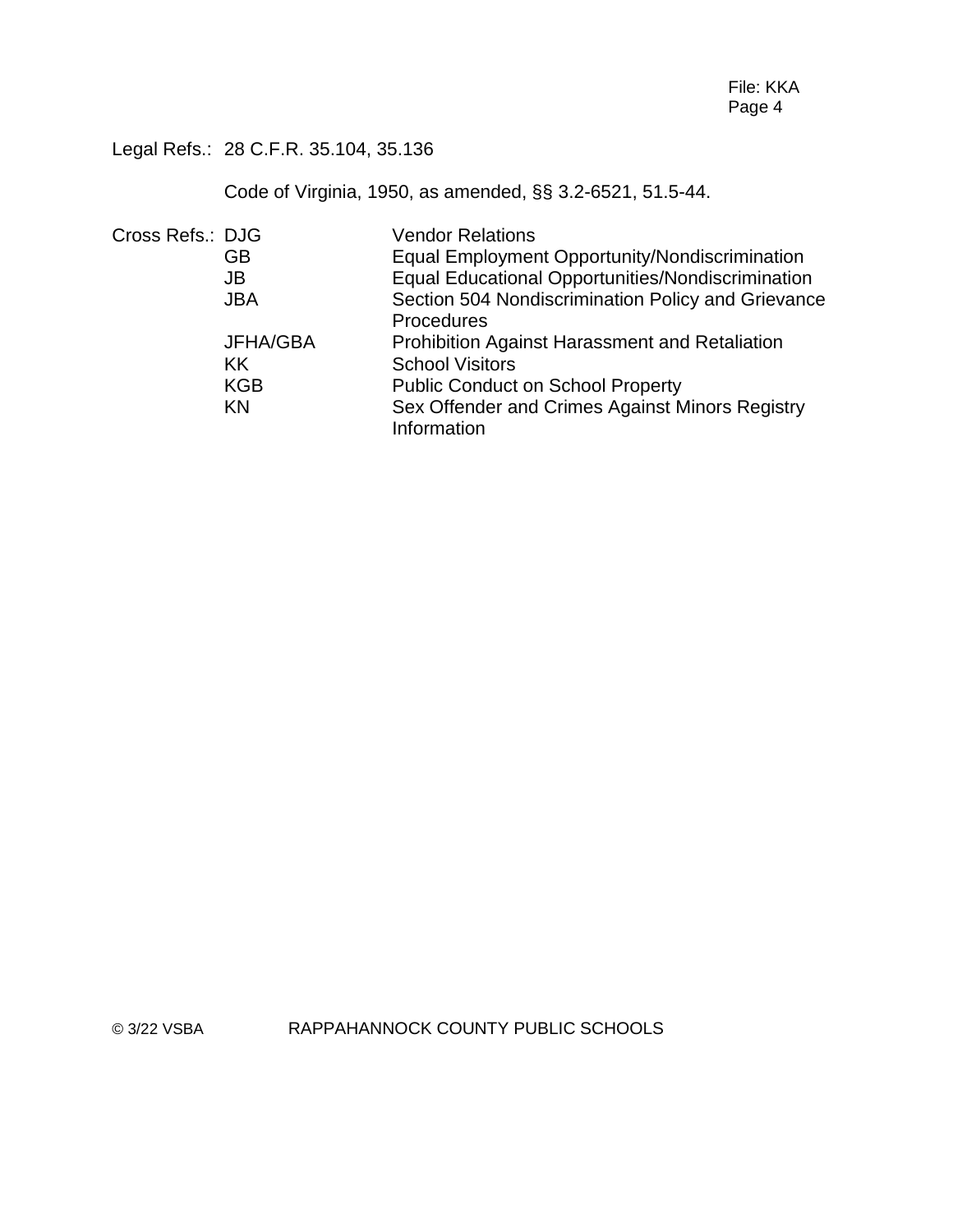Legal Refs.: 28 C.F.R. 35.104, 35.136

Code of Virginia, 1950, as amended, §§ 3.2-6521, 51.5-44.

| Cross Refs.: DJG |            | <b>Vendor Relations</b>                               |
|------------------|------------|-------------------------------------------------------|
|                  | GB         | <b>Equal Employment Opportunity/Nondiscrimination</b> |
|                  | JB         | Equal Educational Opportunities/Nondiscrimination     |
|                  | <b>JBA</b> | Section 504 Nondiscrimination Policy and Grievance    |
|                  |            | Procedures                                            |
|                  | JFHA/GBA   | <b>Prohibition Against Harassment and Retaliation</b> |
|                  | KK.        | <b>School Visitors</b>                                |
|                  | <b>KGB</b> | <b>Public Conduct on School Property</b>              |
|                  | KN         | Sex Offender and Crimes Against Minors Registry       |
|                  |            | Information                                           |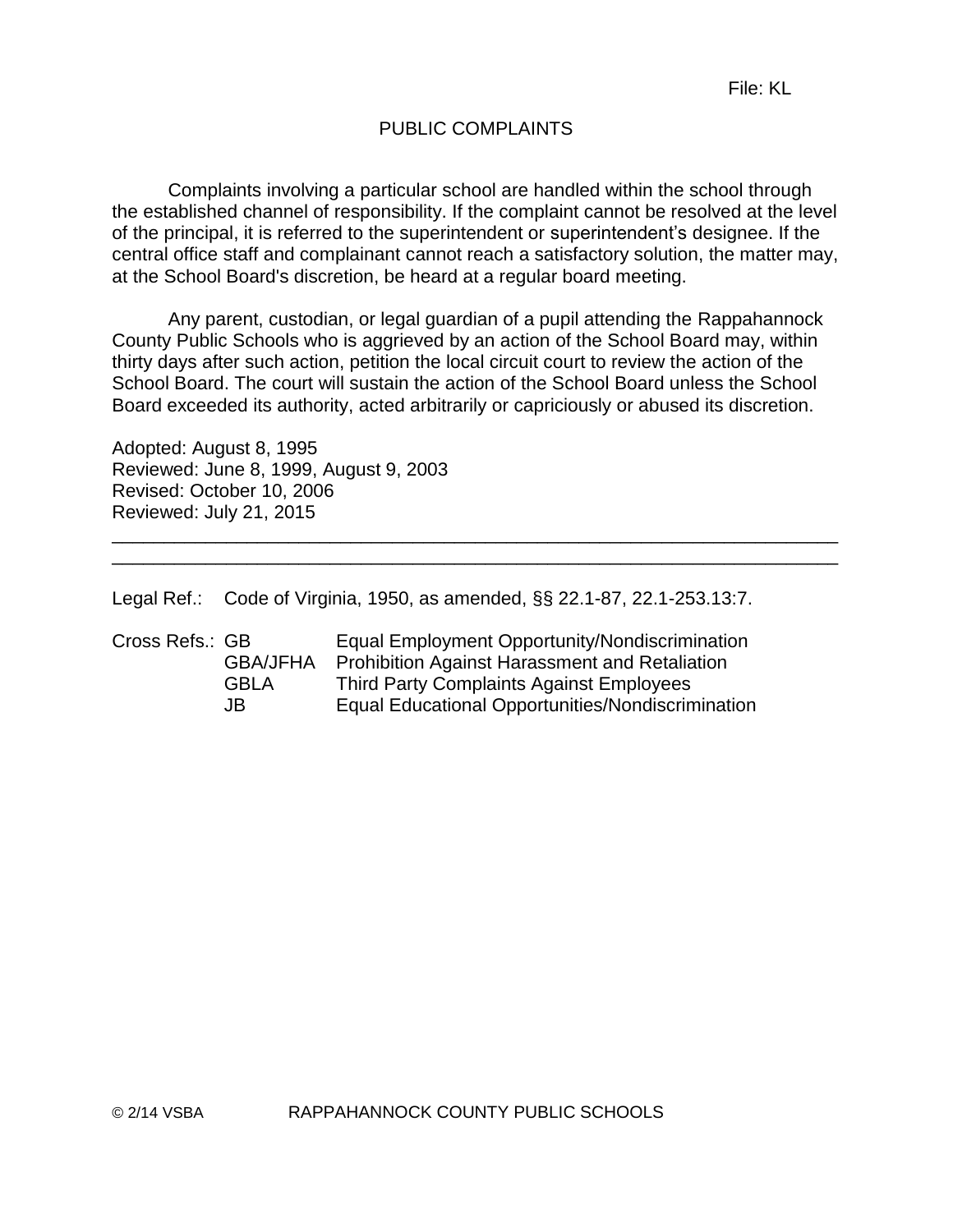# PUBLIC COMPLAINTS

Complaints involving a particular school are handled within the school through the established channel of responsibility. If the complaint cannot be resolved at the level of the principal, it is referred to the superintendent or superintendent's designee. If the central office staff and complainant cannot reach a satisfactory solution, the matter may, at the School Board's discretion, be heard at a regular board meeting.

Any parent, custodian, or legal guardian of a pupil attending the Rappahannock County Public Schools who is aggrieved by an action of the School Board may, within thirty days after such action, petition the local circuit court to review the action of the School Board. The court will sustain the action of the School Board unless the School Board exceeded its authority, acted arbitrarily or capriciously or abused its discretion.

\_\_\_\_\_\_\_\_\_\_\_\_\_\_\_\_\_\_\_\_\_\_\_\_\_\_\_\_\_\_\_\_\_\_\_\_\_\_\_\_\_\_\_\_\_\_\_\_\_\_\_\_\_\_\_\_\_\_\_\_\_\_\_\_\_\_\_\_\_\_ \_\_\_\_\_\_\_\_\_\_\_\_\_\_\_\_\_\_\_\_\_\_\_\_\_\_\_\_\_\_\_\_\_\_\_\_\_\_\_\_\_\_\_\_\_\_\_\_\_\_\_\_\_\_\_\_\_\_\_\_\_\_\_\_\_\_\_\_\_\_

Adopted: August 8, 1995 Reviewed: June 8, 1999, August 9, 2003 Revised: October 10, 2006 Reviewed: July 21, 2015

Legal Ref.: Code of Virginia, 1950, as amended, §§ 22.1-87, 22.1-253.13:7.

| Cross Refs.: GB | Equal Employment Opportunity/Nondiscrimination        |
|-----------------|-------------------------------------------------------|
| <b>GBA/JFHA</b> | <b>Prohibition Against Harassment and Retaliation</b> |
| GBI A           | Third Party Complaints Against Employees              |
| JB.             | Equal Educational Opportunities/Nondiscrimination     |
|                 |                                                       |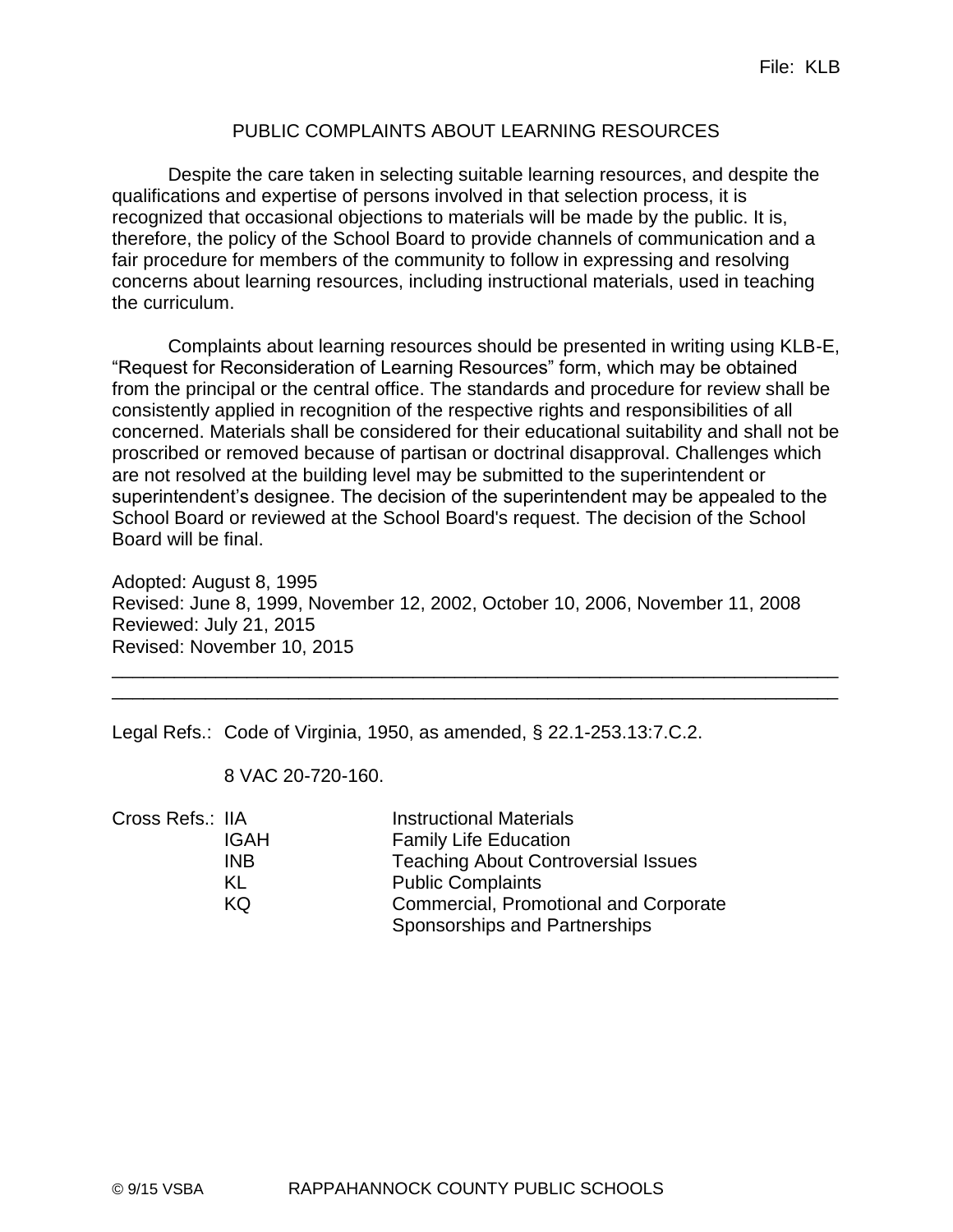# PUBLIC COMPLAINTS ABOUT LEARNING RESOURCES

Despite the care taken in selecting suitable learning resources, and despite the qualifications and expertise of persons involved in that selection process, it is recognized that occasional objections to materials will be made by the public. It is, therefore, the policy of the School Board to provide channels of communication and a fair procedure for members of the community to follow in expressing and resolving concerns about learning resources, including instructional materials, used in teaching the curriculum.

Complaints about learning resources should be presented in writing using KLB-E, "Request for Reconsideration of Learning Resources" form, which may be obtained from the principal or the central office. The standards and procedure for review shall be consistently applied in recognition of the respective rights and responsibilities of all concerned. Materials shall be considered for their educational suitability and shall not be proscribed or removed because of partisan or doctrinal disapproval. Challenges which are not resolved at the building level may be submitted to the superintendent or superintendent's designee. The decision of the superintendent may be appealed to the School Board or reviewed at the School Board's request. The decision of the School Board will be final.

Adopted: August 8, 1995 Revised: June 8, 1999, November 12, 2002, October 10, 2006, November 11, 2008 Reviewed: July 21, 2015 Revised: November 10, 2015

\_\_\_\_\_\_\_\_\_\_\_\_\_\_\_\_\_\_\_\_\_\_\_\_\_\_\_\_\_\_\_\_\_\_\_\_\_\_\_\_\_\_\_\_\_\_\_\_\_\_\_\_\_\_\_\_\_\_\_\_\_\_\_\_\_\_\_\_\_\_ \_\_\_\_\_\_\_\_\_\_\_\_\_\_\_\_\_\_\_\_\_\_\_\_\_\_\_\_\_\_\_\_\_\_\_\_\_\_\_\_\_\_\_\_\_\_\_\_\_\_\_\_\_\_\_\_\_\_\_\_\_\_\_\_\_\_\_\_\_\_

Legal Refs.: Code of Virginia, 1950, as amended, § 22.1-253.13:7.C.2.

8 VAC 20-720-160.

| Cross Refs.: IIA |             | <b>Instructional Materials</b>             |
|------------------|-------------|--------------------------------------------|
|                  | <b>IGAH</b> | <b>Family Life Education</b>               |
|                  | <b>INB</b>  | <b>Teaching About Controversial Issues</b> |
|                  | KL          | <b>Public Complaints</b>                   |
|                  | KQ          | Commercial, Promotional and Corporate      |
|                  |             | Sponsorships and Partnerships              |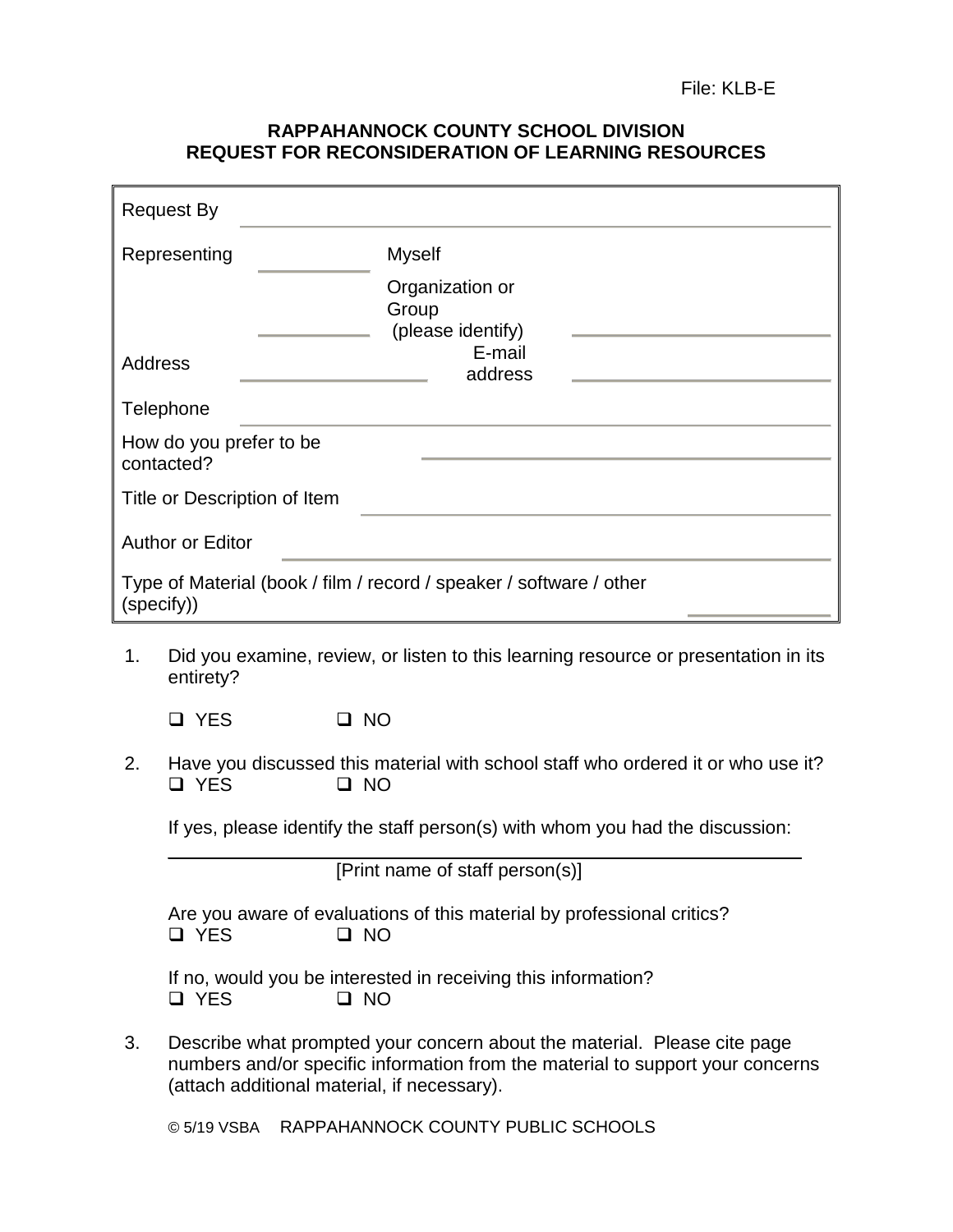#### **RAPPAHANNOCK COUNTY SCHOOL DIVISION REQUEST FOR RECONSIDERATION OF LEARNING RESOURCES**

|                                                                                   | <b>Request By</b>                     |                                                                                          |  |  |
|-----------------------------------------------------------------------------------|---------------------------------------|------------------------------------------------------------------------------------------|--|--|
|                                                                                   | Representing                          | <b>Myself</b>                                                                            |  |  |
|                                                                                   |                                       | Organization or<br>Group<br>(please identify)                                            |  |  |
| Address                                                                           |                                       | E-mail<br>address                                                                        |  |  |
|                                                                                   | Telephone                             |                                                                                          |  |  |
|                                                                                   | How do you prefer to be<br>contacted? |                                                                                          |  |  |
| Title or Description of Item                                                      |                                       |                                                                                          |  |  |
| <b>Author or Editor</b>                                                           |                                       |                                                                                          |  |  |
| Type of Material (book / film / record / speaker / software / other<br>(specify)) |                                       |                                                                                          |  |  |
| 1.                                                                                | entirety?                             | Did you examine, review, or listen to this learning resource or presentation in its      |  |  |
|                                                                                   | <b>Q</b> YES                          | $\square$ NO                                                                             |  |  |
| 2.                                                                                | <b>YES</b><br>- 1                     | Have you discussed this material with school staff who ordered it or who use it?<br>□ NO |  |  |

If yes, please identify the staff person(s) with whom you had the discussion:  $\_$  ,  $\_$  ,  $\_$  ,  $\_$  ,  $\_$  ,  $\_$  ,  $\_$  ,  $\_$  ,  $\_$  ,  $\_$  ,  $\_$  ,  $\_$  ,  $\_$  ,  $\_$  ,  $\_$  ,  $\_$  ,  $\_$  ,  $\_$  ,  $\_$  ,  $\_$ 

[Print name of staff person(s)]

| Are you aware of evaluations of this material by professional critics? |           |  |  |  |
|------------------------------------------------------------------------|-----------|--|--|--|
| □ YES                                                                  | $\Box$ NO |  |  |  |

If no, would you be interested in receiving this information? YES NO

3. Describe what prompted your concern about the material. Please cite page numbers and/or specific information from the material to support your concerns (attach additional material, if necessary).

© 5/19 VSBA RAPPAHANNOCK COUNTY PUBLIC SCHOOLS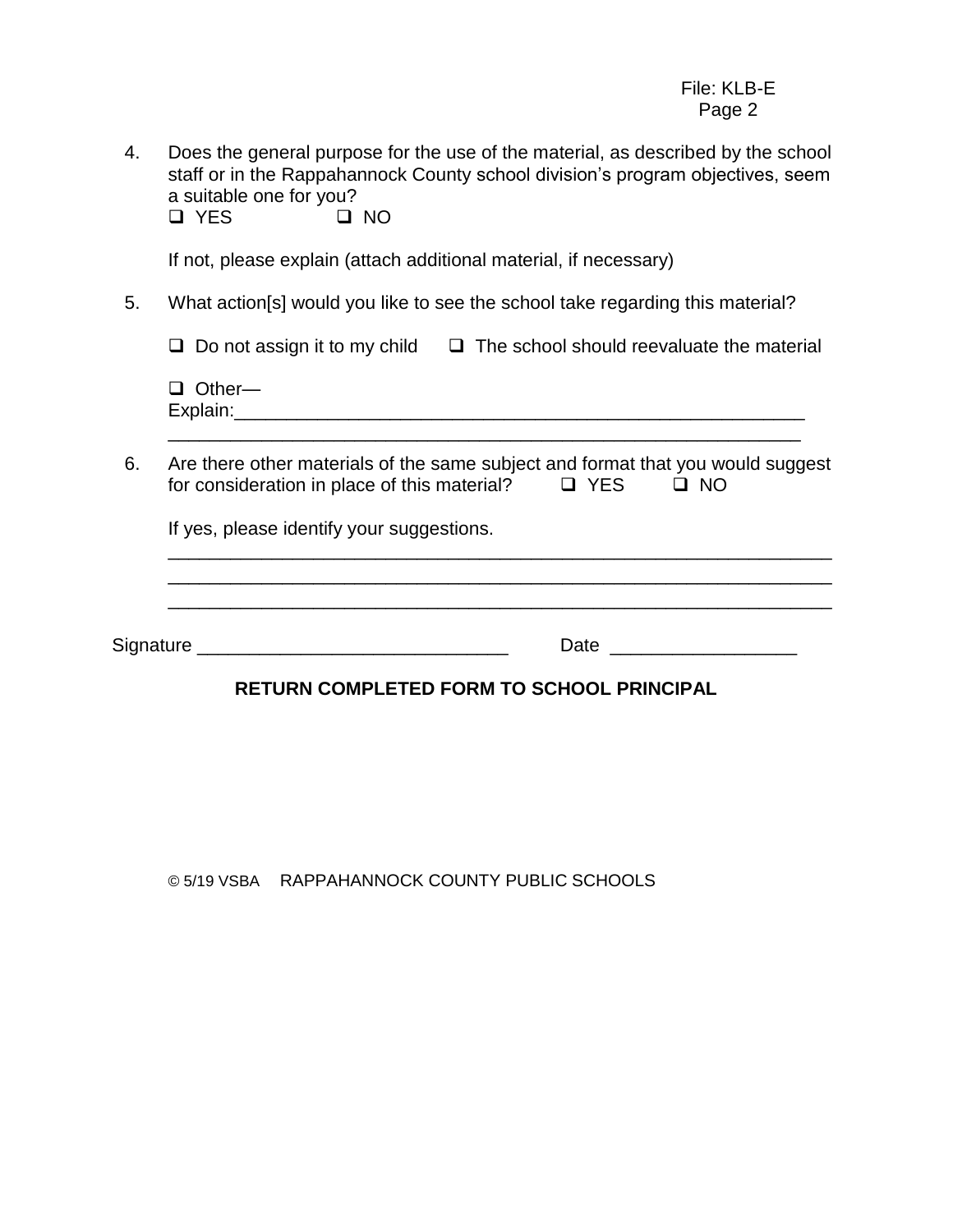4. Does the general purpose for the use of the material, as described by the school staff or in the Rappahannock County school division's program objectives, seem a suitable one for you?

YES NO

If not, please explain (attach additional material, if necessary)

5. What action[s] would you like to see the school take regarding this material?

 $\Box$  Do not assign it to my child  $\Box$  The school should reevaluate the material

□ Other— Explain: **Explain:** 

6. Are there other materials of the same subject and format that you would suggest for consideration in place of this material?  $\Box$  YES  $\Box$  NO

\_\_\_\_\_\_\_\_\_\_\_\_\_\_\_\_\_\_\_\_\_\_\_\_\_\_\_\_\_\_\_\_\_\_\_\_\_\_\_\_\_\_\_\_\_\_\_\_\_\_\_\_\_\_\_\_\_\_\_\_\_

If yes, please identify your suggestions.

\_\_\_\_\_\_\_\_\_\_\_\_\_\_\_\_\_\_\_\_\_\_\_\_\_\_\_\_\_\_\_\_\_\_\_\_\_\_\_\_\_\_\_\_\_\_\_\_\_\_\_\_\_\_\_\_\_\_\_\_\_\_\_\_ \_\_\_\_\_\_\_\_\_\_\_\_\_\_\_\_\_\_\_\_\_\_\_\_\_\_\_\_\_\_\_\_\_\_\_\_\_\_\_\_\_\_\_\_\_\_\_\_\_\_\_\_\_\_\_\_\_\_\_\_\_\_\_\_ \_\_\_\_\_\_\_\_\_\_\_\_\_\_\_\_\_\_\_\_\_\_\_\_\_\_\_\_\_\_\_\_\_\_\_\_\_\_\_\_\_\_\_\_\_\_\_\_\_\_\_\_\_\_\_\_\_\_\_\_\_\_\_\_ Signature \_\_\_\_\_\_\_\_\_\_\_\_\_\_\_\_\_\_\_\_\_\_\_\_\_\_\_\_\_\_ Date \_\_\_\_\_\_\_\_\_\_\_\_\_\_\_\_\_\_

# **RETURN COMPLETED FORM TO SCHOOL PRINCIPAL**

© 5/19 VSBA RAPPAHANNOCK COUNTY PUBLIC SCHOOLS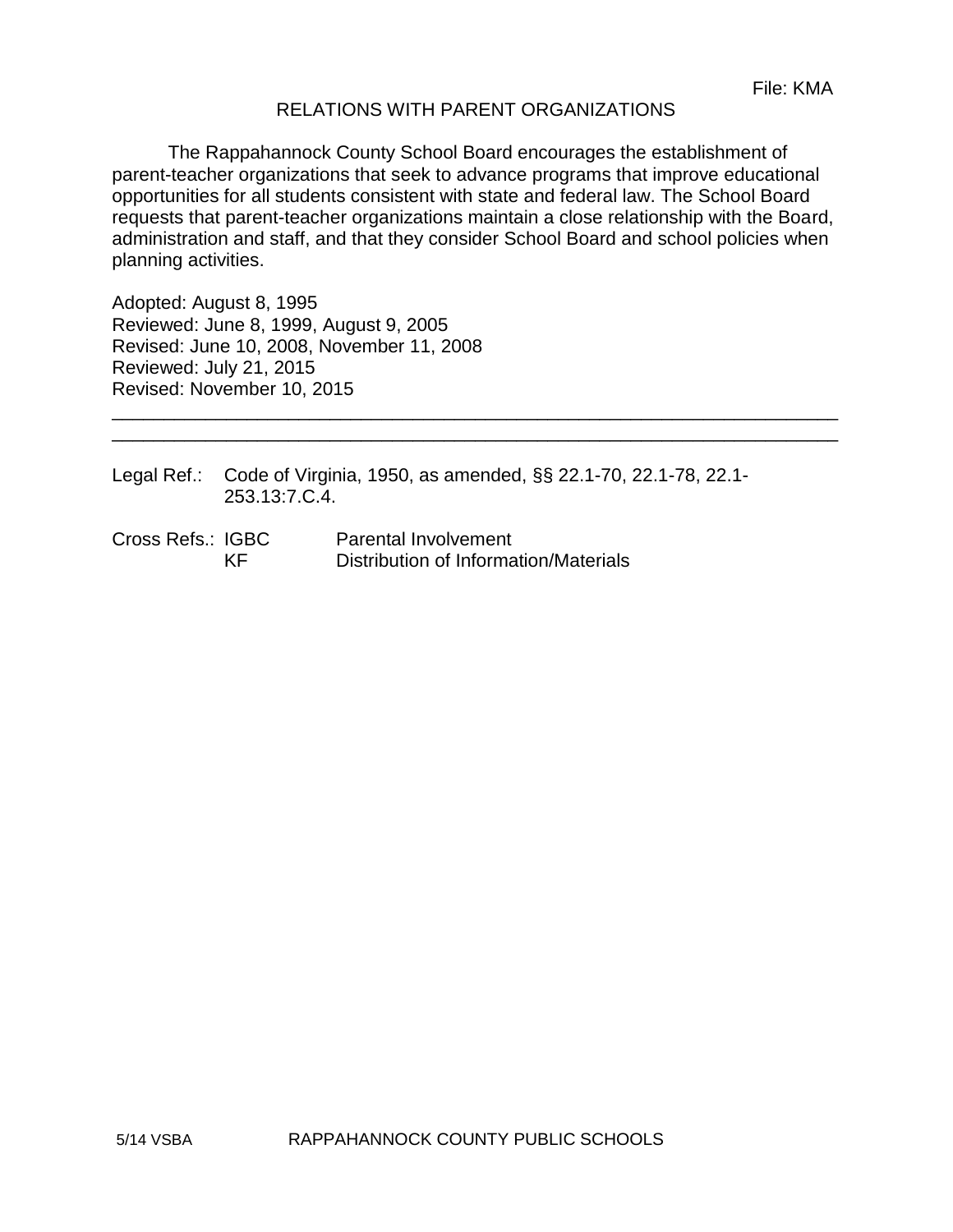#### RELATIONS WITH PARENT ORGANIZATIONS

The Rappahannock County School Board encourages the establishment of parent-teacher organizations that seek to advance programs that improve educational opportunities for all students consistent with state and federal law. The School Board requests that parent-teacher organizations maintain a close relationship with the Board, administration and staff, and that they consider School Board and school policies when planning activities.

\_\_\_\_\_\_\_\_\_\_\_\_\_\_\_\_\_\_\_\_\_\_\_\_\_\_\_\_\_\_\_\_\_\_\_\_\_\_\_\_\_\_\_\_\_\_\_\_\_\_\_\_\_\_\_\_\_\_\_\_\_\_\_\_\_\_\_\_\_\_ \_\_\_\_\_\_\_\_\_\_\_\_\_\_\_\_\_\_\_\_\_\_\_\_\_\_\_\_\_\_\_\_\_\_\_\_\_\_\_\_\_\_\_\_\_\_\_\_\_\_\_\_\_\_\_\_\_\_\_\_\_\_\_\_\_\_\_\_\_\_

Adopted: August 8, 1995 Reviewed: June 8, 1999, August 9, 2005 Revised: June 10, 2008, November 11, 2008 Reviewed: July 21, 2015 Revised: November 10, 2015

Legal Ref.: Code of Virginia, 1950, as amended, §§ 22.1-70, 22.1-78, 22.1- 253.13:7.C.4.

Cross Refs.: IGBC Parental Involvement KF Distribution of Information/Materials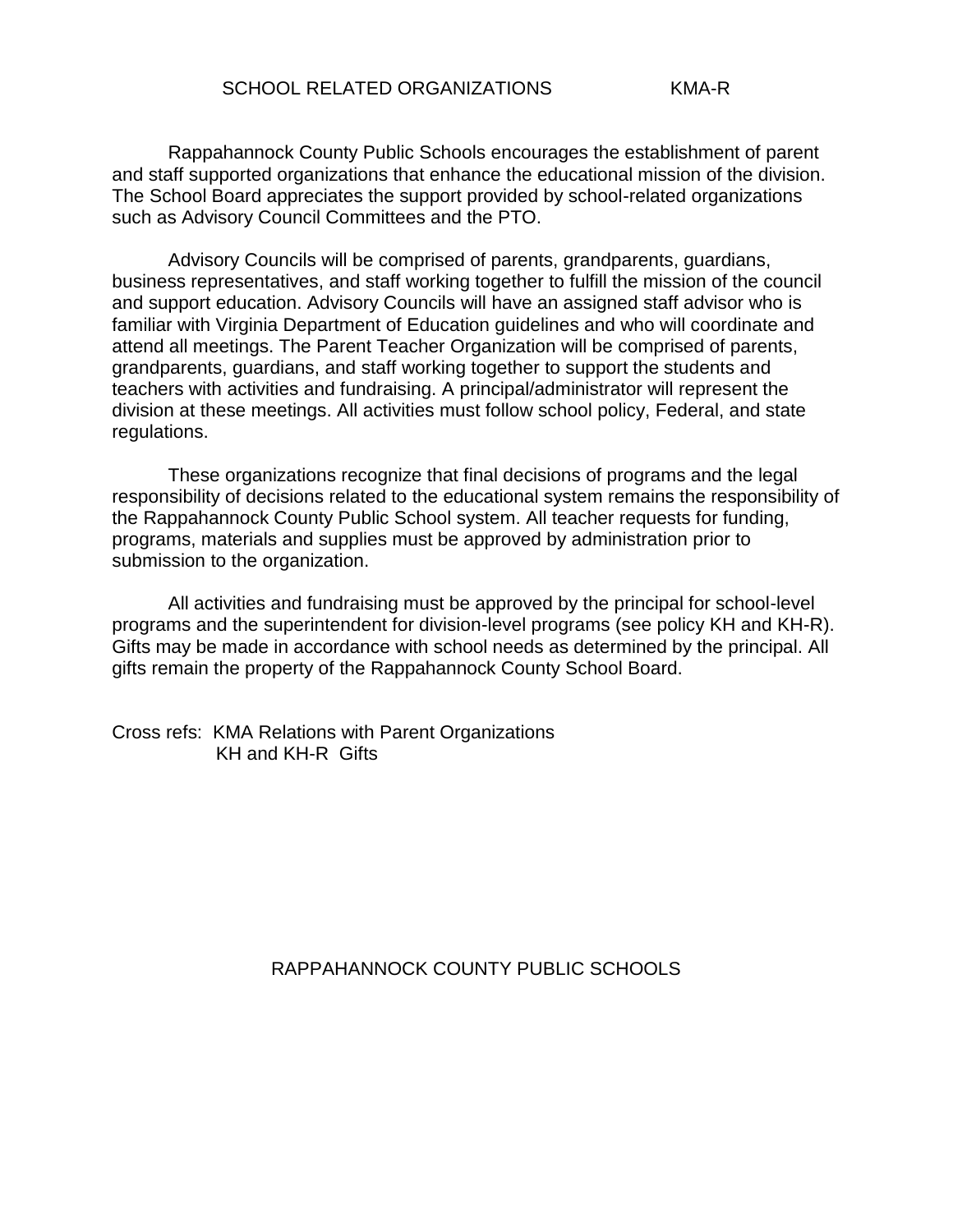Rappahannock County Public Schools encourages the establishment of parent and staff supported organizations that enhance the educational mission of the division. The School Board appreciates the support provided by school-related organizations such as Advisory Council Committees and the PTO.

Advisory Councils will be comprised of parents, grandparents, guardians, business representatives, and staff working together to fulfill the mission of the council and support education. Advisory Councils will have an assigned staff advisor who is familiar with Virginia Department of Education guidelines and who will coordinate and attend all meetings. The Parent Teacher Organization will be comprised of parents, grandparents, guardians, and staff working together to support the students and teachers with activities and fundraising. A principal/administrator will represent the division at these meetings. All activities must follow school policy, Federal, and state regulations.

These organizations recognize that final decisions of programs and the legal responsibility of decisions related to the educational system remains the responsibility of the Rappahannock County Public School system. All teacher requests for funding, programs, materials and supplies must be approved by administration prior to submission to the organization.

All activities and fundraising must be approved by the principal for school-level programs and the superintendent for division-level programs (see policy KH and KH-R). Gifts may be made in accordance with school needs as determined by the principal. All gifts remain the property of the Rappahannock County School Board.

Cross refs: KMA Relations with Parent Organizations KH and KH-R Gifts

# RAPPAHANNOCK COUNTY PUBLIC SCHOOLS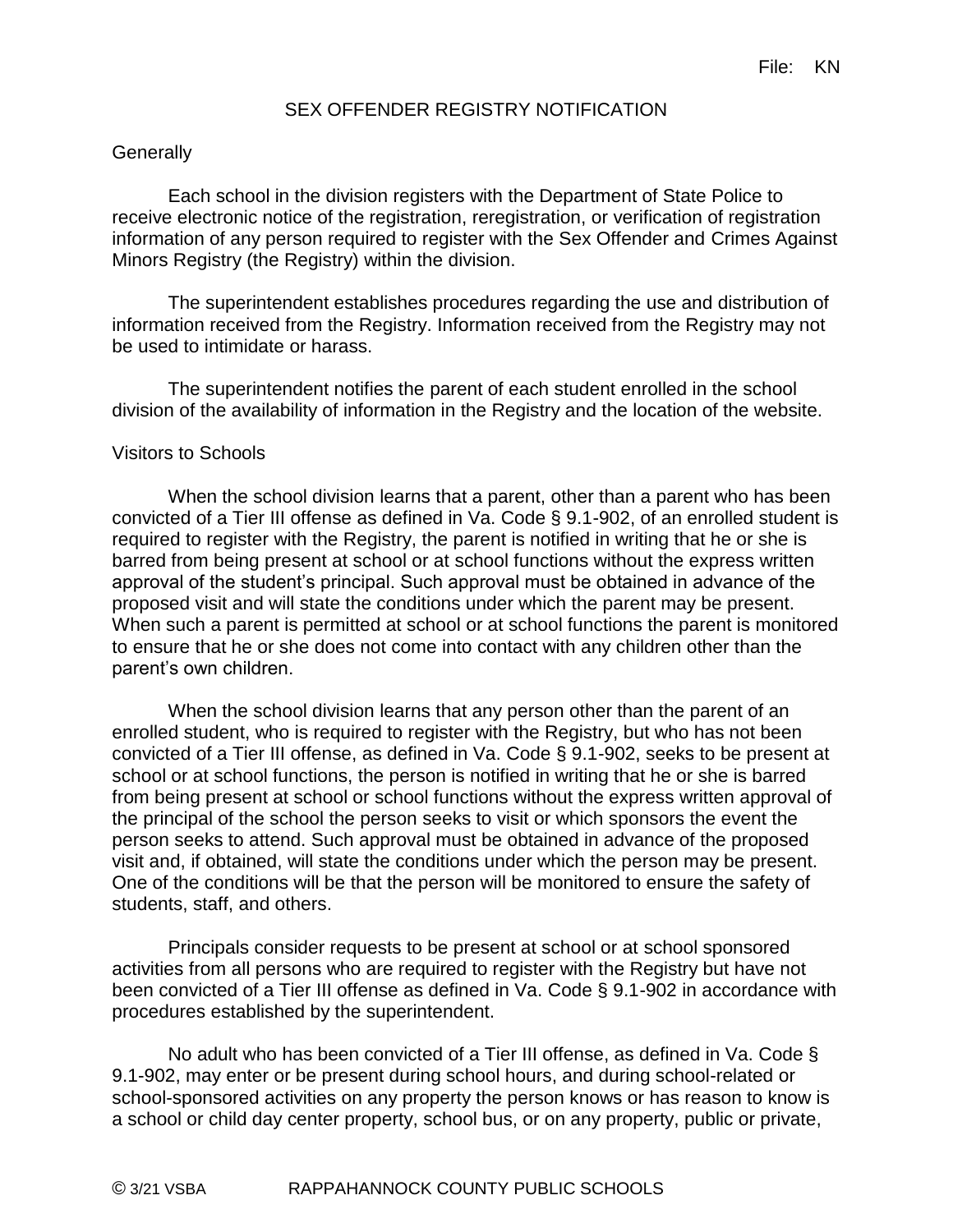#### SEX OFFENDER REGISTRY NOTIFICATION

#### **Generally**

Each school in the division registers with the Department of State Police to receive electronic notice of the registration, reregistration, or verification of registration information of any person required to register with the Sex Offender and Crimes Against Minors Registry (the Registry) within the division.

The superintendent establishes procedures regarding the use and distribution of information received from the Registry. Information received from the Registry may not be used to intimidate or harass.

The superintendent notifies the parent of each student enrolled in the school division of the availability of information in the Registry and the location of the website.

#### Visitors to Schools

When the school division learns that a parent, other than a parent who has been convicted of a Tier III offense as defined in Va. Code § 9.1-902, of an enrolled student is required to register with the Registry, the parent is notified in writing that he or she is barred from being present at school or at school functions without the express written approval of the student's principal. Such approval must be obtained in advance of the proposed visit and will state the conditions under which the parent may be present. When such a parent is permitted at school or at school functions the parent is monitored to ensure that he or she does not come into contact with any children other than the parent's own children.

When the school division learns that any person other than the parent of an enrolled student, who is required to register with the Registry, but who has not been convicted of a Tier III offense, as defined in Va. Code § 9.1-902, seeks to be present at school or at school functions, the person is notified in writing that he or she is barred from being present at school or school functions without the express written approval of the principal of the school the person seeks to visit or which sponsors the event the person seeks to attend. Such approval must be obtained in advance of the proposed visit and, if obtained, will state the conditions under which the person may be present. One of the conditions will be that the person will be monitored to ensure the safety of students, staff, and others.

Principals consider requests to be present at school or at school sponsored activities from all persons who are required to register with the Registry but have not been convicted of a Tier III offense as defined in Va. Code § 9.1-902 in accordance with procedures established by the superintendent.

No adult who has been convicted of a Tier III offense, as defined in Va. Code § 9.1-902, may enter or be present during school hours, and during school-related or school-sponsored activities on any property the person knows or has reason to know is a school or child day center property, school bus, or on any property, public or private,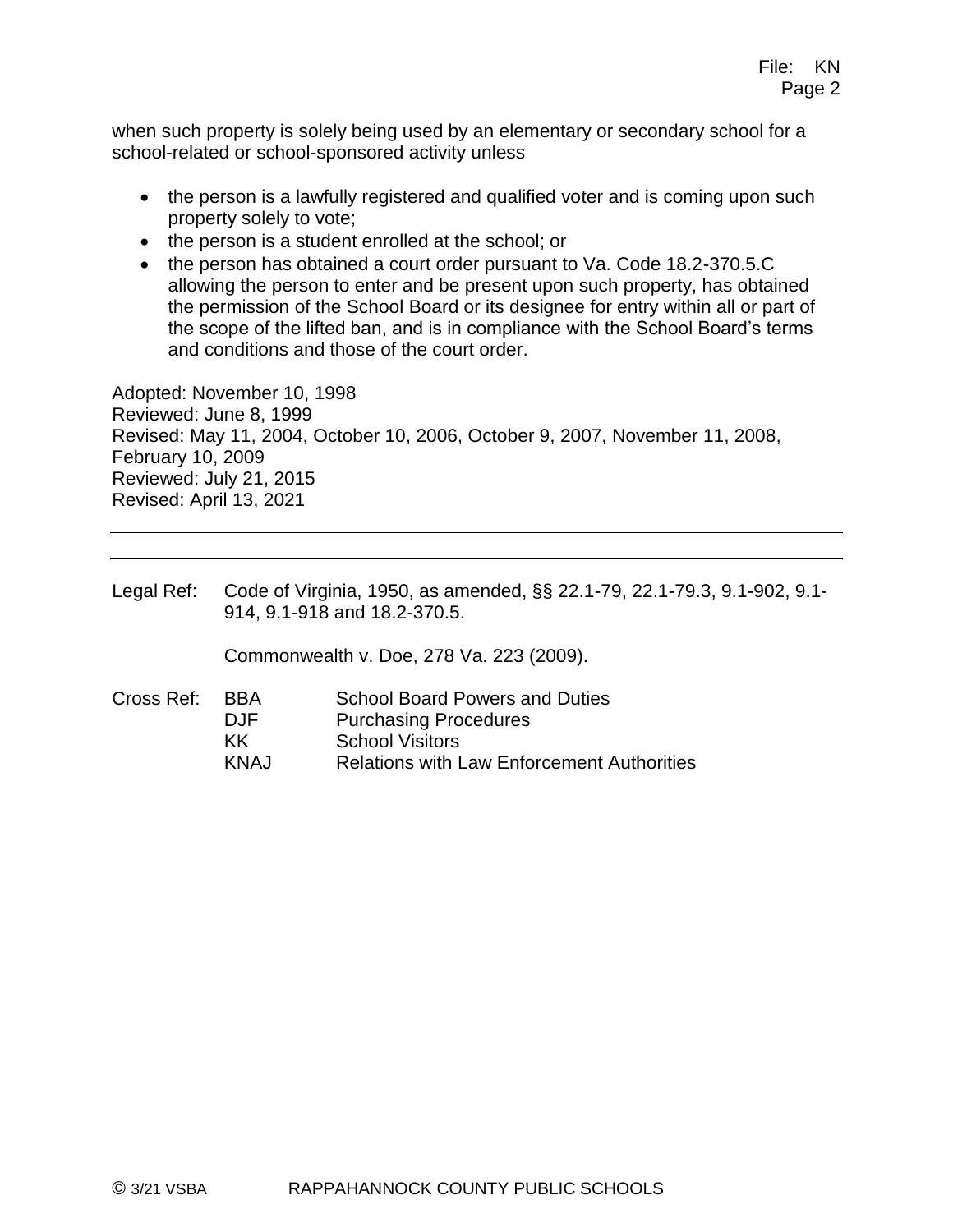when such property is solely being used by an elementary or secondary school for a school-related or school-sponsored activity unless

- the person is a lawfully registered and qualified voter and is coming upon such property solely to vote;
- the person is a student enrolled at the school; or
- the person has obtained a court order pursuant to Va. Code 18.2-370.5.C allowing the person to enter and be present upon such property, has obtained the permission of the School Board or its designee for entry within all or part of the scope of the lifted ban, and is in compliance with the School Board's terms and conditions and those of the court order.

Adopted: November 10, 1998 Reviewed: June 8, 1999 Revised: May 11, 2004, October 10, 2006, October 9, 2007, November 11, 2008, February 10, 2009 Reviewed: July 21, 2015 Revised: April 13, 2021

Legal Ref: Code of Virginia, 1950, as amended, §§ 22.1-79, 22.1-79.3, 9.1-902, 9.1- 914, 9.1-918 and 18.2-370.5.

Commonwealth v. Doe, 278 Va. 223 (2009).

- Cross Ref: BBA School Board Powers and Duties
	- DJF Purchasing Procedures
	- KK School Visitors
	- KNAJ Relations with Law Enforcement Authorities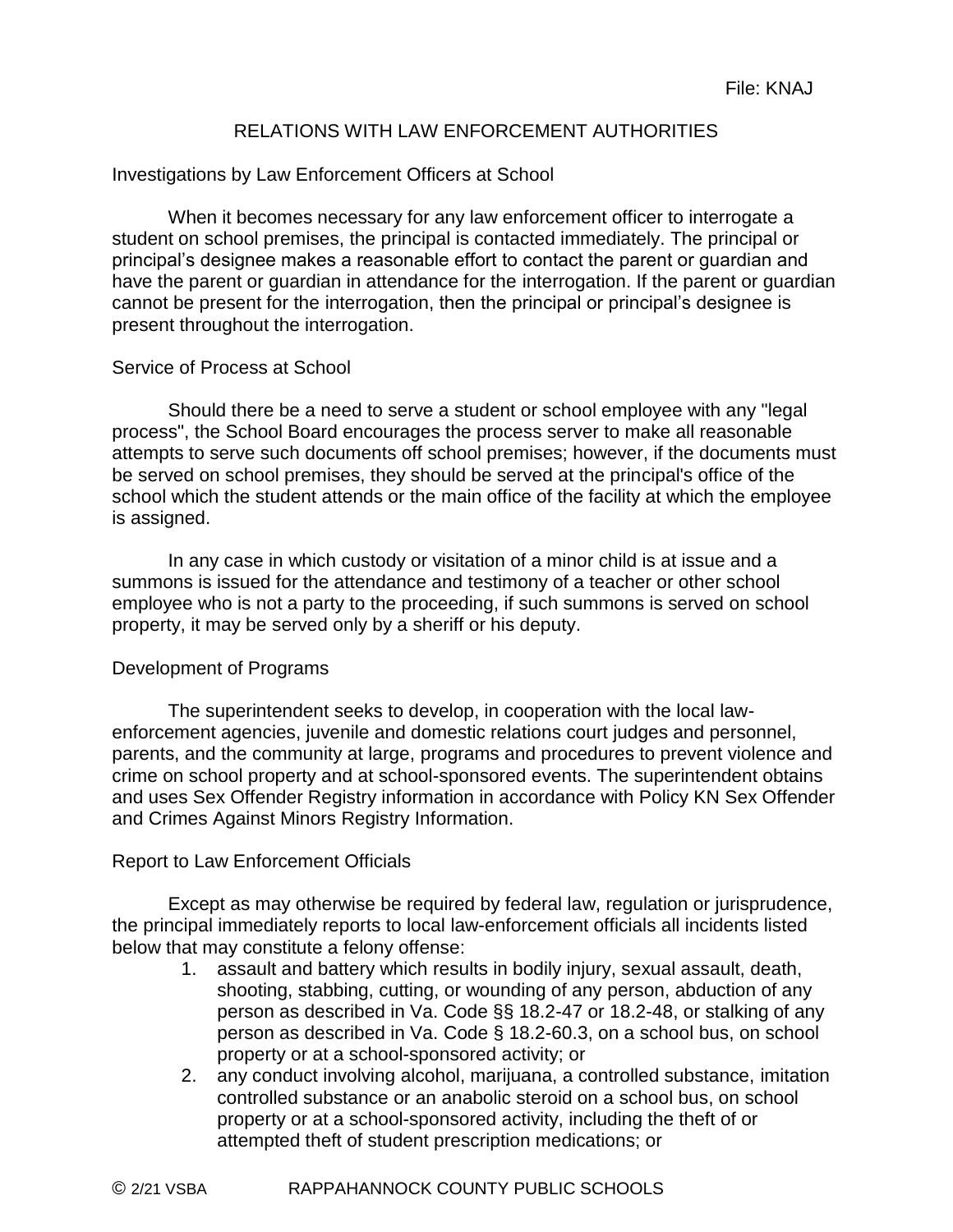# RELATIONS WITH LAW ENFORCEMENT AUTHORITIES

#### Investigations by Law Enforcement Officers at School

When it becomes necessary for any law enforcement officer to interrogate a student on school premises, the principal is contacted immediately. The principal or principal's designee makes a reasonable effort to contact the parent or guardian and have the parent or guardian in attendance for the interrogation. If the parent or guardian cannot be present for the interrogation, then the principal or principal's designee is present throughout the interrogation.

#### Service of Process at School

Should there be a need to serve a student or school employee with any "legal process", the School Board encourages the process server to make all reasonable attempts to serve such documents off school premises; however, if the documents must be served on school premises, they should be served at the principal's office of the school which the student attends or the main office of the facility at which the employee is assigned.

In any case in which custody or visitation of a minor child is at issue and a summons is issued for the attendance and testimony of a teacher or other school employee who is not a party to the proceeding, if such summons is served on school property, it may be served only by a sheriff or his deputy.

#### Development of Programs

The superintendent seeks to develop, in cooperation with the local lawenforcement agencies, juvenile and domestic relations court judges and personnel, parents, and the community at large, programs and procedures to prevent violence and crime on school property and at school-sponsored events. The superintendent obtains and uses Sex Offender Registry information in accordance with Policy KN Sex Offender and Crimes Against Minors Registry Information.

#### Report to Law Enforcement Officials

Except as may otherwise be required by federal law, regulation or jurisprudence, the principal immediately reports to local law-enforcement officials all incidents listed below that may constitute a felony offense:

- 1. assault and battery which results in bodily injury, sexual assault, death, shooting, stabbing, cutting, or wounding of any person, abduction of any person as described in Va. Code §§ 18.2-47 or 18.2-48, or stalking of any person as described in Va. Code § 18.2-60.3, on a school bus, on school property or at a school-sponsored activity; or
- 2. any conduct involving alcohol, marijuana, a controlled substance, imitation controlled substance or an anabolic steroid on a school bus, on school property or at a school-sponsored activity, including the theft of or attempted theft of student prescription medications; or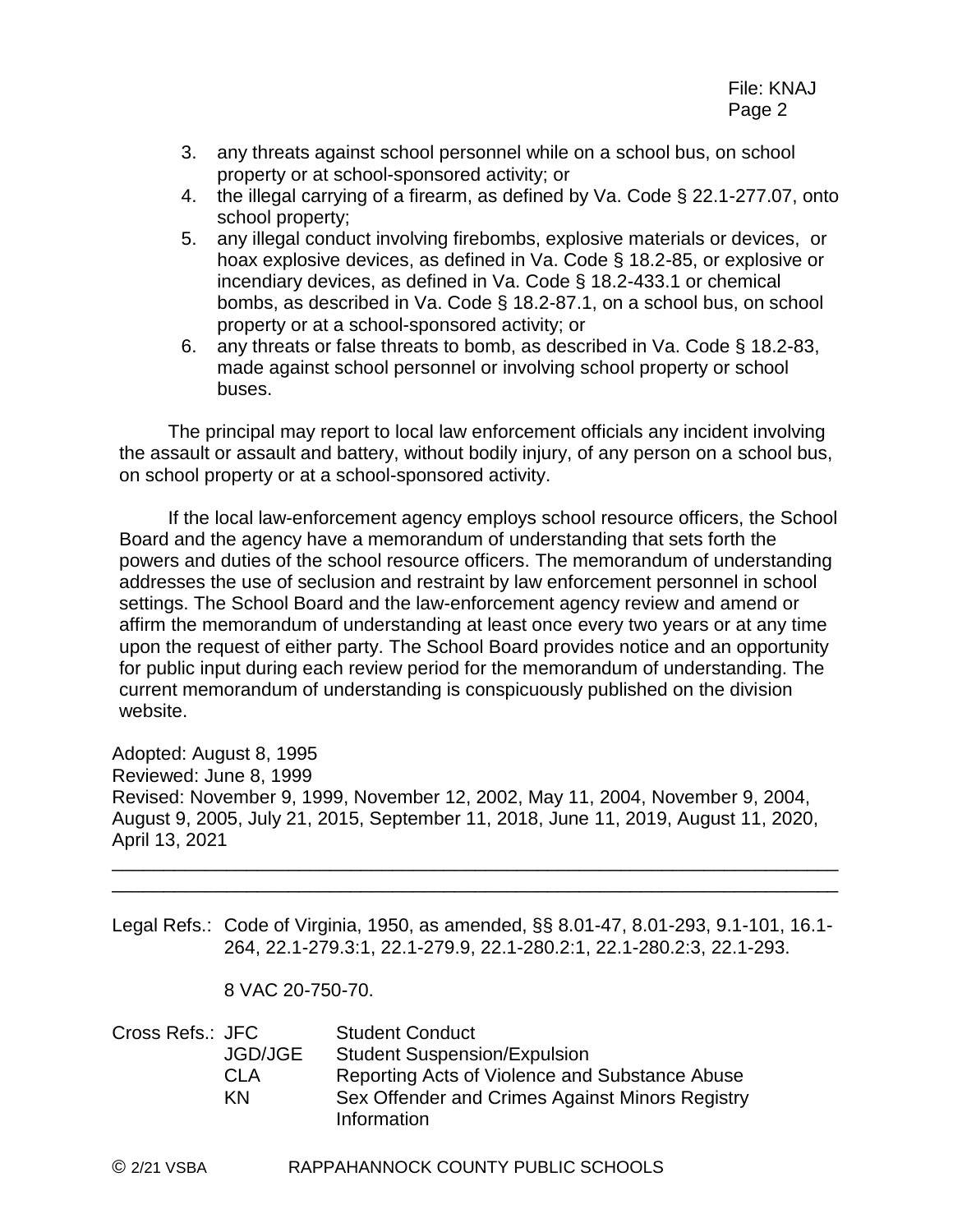- 3. any threats against school personnel while on a school bus, on school property or at school-sponsored activity; or
- 4. the illegal carrying of a firearm, as defined by Va. Code § 22.1-277.07, onto school property;
- 5. any illegal conduct involving firebombs, explosive materials or devices, or hoax explosive devices, as defined in Va. Code § 18.2-85, or explosive or incendiary devices, as defined in Va. Code § 18.2-433.1 or chemical bombs, as described in Va. Code § 18.2-87.1, on a school bus, on school property or at a school-sponsored activity; or
- 6. any threats or false threats to bomb, as described in Va. Code § 18.2-83, made against school personnel or involving school property or school buses.

The principal may report to local law enforcement officials any incident involving the assault or assault and battery, without bodily injury, of any person on a school bus, on school property or at a school-sponsored activity.

If the local law-enforcement agency employs school resource officers, the School Board and the agency have a memorandum of understanding that sets forth the powers and duties of the school resource officers. The memorandum of understanding addresses the use of seclusion and restraint by law enforcement personnel in school settings. The School Board and the law-enforcement agency review and amend or affirm the memorandum of understanding at least once every two years or at any time upon the request of either party. The School Board provides notice and an opportunity for public input during each review period for the memorandum of understanding. The current memorandum of understanding is conspicuously published on the division website.

Adopted: August 8, 1995 Reviewed: June 8, 1999 Revised: November 9, 1999, November 12, 2002, May 11, 2004, November 9, 2004, August 9, 2005, July 21, 2015, September 11, 2018, June 11, 2019, August 11, 2020, April 13, 2021

Legal Refs.: Code of Virginia, 1950, as amended, §§ 8.01-47, 8.01-293, 9.1-101, 16.1- 264, 22.1-279.3:1, 22.1-279.9, 22.1-280.2:1, 22.1-280.2:3, 22.1-293.

\_\_\_\_\_\_\_\_\_\_\_\_\_\_\_\_\_\_\_\_\_\_\_\_\_\_\_\_\_\_\_\_\_\_\_\_\_\_\_\_\_\_\_\_\_\_\_\_\_\_\_\_\_\_\_\_\_\_\_\_\_\_\_\_\_\_\_\_\_\_ \_\_\_\_\_\_\_\_\_\_\_\_\_\_\_\_\_\_\_\_\_\_\_\_\_\_\_\_\_\_\_\_\_\_\_\_\_\_\_\_\_\_\_\_\_\_\_\_\_\_\_\_\_\_\_\_\_\_\_\_\_\_\_\_\_\_\_\_\_\_

8 VAC 20-750-70.

| Cross Refs.: JFC |                | <b>Student Conduct</b>                          |
|------------------|----------------|-------------------------------------------------|
|                  | <b>JGD/JGE</b> | <b>Student Suspension/Expulsion</b>             |
|                  | CLA            | Reporting Acts of Violence and Substance Abuse  |
|                  | ΚN             | Sex Offender and Crimes Against Minors Registry |
|                  |                | Information                                     |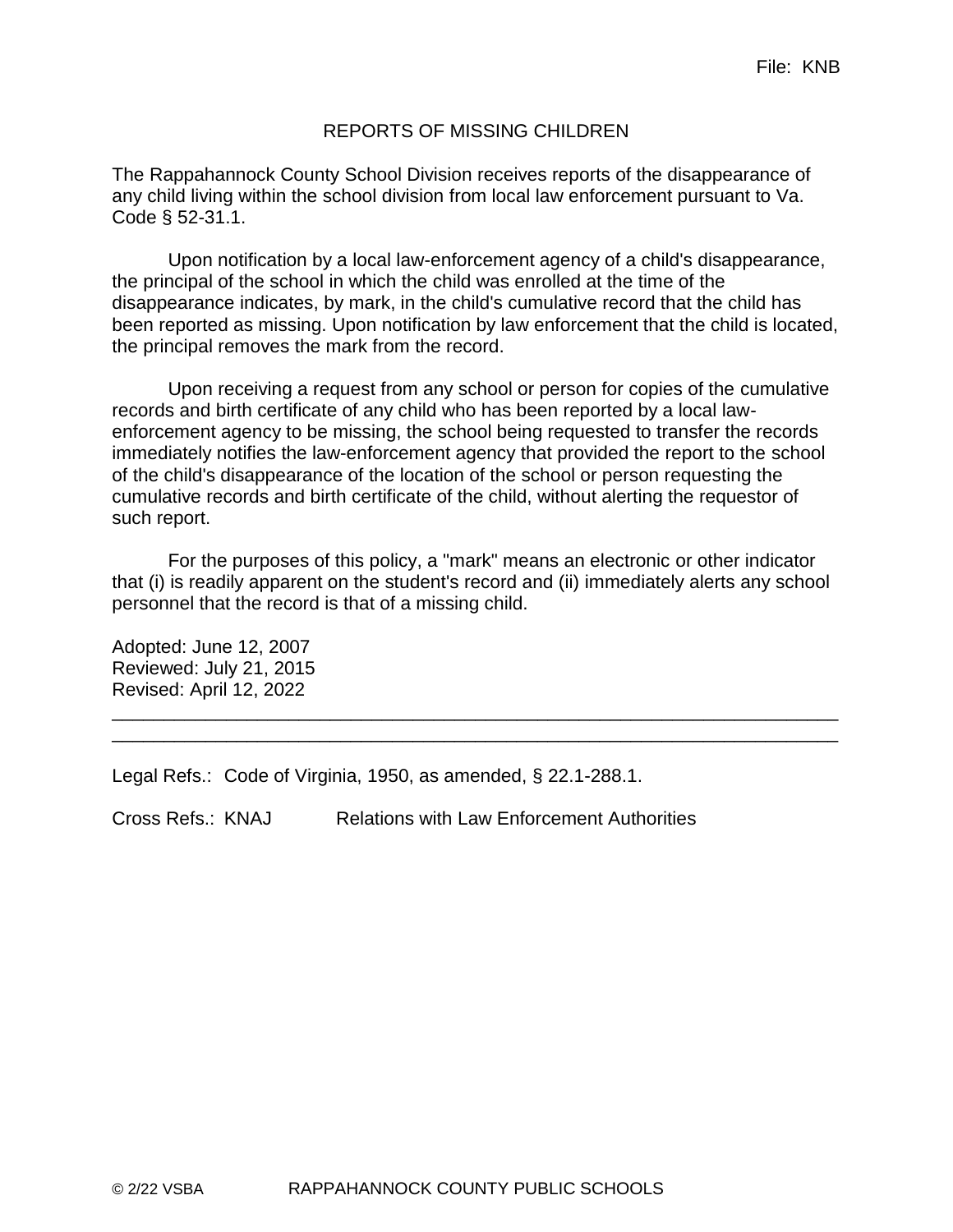# REPORTS OF MISSING CHILDREN

The Rappahannock County School Division receives reports of the disappearance of any child living within the school division from local law enforcement pursuant to Va. Code § 52-31.1.

Upon notification by a local law-enforcement agency of a child's disappearance, the principal of the school in which the child was enrolled at the time of the disappearance indicates, by mark, in the child's cumulative record that the child has been reported as missing. Upon notification by law enforcement that the child is located, the principal removes the mark from the record.

Upon receiving a request from any school or person for copies of the cumulative records and birth certificate of any child who has been reported by a local lawenforcement agency to be missing, the school being requested to transfer the records immediately notifies the law-enforcement agency that provided the report to the school of the child's disappearance of the location of the school or person requesting the cumulative records and birth certificate of the child, without alerting the requestor of such report.

For the purposes of this policy, a "mark" means an electronic or other indicator that (i) is readily apparent on the student's record and (ii) immediately alerts any school personnel that the record is that of a missing child.

\_\_\_\_\_\_\_\_\_\_\_\_\_\_\_\_\_\_\_\_\_\_\_\_\_\_\_\_\_\_\_\_\_\_\_\_\_\_\_\_\_\_\_\_\_\_\_\_\_\_\_\_\_\_\_\_\_\_\_\_\_\_\_\_\_\_\_\_\_\_ \_\_\_\_\_\_\_\_\_\_\_\_\_\_\_\_\_\_\_\_\_\_\_\_\_\_\_\_\_\_\_\_\_\_\_\_\_\_\_\_\_\_\_\_\_\_\_\_\_\_\_\_\_\_\_\_\_\_\_\_\_\_\_\_\_\_\_\_\_\_

Adopted: June 12, 2007 Reviewed: July 21, 2015 Revised: April 12, 2022

Legal Refs.: Code of Virginia, 1950, as amended, § 22.1-288.1.

Cross Refs.: KNAJ Relations with Law Enforcement Authorities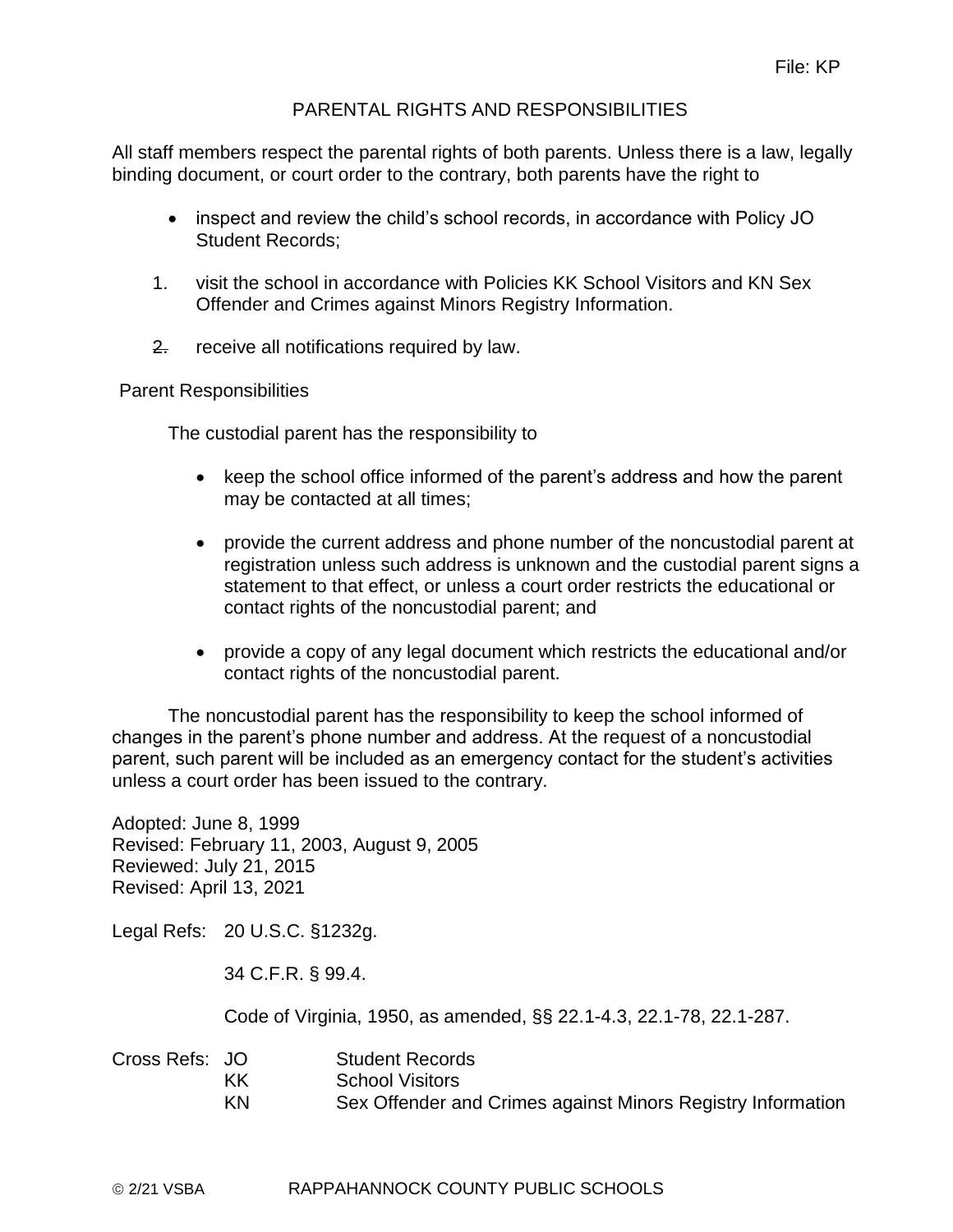# PARENTAL RIGHTS AND RESPONSIBILITIES

All staff members respect the parental rights of both parents. Unless there is a law, legally binding document, or court order to the contrary, both parents have the right to

- inspect and review the child's school records, in accordance with Policy JO Student Records;
- 1. visit the school in accordance with Policies KK School Visitors and KN Sex Offender and Crimes against Minors Registry Information.
- 2. receive all notifications required by law.

Parent Responsibilities

The custodial parent has the responsibility to

- keep the school office informed of the parent's address and how the parent may be contacted at all times;
- provide the current address and phone number of the noncustodial parent at registration unless such address is unknown and the custodial parent signs a statement to that effect, or unless a court order restricts the educational or contact rights of the noncustodial parent; and
- provide a copy of any legal document which restricts the educational and/or contact rights of the noncustodial parent.

The noncustodial parent has the responsibility to keep the school informed of changes in the parent's phone number and address. At the request of a noncustodial parent, such parent will be included as an emergency contact for the student's activities unless a court order has been issued to the contrary.

Adopted: June 8, 1999 Revised: February 11, 2003, August 9, 2005 Reviewed: July 21, 2015 Revised: April 13, 2021

Legal Refs: 20 U.S.C. §1232g.

34 C.F.R. § 99.4.

Code of Virginia, 1950, as amended, §§ 22.1-4.3, 22.1-78, 22.1-287.

| Cross Refs: JO |    | <b>Student Records</b>                                      |
|----------------|----|-------------------------------------------------------------|
|                | ΚK | <b>School Visitors</b>                                      |
|                | KN | Sex Offender and Crimes against Minors Registry Information |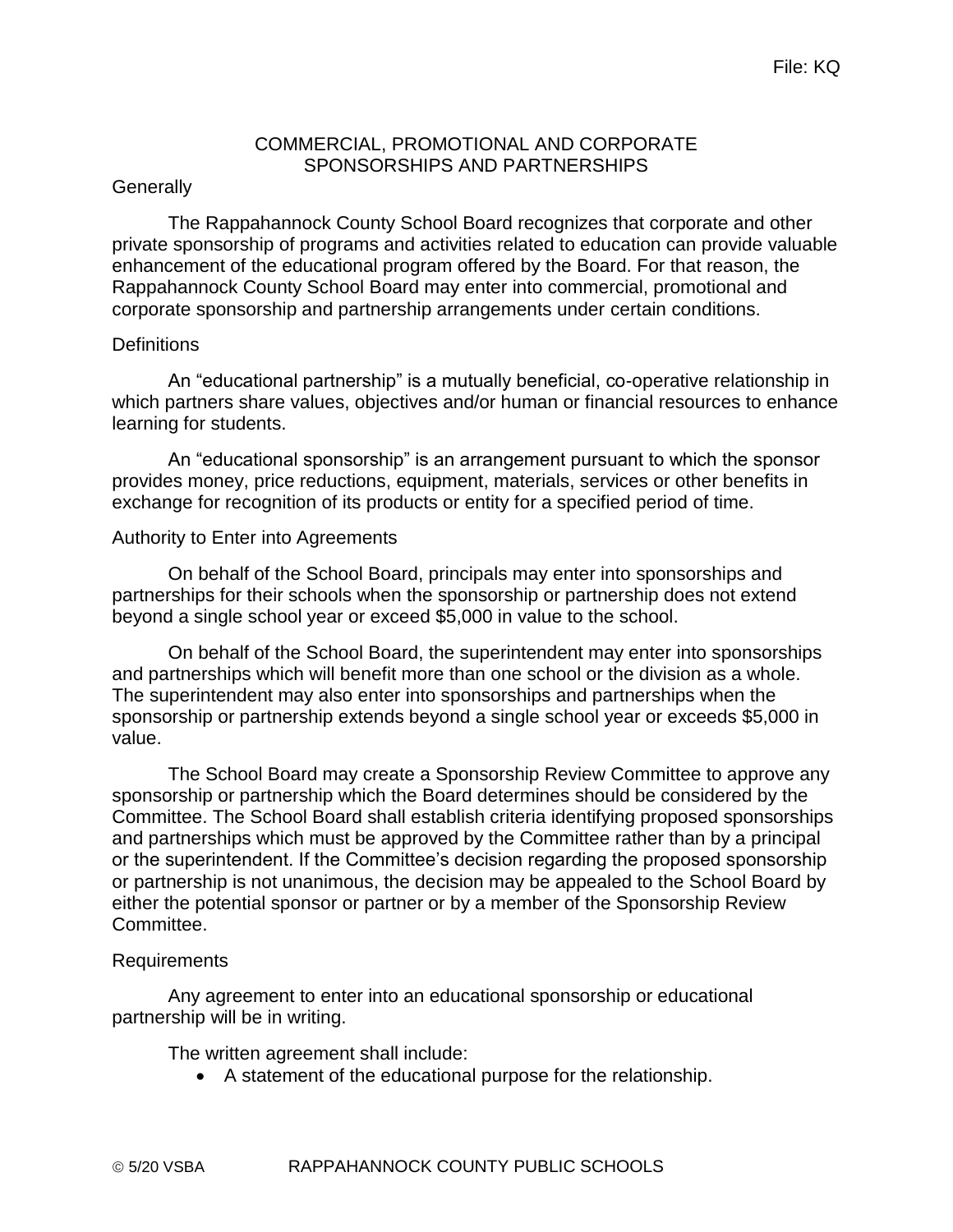#### COMMERCIAL, PROMOTIONAL AND CORPORATE SPONSORSHIPS AND PARTNERSHIPS

#### **Generally**

The Rappahannock County School Board recognizes that corporate and other private sponsorship of programs and activities related to education can provide valuable enhancement of the educational program offered by the Board. For that reason, the Rappahannock County School Board may enter into commercial, promotional and corporate sponsorship and partnership arrangements under certain conditions.

#### **Definitions**

An "educational partnership" is a mutually beneficial, co-operative relationship in which partners share values, objectives and/or human or financial resources to enhance learning for students.

An "educational sponsorship" is an arrangement pursuant to which the sponsor provides money, price reductions, equipment, materials, services or other benefits in exchange for recognition of its products or entity for a specified period of time.

#### Authority to Enter into Agreements

On behalf of the School Board, principals may enter into sponsorships and partnerships for their schools when the sponsorship or partnership does not extend beyond a single school year or exceed \$5,000 in value to the school.

On behalf of the School Board, the superintendent may enter into sponsorships and partnerships which will benefit more than one school or the division as a whole. The superintendent may also enter into sponsorships and partnerships when the sponsorship or partnership extends beyond a single school year or exceeds \$5,000 in value.

The School Board may create a Sponsorship Review Committee to approve any sponsorship or partnership which the Board determines should be considered by the Committee. The School Board shall establish criteria identifying proposed sponsorships and partnerships which must be approved by the Committee rather than by a principal or the superintendent. If the Committee's decision regarding the proposed sponsorship or partnership is not unanimous, the decision may be appealed to the School Board by either the potential sponsor or partner or by a member of the Sponsorship Review Committee.

#### Requirements

Any agreement to enter into an educational sponsorship or educational partnership will be in writing.

The written agreement shall include:

A statement of the educational purpose for the relationship.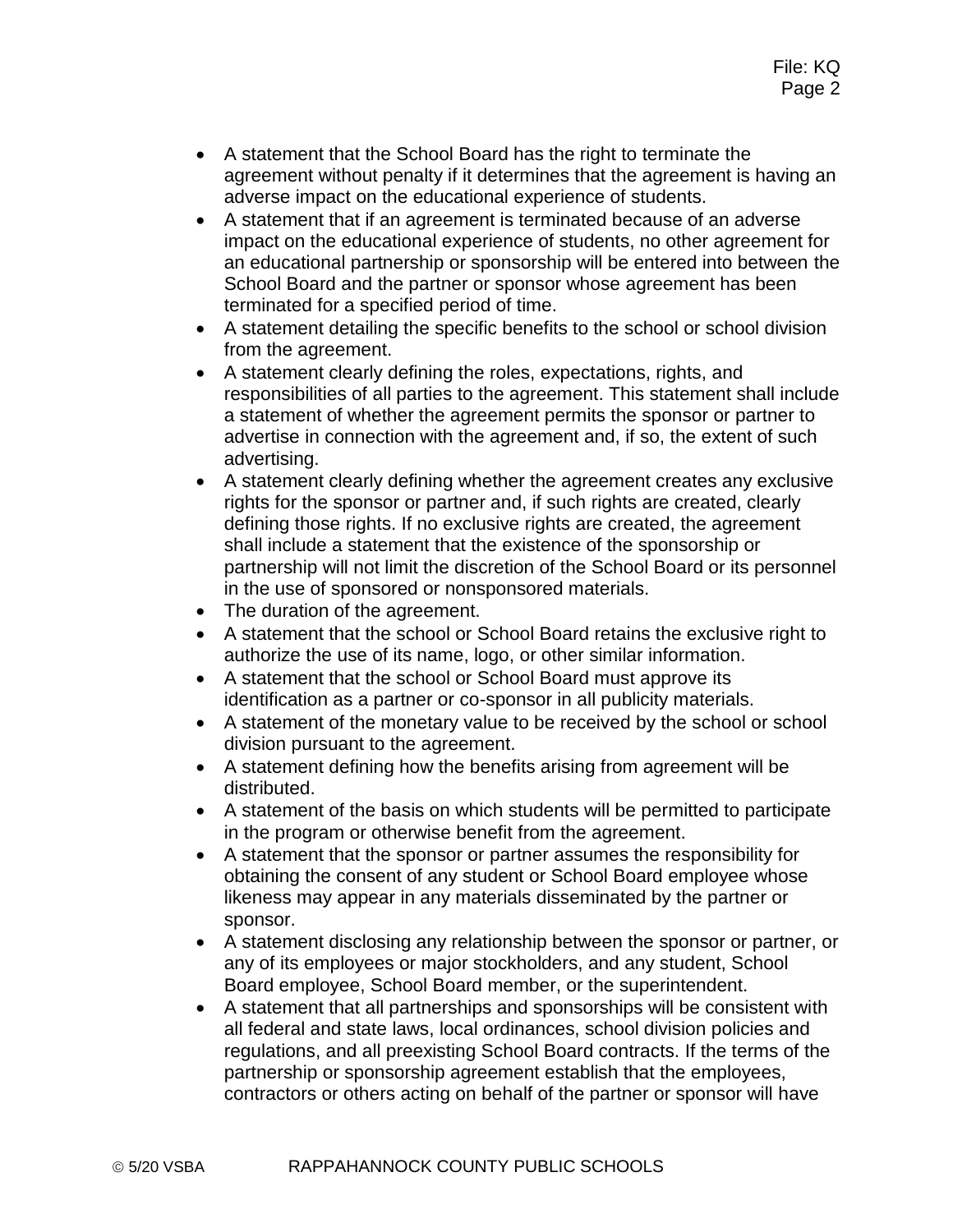- A statement that the School Board has the right to terminate the agreement without penalty if it determines that the agreement is having an adverse impact on the educational experience of students.
- A statement that if an agreement is terminated because of an adverse impact on the educational experience of students, no other agreement for an educational partnership or sponsorship will be entered into between the School Board and the partner or sponsor whose agreement has been terminated for a specified period of time.
- A statement detailing the specific benefits to the school or school division from the agreement.
- A statement clearly defining the roles, expectations, rights, and responsibilities of all parties to the agreement. This statement shall include a statement of whether the agreement permits the sponsor or partner to advertise in connection with the agreement and, if so, the extent of such advertising.
- A statement clearly defining whether the agreement creates any exclusive rights for the sponsor or partner and, if such rights are created, clearly defining those rights. If no exclusive rights are created, the agreement shall include a statement that the existence of the sponsorship or partnership will not limit the discretion of the School Board or its personnel in the use of sponsored or nonsponsored materials.
- The duration of the agreement.
- A statement that the school or School Board retains the exclusive right to authorize the use of its name, logo, or other similar information.
- A statement that the school or School Board must approve its identification as a partner or co-sponsor in all publicity materials.
- A statement of the monetary value to be received by the school or school division pursuant to the agreement.
- A statement defining how the benefits arising from agreement will be distributed.
- A statement of the basis on which students will be permitted to participate in the program or otherwise benefit from the agreement.
- A statement that the sponsor or partner assumes the responsibility for obtaining the consent of any student or School Board employee whose likeness may appear in any materials disseminated by the partner or sponsor.
- A statement disclosing any relationship between the sponsor or partner, or any of its employees or major stockholders, and any student, School Board employee, School Board member, or the superintendent.
- A statement that all partnerships and sponsorships will be consistent with all federal and state laws, local ordinances, school division policies and regulations, and all preexisting School Board contracts. If the terms of the partnership or sponsorship agreement establish that the employees, contractors or others acting on behalf of the partner or sponsor will have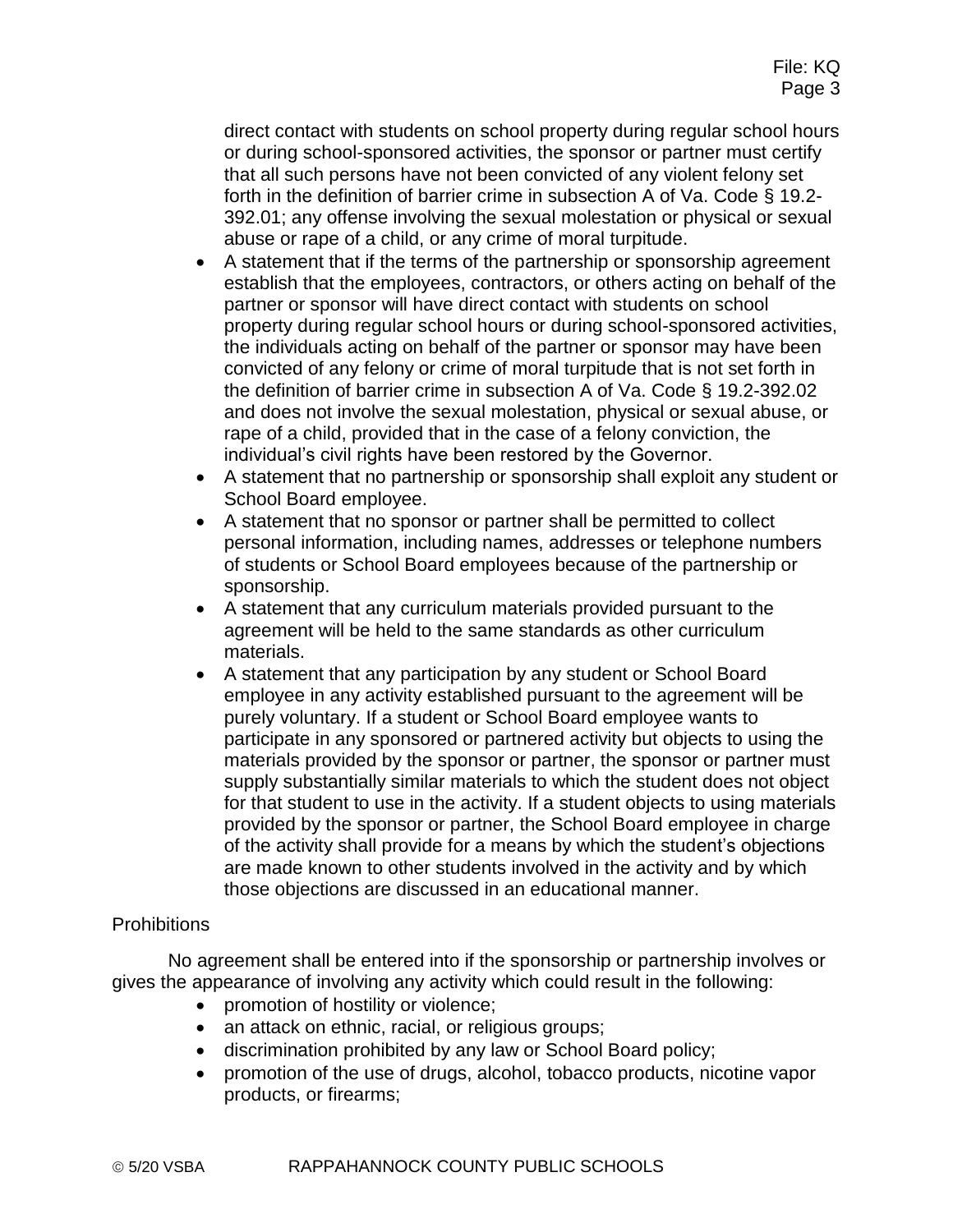direct contact with students on school property during regular school hours or during school-sponsored activities, the sponsor or partner must certify that all such persons have not been convicted of any violent felony set forth in the definition of barrier crime in subsection A of Va. Code § 19.2- 392.01; any offense involving the sexual molestation or physical or sexual abuse or rape of a child, or any crime of moral turpitude.

- A statement that if the terms of the partnership or sponsorship agreement establish that the employees, contractors, or others acting on behalf of the partner or sponsor will have direct contact with students on school property during regular school hours or during school-sponsored activities, the individuals acting on behalf of the partner or sponsor may have been convicted of any felony or crime of moral turpitude that is not set forth in the definition of barrier crime in subsection A of Va. Code § 19.2-392.02 and does not involve the sexual molestation, physical or sexual abuse, or rape of a child, provided that in the case of a felony conviction, the individual's civil rights have been restored by the Governor.
- A statement that no partnership or sponsorship shall exploit any student or School Board employee.
- A statement that no sponsor or partner shall be permitted to collect personal information, including names, addresses or telephone numbers of students or School Board employees because of the partnership or sponsorship.
- A statement that any curriculum materials provided pursuant to the agreement will be held to the same standards as other curriculum materials.
- A statement that any participation by any student or School Board employee in any activity established pursuant to the agreement will be purely voluntary. If a student or School Board employee wants to participate in any sponsored or partnered activity but objects to using the materials provided by the sponsor or partner, the sponsor or partner must supply substantially similar materials to which the student does not object for that student to use in the activity. If a student objects to using materials provided by the sponsor or partner, the School Board employee in charge of the activity shall provide for a means by which the student's objections are made known to other students involved in the activity and by which those objections are discussed in an educational manner.

#### **Prohibitions**

No agreement shall be entered into if the sponsorship or partnership involves or gives the appearance of involving any activity which could result in the following:

- promotion of hostility or violence;
- an attack on ethnic, racial, or religious groups;
- discrimination prohibited by any law or School Board policy;
- promotion of the use of drugs, alcohol, tobacco products, nicotine vapor products, or firearms;